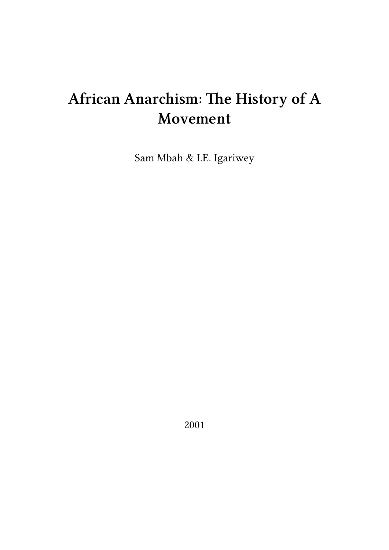# **African Anarchism: The History of A Movement**

Sam Mbah & I.E. Igariwey

2001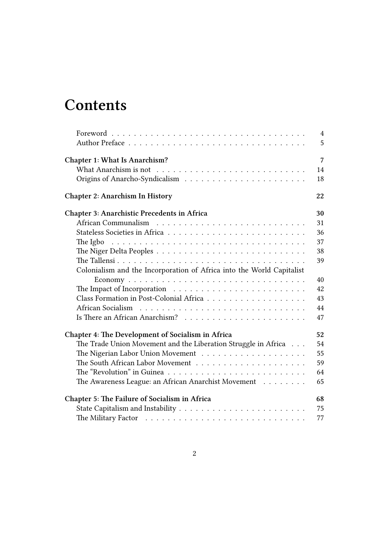# **Contents**

|                                                                                         | $\overline{4}$ |
|-----------------------------------------------------------------------------------------|----------------|
|                                                                                         | 5              |
| <b>Chapter 1: What Is Anarchism?</b>                                                    | $\overline{7}$ |
|                                                                                         | 14             |
|                                                                                         | 18             |
| <b>Chapter 2: Anarchism In History</b>                                                  | 22             |
| Chapter 3: Anarchistic Precedents in Africa                                             | 30             |
|                                                                                         | 31             |
|                                                                                         | 36             |
| The Igbo $\ldots \ldots \ldots \ldots \ldots \ldots \ldots \ldots \ldots \ldots \ldots$ | 37             |
|                                                                                         | 38             |
|                                                                                         | 39             |
| Colonialism and the Incorporation of Africa into the World Capitalist                   |                |
|                                                                                         | 40             |
|                                                                                         | 42             |
|                                                                                         | 43             |
|                                                                                         | 44             |
|                                                                                         | 47             |
| <b>Chapter 4: The Development of Socialism in Africa</b>                                | 52             |
| The Trade Union Movement and the Liberation Struggle in Africa                          | 54             |
|                                                                                         | 55             |
|                                                                                         | 59             |
|                                                                                         | 64             |
| The Awareness League: an African Anarchist Movement                                     | 65             |
| Chapter 5: The Failure of Socialism in Africa                                           | 68             |
|                                                                                         | 75             |
|                                                                                         | 77             |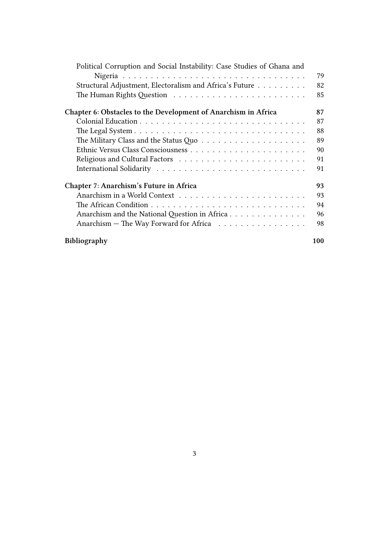| Political Corruption and Social Instability: Case Studies of Ghana and            |     |
|-----------------------------------------------------------------------------------|-----|
|                                                                                   | 79  |
| Structural Adjustment, Electoralism and Africa's Future                           | 82  |
|                                                                                   | 85  |
| Chapter 6: Obstacles to the Development of Anarchism in Africa                    | 87  |
|                                                                                   | 87  |
|                                                                                   | 88  |
| The Military Class and the Status Quo $\dots \dots \dots \dots \dots \dots \dots$ | 89  |
|                                                                                   | 90  |
|                                                                                   | 91  |
|                                                                                   | 91  |
| Chapter 7: Anarchism's Future in Africa                                           | 93  |
|                                                                                   | 93  |
|                                                                                   | 94  |
| Anarchism and the National Question in Africa                                     | 96  |
| Anarchism - The Way Forward for Africa                                            | 98  |
| <b>Bibliography</b>                                                               | 100 |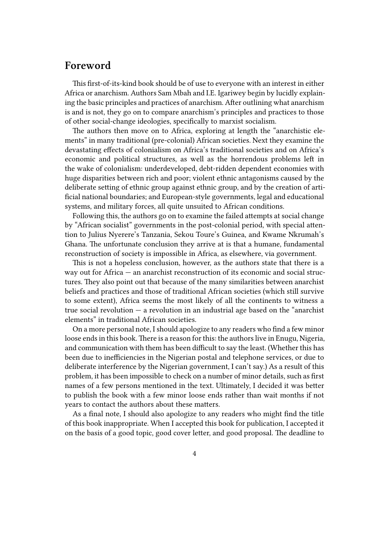## <span id="page-3-0"></span>**Foreword**

This first-of-its-kind book should be of use to everyone with an interest in either Africa or anarchism. Authors Sam Mbah and I.E. Igariwey begin by lucidly explaining the basic principles and practices of anarchism. After outlining what anarchism is and is not, they go on to compare anarchism's principles and practices to those of other social-change ideologies, specifically to marxist socialism.

The authors then move on to Africa, exploring at length the "anarchistic elements" in many traditional (pre-colonial) African societies. Next they examine the devastating effects of colonialism on Africa's traditional societies and on Africa's economic and political structures, as well as the horrendous problems left in the wake of colonialism: underdeveloped, debt-ridden dependent economies with huge disparities between rich and poor; violent ethnic antagonisms caused by the deliberate setting of ethnic group against ethnic group, and by the creation of artificial national boundaries; and European-style governments, legal and educational systems, and military forces, all quite unsuited to African conditions.

Following this, the authors go on to examine the failed attempts at social change by "African socialist" governments in the post-colonial period, with special attention to Julius Nyerere's Tanzania, Sekou Toure's Guinea, and Kwame Nkrumah's Ghana. The unfortunate conclusion they arrive at is that a humane, fundamental reconstruction of society is impossible in Africa, as elsewhere, via government.

This is not a hopeless conclusion, however, as the authors state that there is a way out for Africa — an anarchist reconstruction of its economic and social structures. They also point out that because of the many similarities between anarchist beliefs and practices and those of traditional African societies (which still survive to some extent), Africa seems the most likely of all the continents to witness a true social revolution  $-$  a revolution in an industrial age based on the "anarchist" elements" in traditional African societies.

On a more personal note, I should apologize to any readers who find a few minor loose ends in this book. There is a reason for this: the authors live in Enugu, Nigeria, and communication with them has been difficult to say the least. (Whether this has been due to inefficiencies in the Nigerian postal and telephone services, or due to deliberate interference by the Nigerian government, I can't say.) As a result of this problem, it has been impossible to check on a number of minor details, such as first names of a few persons mentioned in the text. Ultimately, I decided it was better to publish the book with a few minor loose ends rather than wait months if not years to contact the authors about these matters.

As a final note, I should also apologize to any readers who might find the title of this book inappropriate. When I accepted this book for publication, I accepted it on the basis of a good topic, good cover letter, and good proposal. The deadline to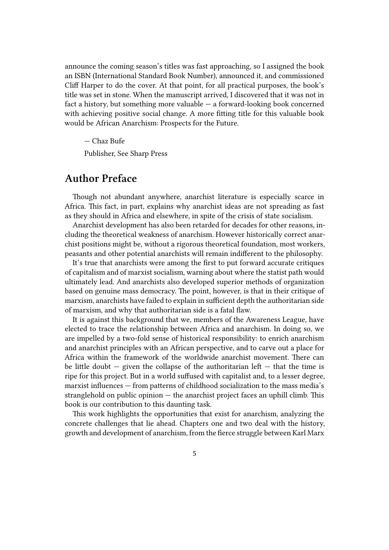announce the coming season's titles was fast approaching, so I assigned the book an ISBN (International Standard Book Number), announced it, and commissioned Cliff Harper to do the cover. At that point, for all practical purposes, the book's title was set in stone. When the manuscript arrived, I discovered that it was not in fact a history, but something more valuable  $-$  a forward-looking book concerned with achieving positive social change. A more fitting title for this valuable book would be African Anarchism: Prospects for the Future.

— Chaz Bufe

Publisher, See Sharp Press

### <span id="page-4-0"></span>**Author Preface**

Though not abundant anywhere, anarchist literature is especially scarce in Africa. This fact, in part, explains why anarchist ideas are not spreading as fast as they should in Africa and elsewhere, in spite of the crisis of state socialism.

Anarchist development has also been retarded for decades for other reasons, including the theoretical weakness of anarchism. However historically correct anarchist positions might be, without a rigorous theoretical foundation, most workers, peasants and other potential anarchists will remain indifferent to the philosophy.

It's true that anarchists were among the first to put forward accurate critiques of capitalism and of marxist socialism, warning about where the statist path would ultimately lead. And anarchists also developed superior methods of organization based on genuine mass democracy. The point, however, is that in their critique of marxism, anarchists have failed to explain in sufficient depth the authoritarian side of marxism, and why that authoritarian side is a fatal flaw.

It is against this background that we, members of the Awareness League, have elected to trace the relationship between Africa and anarchism. In doing so, we are impelled by a two-fold sense of historical responsibility: to enrich anarchism and anarchist principles with an African perspective, and to carve out a place for Africa within the framework of the worldwide anarchist movement. There can be little doubt  $-$  given the collapse of the authoritarian left  $-$  that the time is ripe for this project. But in a world suffused with capitalist and, to a lesser degree, marxist influences — from patterns of childhood socialization to the mass media's stranglehold on public opinion — the anarchist project faces an uphill climb. This book is our contribution to this daunting task.

This work highlights the opportunities that exist for anarchism, analyzing the concrete challenges that lie ahead. Chapters one and two deal with the history, growth and development of anarchism, from the fierce struggle between Karl Marx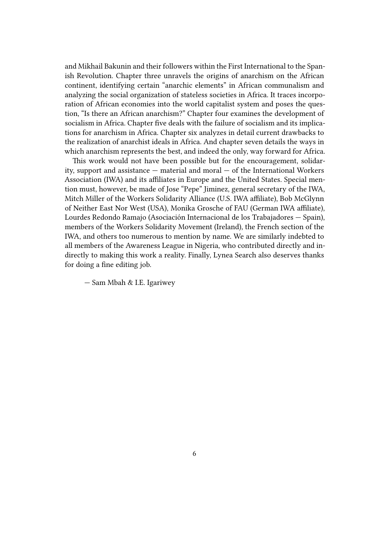and Mikhail Bakunin and their followers within the First International to the Spanish Revolution. Chapter three unravels the origins of anarchism on the African continent, identifying certain "anarchic elements" in African communalism and analyzing the social organization of stateless societies in Africa. It traces incorporation of African economies into the world capitalist system and poses the question, "Is there an African anarchism?" Chapter four examines the development of socialism in Africa. Chapter five deals with the failure of socialism and its implications for anarchism in Africa. Chapter six analyzes in detail current drawbacks to the realization of anarchist ideals in Africa. And chapter seven details the ways in which anarchism represents the best, and indeed the only, way forward for Africa.

This work would not have been possible but for the encouragement, solidarity, support and assistance — material and moral — of the International Workers Association (IWA) and its affiliates in Europe and the United States. Special mention must, however, be made of Jose "Pepe" Jiminez, general secretary of the IWA, Mitch Miller of the Workers Solidarity Alliance (U.S. IWA affiliate), Bob McGlynn of Neither East Nor West (USA), Monika Grosche of FAU (German IWA affiliate), Lourdes Redondo Ramajo (Asociación Internacional de los Trabajadores — Spain), members of the Workers Solidarity Movement (Ireland), the French section of the IWA, and others too numerous to mention by name. We are similarly indebted to all members of the Awareness League in Nigeria, who contributed directly and indirectly to making this work a reality. Finally, Lynea Search also deserves thanks for doing a fine editing job.

— Sam Mbah & I.E. Igariwey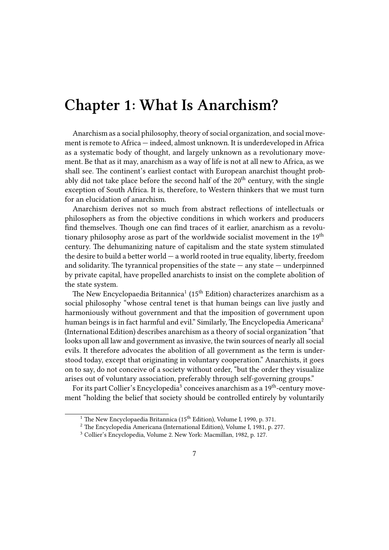## <span id="page-6-0"></span>**Chapter 1: What Is Anarchism?**

Anarchism as a social philosophy, theory of social organization, and social movement is remote to Africa — indeed, almost unknown. It is underdeveloped in Africa as a systematic body of thought, and largely unknown as a revolutionary movement. Be that as it may, anarchism as a way of life is not at all new to Africa, as we shall see. The continent's earliest contact with European anarchist thought probably did not take place before the second half of the  $20<sup>th</sup>$  century, with the single exception of South Africa. It is, therefore, to Western thinkers that we must turn for an elucidation of anarchism.

Anarchism derives not so much from abstract reflections of intellectuals or philosophers as from the objective conditions in which workers and producers find themselves. Though one can find traces of it earlier, anarchism as a revolutionary philosophy arose as part of the worldwide socialist movement in the  $19<sup>th</sup>$ century. The dehumanizing nature of capitalism and the state system stimulated the desire to build a better world  $-$  a world rooted in true equality, liberty, freedom and solidarity. The tyrannical propensities of the state  $-$  any state  $-$  underpinned by private capital, have propelled anarchists to insist on the complete abolition of the state system.

The New Encyclopaedia Britannica $^1$  (15 $^{\rm th}$  Edition) characterizes anarchism as a social philosophy "whose central tenet is that human beings can live justly and harmoniously without government and that the imposition of government upon human beings is in fact harmful and evil." Similarly, The Encyclopedia Americana<sup>2</sup> (International Edition) describes anarchism as a theory of social organization "that looks upon all law and government as invasive, the twin sources of nearly all social evils. It therefore advocates the abolition of all government as the term is understood today, except that originating in voluntary cooperation." Anarchists, it goes on to say, do not conceive of a society without order, "but the order they visualize arises out of voluntary association, preferably through self-governing groups."

For its part Collier's Encyclopedia $^3$  conceives anarchism as a 19 $^{\rm th}$ -century movement "holding the belief that society should be controlled entirely by voluntarily

<sup>&</sup>lt;sup>1</sup> The New Encyclopaedia Britannica (15<sup>th</sup> Edition), Volume I, 1990, p. 371.

<sup>2</sup> The Encyclopedia Americana (International Edition), Volume I, 1981, p. 277.

<sup>3</sup> Collier's Encyclopedia, Volume 2. New York: Macmillan, 1982, p. 127.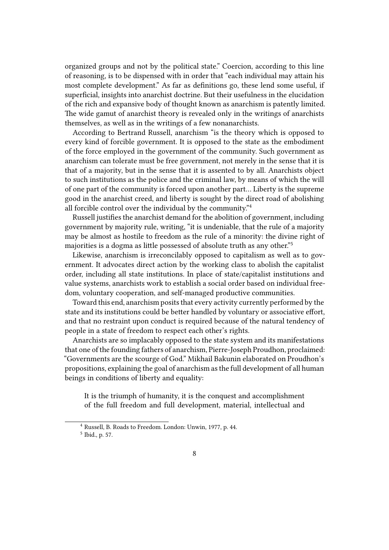organized groups and not by the political state." Coercion, according to this line of reasoning, is to be dispensed with in order that "each individual may attain his most complete development." As far as definitions go, these lend some useful, if superficial, insights into anarchist doctrine. But their usefulness in the elucidation of the rich and expansive body of thought known as anarchism is patently limited. The wide gamut of anarchist theory is revealed only in the writings of anarchists themselves, as well as in the writings of a few nonanarchists.

According to Bertrand Russell, anarchism "is the theory which is opposed to every kind of forcible government. It is opposed to the state as the embodiment of the force employed in the government of the community. Such government as anarchism can tolerate must be free government, not merely in the sense that it is that of a majority, but in the sense that it is assented to by all. Anarchists object to such institutions as the police and the criminal law, by means of which the will of one part of the community is forced upon another part… Liberty is the supreme good in the anarchist creed, and liberty is sought by the direct road of abolishing all forcible control over the individual by the community."<sup>4</sup>

Russell justifies the anarchist demand for the abolition of government, including government by majority rule, writing, "it is undeniable, that the rule of a majority may be almost as hostile to freedom as the rule of a minority: the divine right of majorities is a dogma as little possessed of absolute truth as any other."<sup>5</sup>

Likewise, anarchism is irreconcilably opposed to capitalism as well as to government. It advocates direct action by the working class to abolish the capitalist order, including all state institutions. In place of state/capitalist institutions and value systems, anarchists work to establish a social order based on individual freedom, voluntary cooperation, and self-managed productive communities.

Toward this end, anarchism posits that every activity currently performed by the state and its institutions could be better handled by voluntary or associative effort, and that no restraint upon conduct is required because of the natural tendency of people in a state of freedom to respect each other's rights.

Anarchists are so implacably opposed to the state system and its manifestations that one of the founding fathers of anarchism, Pierre-Joseph Proudhon, proclaimed: "Governments are the scourge of God." Mikhail Bakunin elaborated on Proudhon's propositions, explaining the goal of anarchism as the full development of all human beings in conditions of liberty and equality:

It is the triumph of humanity, it is the conquest and accomplishment of the full freedom and full development, material, intellectual and

<sup>4</sup> Russell, B. Roads to Freedom. London: Unwin, 1977, p. 44.

<sup>5</sup> Ibid., p. 57.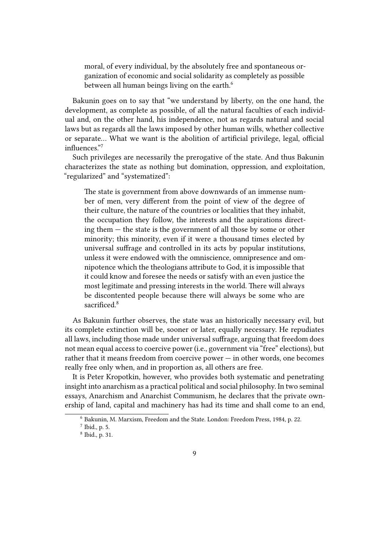moral, of every individual, by the absolutely free and spontaneous organization of economic and social solidarity as completely as possible between all human beings living on the earth.<sup>6</sup>

Bakunin goes on to say that "we understand by liberty, on the one hand, the development, as complete as possible, of all the natural faculties of each individual and, on the other hand, his independence, not as regards natural and social laws but as regards all the laws imposed by other human wills, whether collective or separate… What we want is the abolition of artificial privilege, legal, official influences."<sup>7</sup>

Such privileges are necessarily the prerogative of the state. And thus Bakunin characterizes the state as nothing but domination, oppression, and exploitation, "regularized" and "systematized":

The state is government from above downwards of an immense number of men, very different from the point of view of the degree of their culture, the nature of the countries or localities that they inhabit, the occupation they follow, the interests and the aspirations directing them — the state is the government of all those by some or other minority; this minority, even if it were a thousand times elected by universal suffrage and controlled in its acts by popular institutions, unless it were endowed with the omniscience, omnipresence and omnipotence which the theologians attribute to God, it is impossible that it could know and foresee the needs or satisfy with an even justice the most legitimate and pressing interests in the world. There will always be discontented people because there will always be some who are sacrificed.<sup>8</sup>

As Bakunin further observes, the state was an historically necessary evil, but its complete extinction will be, sooner or later, equally necessary. He repudiates all laws, including those made under universal suffrage, arguing that freedom does not mean equal access to coercive power (i.e., government via "free" elections), but rather that it means freedom from coercive power — in other words, one becomes really free only when, and in proportion as, all others are free.

It is Peter Kropotkin, however, who provides both systematic and penetrating insight into anarchism as a practical political and social philosophy. In two seminal essays, Anarchism and Anarchist Communism, he declares that the private ownership of land, capital and machinery has had its time and shall come to an end,

<sup>6</sup> Bakunin, M. Marxism, Freedom and the State. London: Freedom Press, 1984, p. 22.

<sup>7</sup> Ibid., p. 5.

<sup>8</sup> Ibid., p. 31.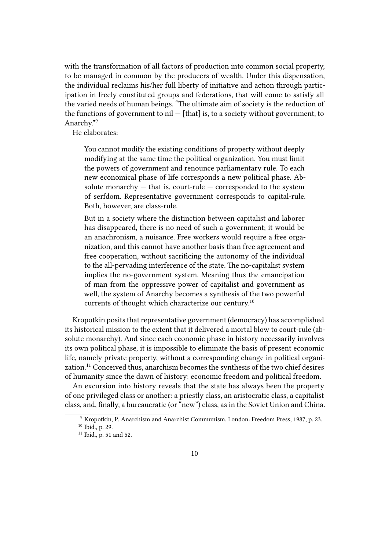with the transformation of all factors of production into common social property, to be managed in common by the producers of wealth. Under this dispensation, the individual reclaims his/her full liberty of initiative and action through participation in freely constituted groups and federations, that will come to satisfy all the varied needs of human beings. "The ultimate aim of society is the reduction of the functions of government to  $nil - [that]$  is, to a society without government, to Anarchy."<sup>9</sup>

He elaborates:

You cannot modify the existing conditions of property without deeply modifying at the same time the political organization. You must limit the powers of government and renounce parliamentary rule. To each new economical phase of life corresponds a new political phase. Absolute monarchy  $-$  that is, court-rule  $-$  corresponded to the system of serfdom. Representative government corresponds to capital-rule. Both, however, are class-rule.

But in a society where the distinction between capitalist and laborer has disappeared, there is no need of such a government; it would be an anachronism, a nuisance. Free workers would require a free organization, and this cannot have another basis than free agreement and free cooperation, without sacrificing the autonomy of the individual to the all-pervading interference of the state. The no-capitalist system implies the no-government system. Meaning thus the emancipation of man from the oppressive power of capitalist and government as well, the system of Anarchy becomes a synthesis of the two powerful currents of thought which characterize our century.<sup>10</sup>

Kropotkin posits that representative government (democracy) has accomplished its historical mission to the extent that it delivered a mortal blow to court-rule (absolute monarchy). And since each economic phase in history necessarily involves its own political phase, it is impossible to eliminate the basis of present economic life, namely private property, without a corresponding change in political organization.<sup>11</sup> Conceived thus, anarchism becomes the synthesis of the two chief desires of humanity since the dawn of history: economic freedom and political freedom.

An excursion into history reveals that the state has always been the property of one privileged class or another: a priestly class, an aristocratic class, a capitalist class, and, finally, a bureaucratic (or "new") class, as in the Soviet Union and China.

<sup>9</sup> Kropotkin, P. Anarchism and Anarchist Communism. London: Freedom Press, 1987, p. 23.

<sup>10</sup> Ibid., p. 29.

<sup>&</sup>lt;sup>11</sup> Ibid., p. 51 and 52.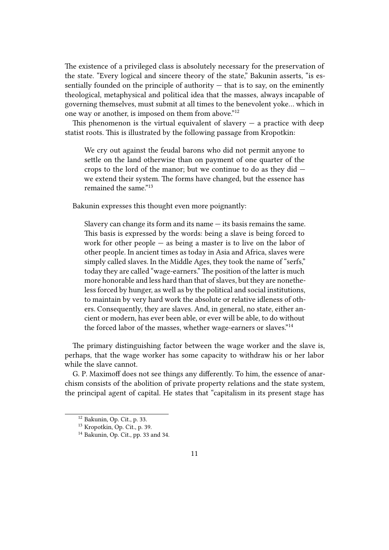The existence of a privileged class is absolutely necessary for the preservation of the state. "Every logical and sincere theory of the state," Bakunin asserts, "is essentially founded on the principle of authority  $-$  that is to say, on the eminently theological, metaphysical and political idea that the masses, always incapable of governing themselves, must submit at all times to the benevolent yoke… which in one way or another, is imposed on them from above."<sup>12</sup>

This phenomenon is the virtual equivalent of slavery  $-$  a practice with deep statist roots. This is illustrated by the following passage from Kropotkin:

We cry out against the feudal barons who did not permit anyone to settle on the land otherwise than on payment of one quarter of the crops to the lord of the manor; but we continue to do as they did we extend their system. The forms have changed, but the essence has remained the same."<sup>13</sup>

Bakunin expresses this thought even more poignantly:

Slavery can change its form and its name  $-$  its basis remains the same. This basis is expressed by the words: being a slave is being forced to work for other people — as being a master is to live on the labor of other people. In ancient times as today in Asia and Africa, slaves were simply called slaves. In the Middle Ages, they took the name of "serfs," today they are called "wage-earners." The position of the latter is much more honorable and less hard than that of slaves, but they are nonetheless forced by hunger, as well as by the political and social institutions, to maintain by very hard work the absolute or relative idleness of others. Consequently, they are slaves. And, in general, no state, either ancient or modern, has ever been able, or ever will be able, to do without the forced labor of the masses, whether wage-earners or slaves."<sup>14</sup>

The primary distinguishing factor between the wage worker and the slave is, perhaps, that the wage worker has some capacity to withdraw his or her labor while the slave cannot.

G. P. Maximoff does not see things any differently. To him, the essence of anarchism consists of the abolition of private property relations and the state system, the principal agent of capital. He states that "capitalism in its present stage has

<sup>12</sup> Bakunin, Op. Cit., p. 33.

<sup>13</sup> Kropotkin, Op. Cit., p. 39.

<sup>&</sup>lt;sup>14</sup> Bakunin, Op. Cit., pp. 33 and 34.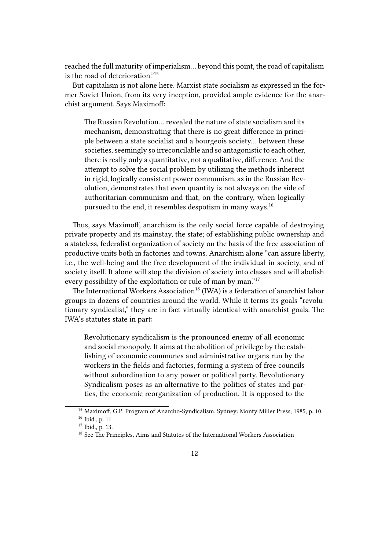reached the full maturity of imperialism… beyond this point, the road of capitalism is the road of deterioration."<sup>15</sup>

But capitalism is not alone here. Marxist state socialism as expressed in the former Soviet Union, from its very inception, provided ample evidence for the anarchist argument. Says Maximoff:

The Russian Revolution… revealed the nature of state socialism and its mechanism, demonstrating that there is no great difference in principle between a state socialist and a bourgeois society… between these societies, seemingly so irreconcilable and so antagonistic to each other, there is really only a quantitative, not a qualitative, difference. And the attempt to solve the social problem by utilizing the methods inherent in rigid, logically consistent power communism, as in the Russian Revolution, demonstrates that even quantity is not always on the side of authoritarian communism and that, on the contrary, when logically pursued to the end, it resembles despotism in many ways.<sup>16</sup>

Thus, says Maximoff, anarchism is the only social force capable of destroying private property and its mainstay, the state; of establishing public ownership and a stateless, federalist organization of society on the basis of the free association of productive units both in factories and towns. Anarchism alone "can assure liberty, i.e., the well-being and the free development of the individual in society, and of society itself. It alone will stop the division of society into classes and will abolish every possibility of the exploitation or rule of man by man."<sup>17</sup>

The International Workers Association<sup>18</sup> (IWA) is a federation of anarchist labor groups in dozens of countries around the world. While it terms its goals "revolutionary syndicalist," they are in fact virtually identical with anarchist goals. The IWA's statutes state in part:

Revolutionary syndicalism is the pronounced enemy of all economic and social monopoly. It aims at the abolition of privilege by the establishing of economic communes and administrative organs run by the workers in the fields and factories, forming a system of free councils without subordination to any power or political party. Revolutionary Syndicalism poses as an alternative to the politics of states and parties, the economic reorganization of production. It is opposed to the

<sup>15</sup> Maximoff, G.P. Program of Anarcho-Syndicalism. Sydney: Monty Miller Press, 1985, p. 10. <sup>16</sup> Ibid., p. 11.

 $17$  Ibid., p. 13.

<sup>&</sup>lt;sup>18</sup> See The Principles, Aims and Statutes of the International Workers Association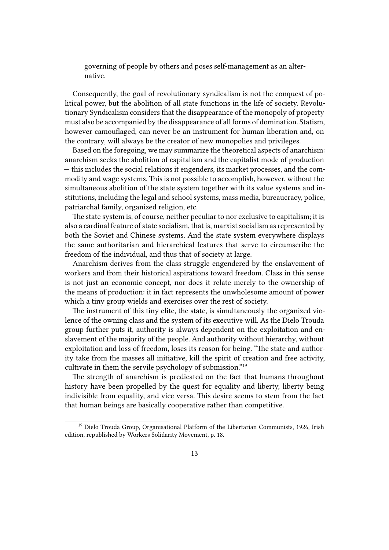governing of people by others and poses self-management as an alternative.

Consequently, the goal of revolutionary syndicalism is not the conquest of political power, but the abolition of all state functions in the life of society. Revolutionary Syndicalism considers that the disappearance of the monopoly of property must also be accompanied by the disappearance of all forms of domination. Statism, however camouflaged, can never be an instrument for human liberation and, on the contrary, will always be the creator of new monopolies and privileges.

Based on the foregoing, we may summarize the theoretical aspects of anarchism: anarchism seeks the abolition of capitalism and the capitalist mode of production — this includes the social relations it engenders, its market processes, and the commodity and wage systems. This is not possible to accomplish, however, without the simultaneous abolition of the state system together with its value systems and institutions, including the legal and school systems, mass media, bureaucracy, police, patriarchal family, organized religion, etc.

The state system is, of course, neither peculiar to nor exclusive to capitalism; it is also a cardinal feature of state socialism, that is, marxist socialism as represented by both the Soviet and Chinese systems. And the state system everywhere displays the same authoritarian and hierarchical features that serve to circumscribe the freedom of the individual, and thus that of society at large.

Anarchism derives from the class struggle engendered by the enslavement of workers and from their historical aspirations toward freedom. Class in this sense is not just an economic concept, nor does it relate merely to the ownership of the means of production: it in fact represents the unwholesome amount of power which a tiny group wields and exercises over the rest of society.

The instrument of this tiny elite, the state, is simultaneously the organized violence of the owning class and the system of its executive will. As the Dielo Trouda group further puts it, authority is always dependent on the exploitation and enslavement of the majority of the people. And authority without hierarchy, without exploitation and loss of freedom, loses its reason for being. "The state and authority take from the masses all initiative, kill the spirit of creation and free activity, cultivate in them the servile psychology of submission."<sup>19</sup>

The strength of anarchism is predicated on the fact that humans throughout history have been propelled by the quest for equality and liberty, liberty being indivisible from equality, and vice versa. This desire seems to stem from the fact that human beings are basically cooperative rather than competitive.

<sup>19</sup> Dielo Trouda Group, Organisational Platform of the Libertarian Communists, 1926, Irish edition, republished by Workers Solidarity Movement, p. 18.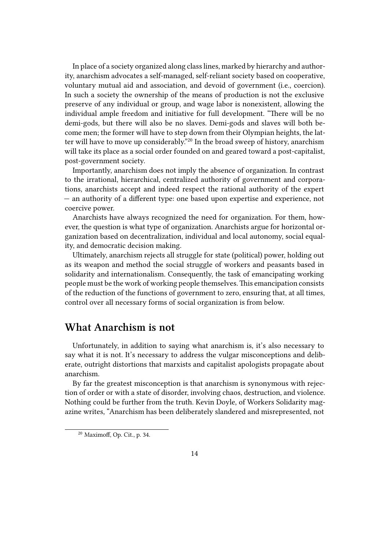In place of a society organized along class lines, marked by hierarchy and authority, anarchism advocates a self-managed, self-reliant society based on cooperative, voluntary mutual aid and association, and devoid of government (i.e., coercion). In such a society the ownership of the means of production is not the exclusive preserve of any individual or group, and wage labor is nonexistent, allowing the individual ample freedom and initiative for full development. "There will be no demi-gods, but there will also be no slaves. Demi-gods and slaves will both become men; the former will have to step down from their Olympian heights, the latter will have to move up considerably."<sup>20</sup> In the broad sweep of history, anarchism will take its place as a social order founded on and geared toward a post-capitalist, post-government society.

Importantly, anarchism does not imply the absence of organization. In contrast to the irrational, hierarchical, centralized authority of government and corporations, anarchists accept and indeed respect the rational authority of the expert — an authority of a different type: one based upon expertise and experience, not coercive power.

Anarchists have always recognized the need for organization. For them, however, the question is what type of organization. Anarchists argue for horizontal organization based on decentralization, individual and local autonomy, social equality, and democratic decision making.

Ultimately, anarchism rejects all struggle for state (political) power, holding out as its weapon and method the social struggle of workers and peasants based in solidarity and internationalism. Consequently, the task of emancipating working people must be the work of working people themselves.This emancipation consists of the reduction of the functions of government to zero, ensuring that, at all times, control over all necessary forms of social organization is from below.

## <span id="page-13-0"></span>**What Anarchism is not**

Unfortunately, in addition to saying what anarchism is, it's also necessary to say what it is not. It's necessary to address the vulgar misconceptions and deliberate, outright distortions that marxists and capitalist apologists propagate about anarchism.

By far the greatest misconception is that anarchism is synonymous with rejection of order or with a state of disorder, involving chaos, destruction, and violence. Nothing could be further from the truth. Kevin Doyle, of Workers Solidarity magazine writes, "Anarchism has been deliberately slandered and misrepresented, not

<sup>20</sup> Maximoff, Op. Cit., p. 34.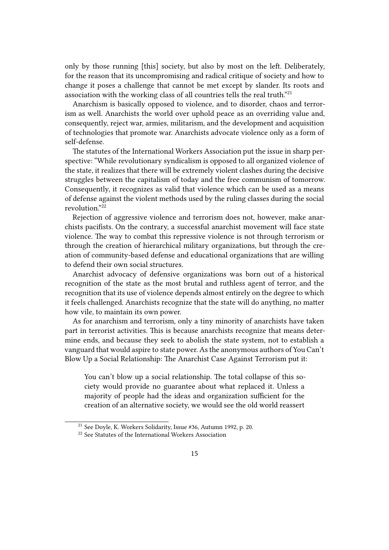only by those running [this] society, but also by most on the left. Deliberately, for the reason that its uncompromising and radical critique of society and how to change it poses a challenge that cannot be met except by slander. Its roots and association with the working class of all countries tells the real truth."<sup>21</sup>

Anarchism is basically opposed to violence, and to disorder, chaos and terrorism as well. Anarchists the world over uphold peace as an overriding value and, consequently, reject war, armies, militarism, and the development and acquisition of technologies that promote war. Anarchists advocate violence only as a form of self-defense.

The statutes of the International Workers Association put the issue in sharp perspective: "While revolutionary syndicalism is opposed to all organized violence of the state, it realizes that there will be extremely violent clashes during the decisive struggles between the capitalism of today and the free communism of tomorrow. Consequently, it recognizes as valid that violence which can be used as a means of defense against the violent methods used by the ruling classes during the social  $revolution$ <sup>"22</sup>

Rejection of aggressive violence and terrorism does not, however, make anarchists pacifists. On the contrary, a successful anarchist movement will face state violence. The way to combat this repressive violence is not through terrorism or through the creation of hierarchical military organizations, but through the creation of community-based defense and educational organizations that are willing to defend their own social structures.

Anarchist advocacy of defensive organizations was born out of a historical recognition of the state as the most brutal and ruthless agent of terror, and the recognition that its use of violence depends almost entirely on the degree to which it feels challenged. Anarchists recognize that the state will do anything, no matter how vile, to maintain its own power.

As for anarchism and terrorism, only a tiny minority of anarchists have taken part in terrorist activities. This is because anarchists recognize that means determine ends, and because they seek to abolish the state system, not to establish a vanguard that would aspire to state power. As the anonymous authors of You Can't Blow Up a Social Relationship: The Anarchist Case Against Terrorism put it:

You can't blow up a social relationship. The total collapse of this society would provide no guarantee about what replaced it. Unless a majority of people had the ideas and organization sufficient for the creation of an alternative society, we would see the old world reassert

 $21$  See Doyle, K. Workers Solidarity, Issue #36, Autumn 1992, p. 20.

<sup>&</sup>lt;sup>22</sup> See Statutes of the International Workers Association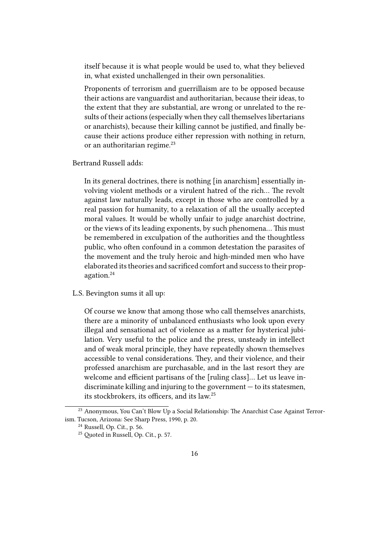itself because it is what people would be used to, what they believed in, what existed unchallenged in their own personalities.

Proponents of terrorism and guerrillaism are to be opposed because their actions are vanguardist and authoritarian, because their ideas, to the extent that they are substantial, are wrong or unrelated to the results of their actions (especially when they call themselves libertarians or anarchists), because their killing cannot be justified, and finally because their actions produce either repression with nothing in return, or an authoritarian regime.<sup>23</sup>

Bertrand Russell adds:

In its general doctrines, there is nothing [in anarchism] essentially involving violent methods or a virulent hatred of the rich… The revolt against law naturally leads, except in those who are controlled by a real passion for humanity, to a relaxation of all the usually accepted moral values. It would be wholly unfair to judge anarchist doctrine, or the views of its leading exponents, by such phenomena… This must be remembered in exculpation of the authorities and the thoughtless public, who often confound in a common detestation the parasites of the movement and the truly heroic and high-minded men who have elaborated its theories and sacrificed comfort and success to their propagation.<sup>24</sup>

#### L.S. Bevington sums it all up:

Of course we know that among those who call themselves anarchists, there are a minority of unbalanced enthusiasts who look upon every illegal and sensational act of violence as a matter for hysterical jubilation. Very useful to the police and the press, unsteady in intellect and of weak moral principle, they have repeatedly shown themselves accessible to venal considerations. They, and their violence, and their professed anarchism are purchasable, and in the last resort they are welcome and efficient partisans of the [ruling class]… Let us leave indiscriminate killing and injuring to the government — to its statesmen, its stockbrokers, its officers, and its law.<sup>25</sup>

<sup>&</sup>lt;sup>23</sup> Anonymous, You Can't Blow Up a Social Relationship: The Anarchist Case Against Terrorism. Tucson, Arizona: See Sharp Press, 1990, p. 20.

<sup>24</sup> Russell, Op. Cit., p. 56.

<sup>25</sup> Quoted in Russell, Op. Cit., p. 57.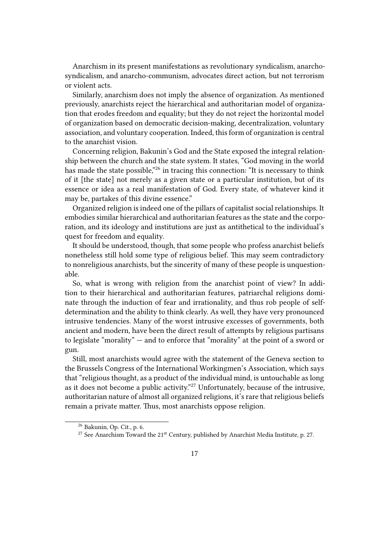Anarchism in its present manifestations as revolutionary syndicalism, anarchosyndicalism, and anarcho-communism, advocates direct action, but not terrorism or violent acts.

Similarly, anarchism does not imply the absence of organization. As mentioned previously, anarchists reject the hierarchical and authoritarian model of organization that erodes freedom and equality; but they do not reject the horizontal model of organization based on democratic decision-making, decentralization, voluntary association, and voluntary cooperation. Indeed, this form of organization is central to the anarchist vision.

Concerning religion, Bakunin's God and the State exposed the integral relationship between the church and the state system. It states, "God moving in the world has made the state possible,"<sup>26</sup> in tracing this connection: "It is necessary to think of it [the state] not merely as a given state or a particular institution, but of its essence or idea as a real manifestation of God. Every state, of whatever kind it may be, partakes of this divine essence."

Organized religion is indeed one of the pillars of capitalist social relationships. It embodies similar hierarchical and authoritarian features as the state and the corporation, and its ideology and institutions are just as antithetical to the individual's quest for freedom and equality.

It should be understood, though, that some people who profess anarchist beliefs nonetheless still hold some type of religious belief. This may seem contradictory to nonreligious anarchists, but the sincerity of many of these people is unquestionable.

So, what is wrong with religion from the anarchist point of view? In addition to their hierarchical and authoritarian features, patriarchal religions dominate through the induction of fear and irrationality, and thus rob people of selfdetermination and the ability to think clearly. As well, they have very pronounced intrusive tendencies. Many of the worst intrusive excesses of governments, both ancient and modern, have been the direct result of attempts by religious partisans to legislate "morality" — and to enforce that "morality" at the point of a sword or gun.

Still, most anarchists would agree with the statement of the Geneva section to the Brussels Congress of the International Workingmen's Association, which says that "religious thought, as a product of the individual mind, is untouchable as long as it does not become a public activity."<sup>27</sup> Unfortunately, because of the intrusive, authoritarian nature of almost all organized religions, it's rare that religious beliefs remain a private matter. Thus, most anarchists oppose religion.

<sup>26</sup> Bakunin, Op. Cit., p. 6.

<sup>&</sup>lt;sup>27</sup> See Anarchism Toward the 21<sup>st</sup> Century, published by Anarchist Media Institute, p. 27.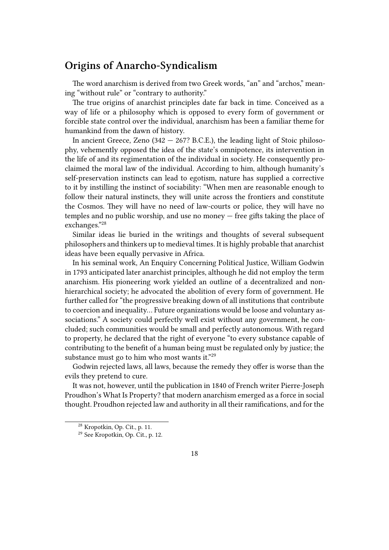## <span id="page-17-0"></span>**Origins of Anarcho-Syndicalism**

The word anarchism is derived from two Greek words, "an" and "archos," meaning "without rule" or "contrary to authority."

The true origins of anarchist principles date far back in time. Conceived as a way of life or a philosophy which is opposed to every form of government or forcible state control over the individual, anarchism has been a familiar theme for humankind from the dawn of history.

In ancient Greece, Zeno  $(342 - 267)$ ? B.C.E.), the leading light of Stoic philosophy, vehemently opposed the idea of the state's omnipotence, its intervention in the life of and its regimentation of the individual in society. He consequently proclaimed the moral law of the individual. According to him, although humanity's self-preservation instincts can lead to egotism, nature has supplied a corrective to it by instilling the instinct of sociability: "When men are reasonable enough to follow their natural instincts, they will unite across the frontiers and constitute the Cosmos. They will have no need of law-courts or police, they will have no temples and no public worship, and use no money — free gifts taking the place of exchanges."<sup>28</sup>

Similar ideas lie buried in the writings and thoughts of several subsequent philosophers and thinkers up to medieval times. It is highly probable that anarchist ideas have been equally pervasive in Africa.

In his seminal work, An Enquiry Concerning Political Justice, William Godwin in 1793 anticipated later anarchist principles, although he did not employ the term anarchism. His pioneering work yielded an outline of a decentralized and nonhierarchical society; he advocated the abolition of every form of government. He further called for "the progressive breaking down of all institutions that contribute to coercion and inequality… Future organizations would be loose and voluntary associations." A society could perfectly well exist without any government, he concluded; such communities would be small and perfectly autonomous. With regard to property, he declared that the right of everyone "to every substance capable of contributing to the benefit of a human being must be regulated only by justice; the substance must go to him who most wants it."<sup>29</sup>

Godwin rejected laws, all laws, because the remedy they offer is worse than the evils they pretend to cure.

It was not, however, until the publication in 1840 of French writer Pierre-Joseph Proudhon's What Is Property? that modern anarchism emerged as a force in social thought. Proudhon rejected law and authority in all their ramifications, and for the

<sup>28</sup> Kropotkin, Op. Cit., p. 11.

<sup>29</sup> See Kropotkin, Op. Cit., p. 12.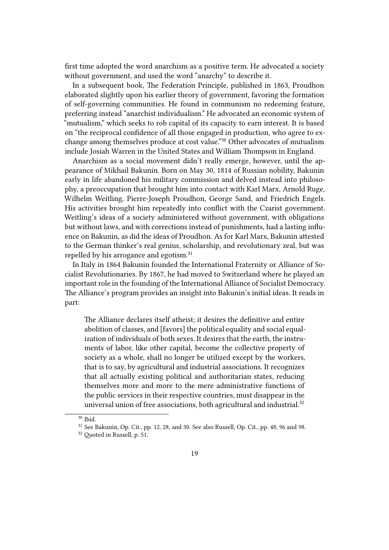first time adopted the word anarchism as a positive term. He advocated a society without government, and used the word "anarchy" to describe it.

In a subsequent book, The Federation Principle, published in 1863, Proudhon elaborated slightly upon his earlier theory of government, favoring the formation of self-governing communities. He found in communism no redeeming feature, preferring instead "anarchist individualism." He advocated an economic system of "mutualism," which seeks to rob capital of its capacity to earn interest. It is based on "the reciprocal confidence of all those engaged in production, who agree to exchange among themselves produce at cost value."<sup>30</sup> Other advocates of mutualism include Josiah Warren in the United States and William Thompson in England.

Anarchism as a social movement didn't really emerge, however, until the appearance of Mikhail Bakunin. Born on May 30, 1814 of Russian nobility, Bakunin early in life abandoned his military commission and delved instead into philosophy, a preoccupation that brought him into contact with Karl Marx, Arnold Ruge, Wilhelm Weitling, Pierre-Joseph Proudhon, George Sand, and Friedrich Engels. His activities brought him repeatedly into conflict with the Czarist government. Weitling's ideas of a society administered without government, with obligations but without laws, and with corrections instead of punishments, had a lasting influence on Bakunin, as did the ideas of Proudhon. As for Karl Marx, Bakunin attested to the German thinker's real genius, scholarship, and revolutionary zeal, but was repelled by his arrogance and egotism.<sup>31</sup>

In Italy in 1864 Bakunin founded the International Fraternity or Alliance of Socialist Revolutionaries. By 1867, he had moved to Switzerland where he played an important role in the founding of the International Alliance of Socialist Democracy. The Alliance's program provides an insight into Bakunin's initial ideas. It reads in part:

The Alliance declares itself atheist; it desires the definitive and entire abolition of classes, and [favors] the political equality and social equalization of individuals of both sexes. It desires that the earth, the instruments of labor, like other capital, become the collective property of society as a whole, shall no longer be utilized except by the workers, that is to say, by agricultural and industrial associations. It recognizes that all actually existing political and authoritarian states, reducing themselves more and more to the mere administrative functions of the public services in their respective countries, must disappear in the universal union of free associations, both agricultural and industrial.<sup>32</sup>

 $30$  Ibid.

<sup>31</sup> See Bakunin, Op. Cit., pp. 12, 28, and 30. See also Russell, Op. Cit., pp. 48, 96 and 98.

<sup>32</sup> Quoted in Russell, p. 51.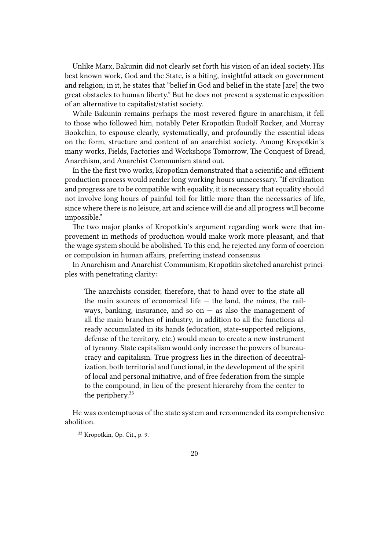Unlike Marx, Bakunin did not clearly set forth his vision of an ideal society. His best known work, God and the State, is a biting, insightful attack on government and religion; in it, he states that "belief in God and belief in the state [are] the two great obstacles to human liberty." But he does not present a systematic exposition of an alternative to capitalist/statist society.

While Bakunin remains perhaps the most revered figure in anarchism, it fell to those who followed him, notably Peter Kropotkin Rudolf Rocker, and Murray Bookchin, to espouse clearly, systematically, and profoundly the essential ideas on the form, structure and content of an anarchist society. Among Kropotkin's many works, Fields, Factories and Workshops Tomorrow, The Conquest of Bread, Anarchism, and Anarchist Communism stand out.

In the the first two works, Kropotkin demonstrated that a scientific and efficient production process would render long working hours unnecessary. "If civilization and progress are to be compatible with equality, it is necessary that equality should not involve long hours of painful toil for little more than the necessaries of life, since where there is no leisure, art and science will die and all progress will become impossible."

The two major planks of Kropotkin's argument regarding work were that improvement in methods of production would make work more pleasant, and that the wage system should be abolished. To this end, he rejected any form of coercion or compulsion in human affairs, preferring instead consensus.

In Anarchism and Anarchist Communism, Kropotkin sketched anarchist principles with penetrating clarity:

The anarchists consider, therefore, that to hand over to the state all the main sources of economical life  $-$  the land, the mines, the railways, banking, insurance, and so on  $-$  as also the management of all the main branches of industry, in addition to all the functions already accumulated in its hands (education, state-supported religions, defense of the territory, etc.) would mean to create a new instrument of tyranny. State capitalism would only increase the powers of bureaucracy and capitalism. True progress lies in the direction of decentralization, both territorial and functional, in the development of the spirit of local and personal initiative, and of free federation from the simple to the compound, in lieu of the present hierarchy from the center to the periphery.<sup>33</sup>

He was contemptuous of the state system and recommended its comprehensive abolition.

<sup>33</sup> Kropotkin, Op. Cit., p. 9.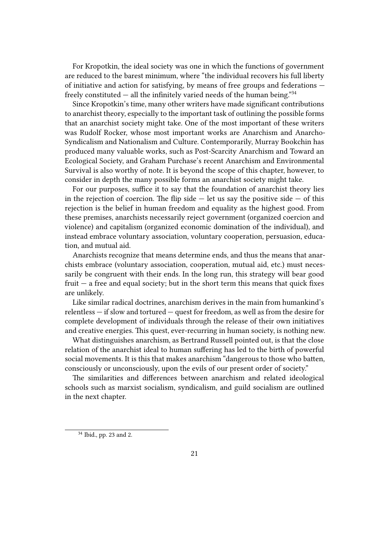For Kropotkin, the ideal society was one in which the functions of government are reduced to the barest minimum, where "the individual recovers his full liberty of initiative and action for satisfying, by means of free groups and federations freely constituted — all the infinitely varied needs of the human being."<sup>34</sup>

Since Kropotkin's time, many other writers have made significant contributions to anarchist theory, especially to the important task of outlining the possible forms that an anarchist society might take. One of the most important of these writers was Rudolf Rocker, whose most important works are Anarchism and Anarcho-Syndicalism and Nationalism and Culture. Contemporarily, Murray Bookchin has produced many valuable works, such as Post-Scarcity Anarchism and Toward an Ecological Society, and Graham Purchase's recent Anarchism and Environmental Survival is also worthy of note. It is beyond the scope of this chapter, however, to consider in depth the many possible forms an anarchist society might take.

For our purposes, suffice it to say that the foundation of anarchist theory lies in the rejection of coercion. The flip side  $-$  let us say the positive side  $-$  of this rejection is the belief in human freedom and equality as the highest good. From these premises, anarchists necessarily reject government (organized coercion and violence) and capitalism (organized economic domination of the individual), and instead embrace voluntary association, voluntary cooperation, persuasion, education, and mutual aid.

Anarchists recognize that means determine ends, and thus the means that anarchists embrace (voluntary association, cooperation, mutual aid, etc.) must necessarily be congruent with their ends. In the long run, this strategy will bear good fruit  $-$  a free and equal society; but in the short term this means that quick fixes are unlikely.

Like similar radical doctrines, anarchism derives in the main from humankind's relentless — if slow and tortured — quest for freedom, as well as from the desire for complete development of individuals through the release of their own initiatives and creative energies. This quest, ever-recurring in human society, is nothing new.

What distinguishes anarchism, as Bertrand Russell pointed out, is that the close relation of the anarchist ideal to human suffering has led to the birth of powerful social movements. It is this that makes anarchism "dangerous to those who batten, consciously or unconsciously, upon the evils of our present order of society."

The similarities and differences between anarchism and related ideological schools such as marxist socialism, syndicalism, and guild socialism are outlined in the next chapter.

<sup>34</sup> Ibid., pp. 23 and 2.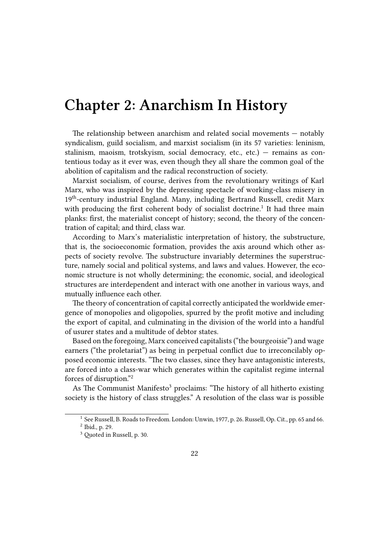## <span id="page-21-0"></span>**Chapter 2: Anarchism In History**

The relationship between anarchism and related social movements — notably syndicalism, guild socialism, and marxist socialism (in its 57 varieties: leninism, stalinism, maoism, trotskyism, social democracy, etc., etc.) — remains as contentious today as it ever was, even though they all share the common goal of the abolition of capitalism and the radical reconstruction of society.

Marxist socialism, of course, derives from the revolutionary writings of Karl Marx, who was inspired by the depressing spectacle of working-class misery in 19th-century industrial England. Many, including Bertrand Russell, credit Marx with producing the first coherent body of socialist doctrine.<sup>1</sup> It had three main planks: first, the materialist concept of history; second, the theory of the concentration of capital; and third, class war.

According to Marx's materialistic interpretation of history, the substructure, that is, the socioeconomic formation, provides the axis around which other aspects of society revolve. The substructure invariably determines the superstructure, namely social and political systems, and laws and values. However, the economic structure is not wholly determining; the economic, social, and ideological structures are interdependent and interact with one another in various ways, and mutually influence each other.

The theory of concentration of capital correctly anticipated the worldwide emergence of monopolies and oligopolies, spurred by the profit motive and including the export of capital, and culminating in the division of the world into a handful of usurer states and a multitude of debtor states.

Based on the foregoing, Marx conceived capitalists ("the bourgeoisie") and wage earners ("the proletariat") as being in perpetual conflict due to irreconcilably opposed economic interests. "The two classes, since they have antagonistic interests, are forced into a class-war which generates within the capitalist regime internal forces of disruption."<sup>2</sup>

As The Communist Manifesto<sup>3</sup> proclaims: "The history of all hitherto existing society is the history of class struggles." A resolution of the class war is possible

<sup>&</sup>lt;sup>1</sup> See Russell, B. Roads to Freedom. London: Unwin, 1977, p. 26. Russell, Op. Cit., pp. 65 and 66. 2 Ibid., p. 29.

<sup>3</sup> Quoted in Russell, p. 30.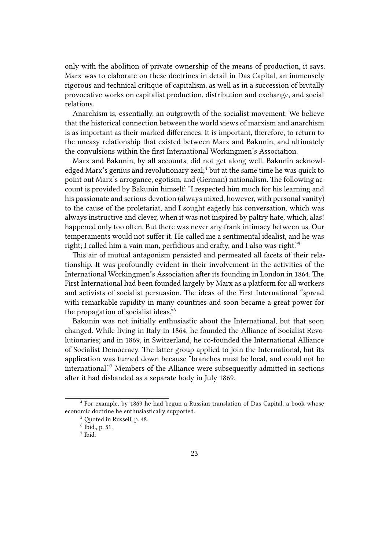only with the abolition of private ownership of the means of production, it says. Marx was to elaborate on these doctrines in detail in Das Capital, an immensely rigorous and technical critique of capitalism, as well as in a succession of brutally provocative works on capitalist production, distribution and exchange, and social relations.

Anarchism is, essentially, an outgrowth of the socialist movement. We believe that the historical connection between the world views of marxism and anarchism is as important as their marked differences. It is important, therefore, to return to the uneasy relationship that existed between Marx and Bakunin, and ultimately the convulsions within the first International Workingmen's Association.

Marx and Bakunin, by all accounts, did not get along well. Bakunin acknowledged Marx's genius and revolutionary zeal;<sup>4</sup> but at the same time he was quick to point out Marx's arrogance, egotism, and (German) nationalism. The following account is provided by Bakunin himself: "I respected him much for his learning and his passionate and serious devotion (always mixed, however, with personal vanity) to the cause of the proletariat, and I sought eagerly his conversation, which was always instructive and clever, when it was not inspired by paltry hate, which, alas! happened only too often. But there was never any frank intimacy between us. Our temperaments would not suffer it. He called me a sentimental idealist, and he was right; I called him a vain man, perfidious and crafty, and I also was right."<sup>5</sup>

This air of mutual antagonism persisted and permeated all facets of their relationship. It was profoundly evident in their involvement in the activities of the International Workingmen's Association after its founding in London in 1864. The First International had been founded largely by Marx as a platform for all workers and activists of socialist persuasion. The ideas of the First International "spread with remarkable rapidity in many countries and soon became a great power for the propagation of socialist ideas."<sup>6</sup>

Bakunin was not initially enthusiastic about the International, but that soon changed. While living in Italy in 1864, he founded the Alliance of Socialist Revolutionaries; and in 1869, in Switzerland, he co-founded the International Alliance of Socialist Democracy. The latter group applied to join the International, but its application was turned down because "branches must be local, and could not be international."<sup>7</sup> Members of the Alliance were subsequently admitted in sections after it had disbanded as a separate body in July 1869.

<sup>4</sup> For example, by 1869 he had begun a Russian translation of Das Capital, a book whose economic doctrine he enthusiastically supported.

<sup>5</sup> Quoted in Russell, p. 48.

<sup>6</sup> Ibid., p. 51.

<sup>7</sup> Ibid.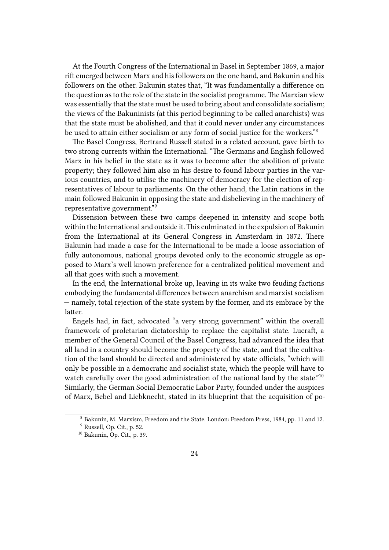At the Fourth Congress of the International in Basel in September 1869, a major rift emerged between Marx and his followers on the one hand, and Bakunin and his followers on the other. Bakunin states that, "It was fundamentally a difference on the question as to the role of the state in the socialist programme.The Marxian view was essentially that the state must be used to bring about and consolidate socialism; the views of the Bakuninists (at this period beginning to be called anarchists) was that the state must be abolished, and that it could never under any circumstances be used to attain either socialism or any form of social justice for the workers."<sup>8</sup>

The Basel Congress, Bertrand Russell stated in a related account, gave birth to two strong currents within the International. "The Germans and English followed Marx in his belief in the state as it was to become after the abolition of private property; they followed him also in his desire to found labour parties in the various countries, and to utilise the machinery of democracy for the election of representatives of labour to parliaments. On the other hand, the Latin nations in the main followed Bakunin in opposing the state and disbelieving in the machinery of representative government."<sup>9</sup>

Dissension between these two camps deepened in intensity and scope both within the International and outside it.This culminated in the expulsion of Bakunin from the International at its General Congress in Amsterdam in 1872. There Bakunin had made a case for the International to be made a loose association of fully autonomous, national groups devoted only to the economic struggle as opposed to Marx's well known preference for a centralized political movement and all that goes with such a movement.

In the end, the International broke up, leaving in its wake two feuding factions embodying the fundamental differences between anarchism and marxist socialism — namely, total rejection of the state system by the former, and its embrace by the latter.

Engels had, in fact, advocated "a very strong government" within the overall framework of proletarian dictatorship to replace the capitalist state. Lucraft, a member of the General Council of the Basel Congress, had advanced the idea that all land in a country should become the property of the state, and that the cultivation of the land should be directed and administered by state officials, "which will only be possible in a democratic and socialist state, which the people will have to watch carefully over the good administration of the national land by the state."<sup>10</sup> Similarly, the German Social Democratic Labor Party, founded under the auspices of Marx, Bebel and Liebknecht, stated in its blueprint that the acquisition of po-

<sup>8</sup> Bakunin, M. Marxism, Freedom and the State. London: Freedom Press, 1984, pp. 11 and 12.

<sup>&</sup>lt;sup>9</sup> Russell, Op. Cit., p. 52.

<sup>10</sup> Bakunin, Op. Cit., p. 39.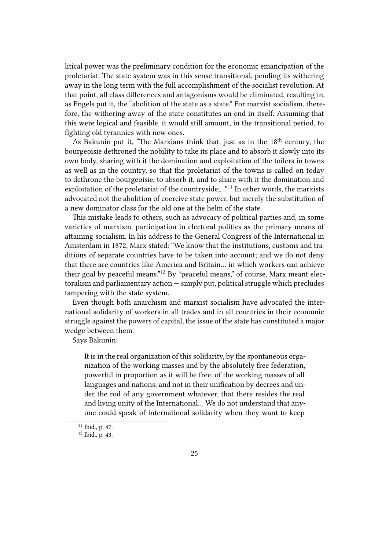litical power was the preliminary condition for the economic emancipation of the proletariat. The state system was in this sense transitional, pending its withering away in the long term with the full accomplishment of the socialist revolution. At that point, all class differences and antagonisms would be eliminated, resulting in, as Engels put it, the "abolition of the state as a state." For marxist socialism, therefore, the withering away of the state constitutes an end in itself. Assuming that this were logical and feasible, it would still amount, in the transitional period, to fighting old tyrannies with new ones.

As Bakunin put it, "The Marxians think that, just as in the  $18<sup>th</sup>$  century, the bourgeoisie dethroned the nobility to take its place and to absorb it slowly into its own body, sharing with it the domination and exploitation of the toilers in towns as well as in the country, so that the proletariat of the towns is called on today to dethrone the bourgeoisie, to absorb it, and to share with it the domination and exploitation of the proletariat of the countryside;…"<sup>11</sup> In other words, the marxists advocated not the abolition of coercive state power, but merely the substitution of a new dominator class for the old one at the helm of the state.

This mistake leads to others, such as advocacy of political parties and, in some varieties of marxism, participation in electoral politics as the primary means of attaining socialism. In his address to the General Congress of the International in Amsterdam in 1872, Marx stated: "We know that the institutions, customs and traditions of separate countries have to be taken into account; and we do not deny that there are countries like America and Britain… in which workers can achieve their goal by peaceful means."<sup>12</sup> By "peaceful means," of course, Marx meant electoralism and parliamentary action — simply put, political struggle which precludes tampering with the state system.

Even though both anarchism and marxist socialism have advocated the international solidarity of workers in all trades and in all countries in their economic struggle against the powers of capital, the issue of the state has constituted a major wedge between them.

Says Bakunin:

It is in the real organization of this solidarity, by the spontaneous organization of the working masses and by the absolutely free federation, powerful in proportion as it will be free, of the working masses of all languages and nations, and not in their unification by decrees and under the rod of any government whatever, that there resides the real and living unity of the International… We do not understand that anyone could speak of international solidarity when they want to keep

 $11$  Ibid., p. 47.

<sup>12</sup> Ibid., p. 43.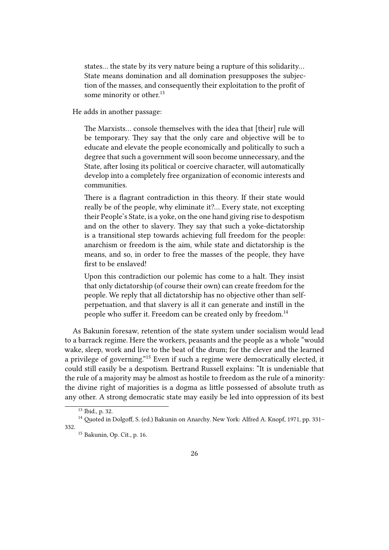states… the state by its very nature being a rupture of this solidarity… State means domination and all domination presupposes the subjection of the masses, and consequently their exploitation to the profit of some minority or other.<sup>13</sup>

He adds in another passage:

The Marxists… console themselves with the idea that [their] rule will be temporary. They say that the only care and objective will be to educate and elevate the people economically and politically to such a degree that such a government will soon become unnecessary, and the State, after losing its political or coercive character, will automatically develop into a completely free organization of economic interests and communities.

There is a flagrant contradiction in this theory. If their state would really be of the people, why eliminate it?… Every state, not excepting their People's State, is a yoke, on the one hand giving rise to despotism and on the other to slavery. They say that such a yoke-dictatorship is a transitional step towards achieving full freedom for the people: anarchism or freedom is the aim, while state and dictatorship is the means, and so, in order to free the masses of the people, they have first to be enslaved!

Upon this contradiction our polemic has come to a halt. They insist that only dictatorship (of course their own) can create freedom for the people. We reply that all dictatorship has no objective other than selfperpetuation, and that slavery is all it can generate and instill in the people who suffer it. Freedom can be created only by freedom.<sup>14</sup>

As Bakunin foresaw, retention of the state system under socialism would lead to a barrack regime. Here the workers, peasants and the people as a whole "would wake, sleep, work and live to the beat of the drum; for the clever and the learned a privilege of governing."<sup>15</sup> Even if such a regime were democratically elected, it could still easily be a despotism. Bertrand Russell explains: "It is undeniable that the rule of a majority may be almost as hostile to freedom as the rule of a minority: the divine right of majorities is a dogma as little possessed of absolute truth as any other. A strong democratic state may easily be led into oppression of its best

<sup>13</sup> Ibid., p. 32.

<sup>&</sup>lt;sup>14</sup> Quoted in Dolgoff, S. (ed.) Bakunin on Anarchy. New York: Alfred A. Knopf, 1971, pp. 331-332.

<sup>15</sup> Bakunin, Op. Cit., p. 16.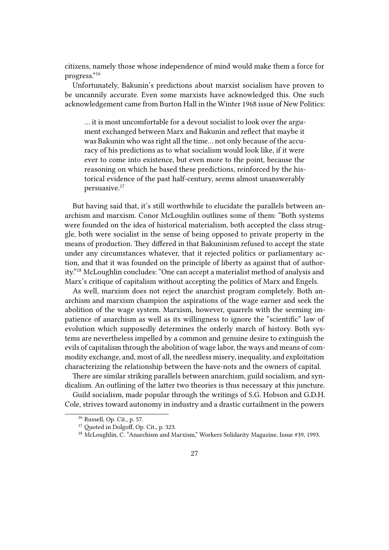citizens, namely those whose independence of mind would make them a force for progress."<sup>16</sup>

Unfortunately, Bakunin's predictions about marxist socialism have proven to be uncannily accurate. Even some marxists have acknowledged this. One such acknowledgement came from Burton Hall in the Winter 1968 issue of New Politics:

… it is most uncomfortable for a devout socialist to look over the argument exchanged between Marx and Bakunin and reflect that maybe it was Bakunin who was right all the time… not only because of the accuracy of his predictions as to what socialism would look like, if it were ever to come into existence, but even more to the point, because the reasoning on which he based these predictions, reinforced by the historical evidence of the past half-century, seems almost unanswerably persuasive.<sup>17</sup>

But having said that, it's still worthwhile to elucidate the parallels between anarchism and marxism. Conor McLoughlin outlines some of them: "Both systems were founded on the idea of historical materialism, both accepted the class struggle, both were socialist in the sense of being opposed to private property in the means of production. They differed in that Bakuninism refused to accept the state under any circumstances whatever, that it rejected politics or parliamentary action, and that it was founded on the principle of liberty as against that of authority."<sup>18</sup> McLoughlin concludes: "One can accept a materialist method of analysis and Marx's critique of capitalism without accepting the politics of Marx and Engels.

As well, marxism does not reject the anarchist program completely. Both anarchism and marxism champion the aspirations of the wage earner and seek the abolition of the wage system. Marxism, however, quarrels with the seeming impatience of anarchism as well as its willingness to ignore the "scientific" law of evolution which supposedly determines the orderly march of history. Both systems are nevertheless impelled by a common and genuine desire to extinguish the evils of capitalism through the abolition of wage labor, the ways and means of commodity exchange, and, most of all, the needless misery, inequality, and exploitation characterizing the relationship between the have-nots and the owners of capital.

There are similar striking parallels between anarchism, guild socialism, and syndicalism. An outlining of the latter two theories is thus necessary at this juncture.

Guild socialism, made popular through the writings of S.G. Hobson and G.D.H. Cole, strives toward autonomy in industry and a drastic curtailment in the powers

<sup>16</sup> Russell, Op. Cit., p. 57.

<sup>&</sup>lt;sup>17</sup> Ouoted in Dolgoff, Op. Cit., p. 323.

<sup>18</sup> McLoughlin, C. "Anarchism and Marxism," Workers Solidarity Magazine, Issue #39, 1993.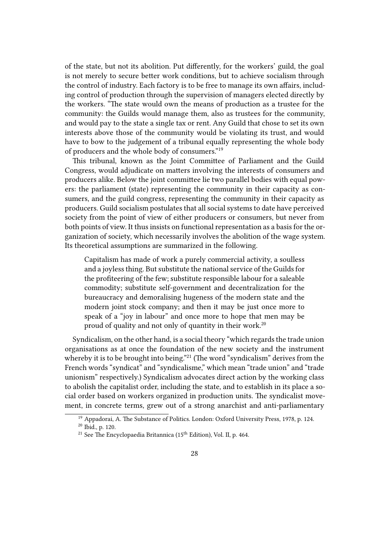of the state, but not its abolition. Put differently, for the workers' guild, the goal is not merely to secure better work conditions, but to achieve socialism through the control of industry. Each factory is to be free to manage its own affairs, including control of production through the supervision of managers elected directly by the workers. "The state would own the means of production as a trustee for the community: the Guilds would manage them, also as trustees for the community, and would pay to the state a single tax or rent. Any Guild that chose to set its own interests above those of the community would be violating its trust, and would have to bow to the judgement of a tribunal equally representing the whole body of producers and the whole body of consumers."<sup>19</sup>

This tribunal, known as the Joint Committee of Parliament and the Guild Congress, would adjudicate on matters involving the interests of consumers and producers alike. Below the joint committee lie two parallel bodies with equal powers: the parliament (state) representing the community in their capacity as consumers, and the guild congress, representing the community in their capacity as producers. Guild socialism postulates that all social systems to date have perceived society from the point of view of either producers or consumers, but never from both points of view. It thus insists on functional representation as a basis for the organization of society, which necessarily involves the abolition of the wage system. Its theoretical assumptions are summarized in the following.

Capitalism has made of work a purely commercial activity, a soulless and a joyless thing. But substitute the national service of the Guilds for the profiteering of the few; substitute responsible labour for a saleable commodity; substitute self-government and decentralization for the bureaucracy and demoralising hugeness of the modern state and the modern joint stock company; and then it may be just once more to speak of a "joy in labour" and once more to hope that men may be proud of quality and not only of quantity in their work.<sup>20</sup>

Syndicalism, on the other hand, is a social theory "which regards the trade union organisations as at once the foundation of the new society and the instrument whereby it is to be brought into being."<sup>21</sup> (The word "syndicalism" derives from the French words "syndicat" and "syndicalisme," which mean "trade union" and "trade unionism" respectively.) Syndicalism advocates direct action by the working class to abolish the capitalist order, including the state, and to establish in its place a social order based on workers organized in production units. The syndicalist movement, in concrete terms, grew out of a strong anarchist and anti-parliamentary

<sup>19</sup> Appadorai, A. The Substance of Politics. London: Oxford University Press, 1978, p. 124.

<sup>20</sup> Ibid., p. 120.

<sup>&</sup>lt;sup>21</sup> See The Encyclopaedia Britannica (15<sup>th</sup> Edition), Vol. II, p. 464.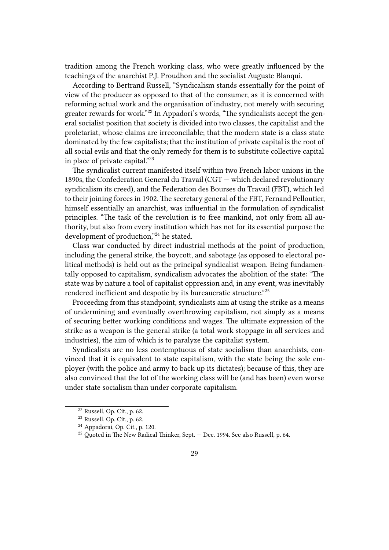tradition among the French working class, who were greatly influenced by the teachings of the anarchist P.J. Proudhon and the socialist Auguste Blanqui.

According to Bertrand Russell, "Syndicalism stands essentially for the point of view of the producer as opposed to that of the consumer, as it is concerned with reforming actual work and the organisation of industry, not merely with securing greater rewards for work."<sup>22</sup> In Appadori's words, "The syndicalists accept the general socialist position that society is divided into two classes, the capitalist and the proletariat, whose claims are irreconcilable; that the modern state is a class state dominated by the few capitalists; that the institution of private capital is the root of all social evils and that the only remedy for them is to substitute collective capital in place of private capital."<sup>23</sup>

The syndicalist current manifested itself within two French labor unions in the 1890s, the Confederation General du Travail (CGT — which declared revolutionary syndicalism its creed), and the Federation des Bourses du Travail (FBT), which led to their joining forces in 1902. The secretary general of the FBT, Fernand Pelloutier, himself essentially an anarchist, was influential in the formulation of syndicalist principles. "The task of the revolution is to free mankind, not only from all authority, but also from every institution which has not for its essential purpose the development of production,"<sup>24</sup> he stated.

Class war conducted by direct industrial methods at the point of production, including the general strike, the boycott, and sabotage (as opposed to electoral political methods) is held out as the principal syndicalist weapon. Being fundamentally opposed to capitalism, syndicalism advocates the abolition of the state: "The state was by nature a tool of capitalist oppression and, in any event, was inevitably rendered inefficient and despotic by its bureaucratic structure."<sup>25</sup>

Proceeding from this standpoint, syndicalists aim at using the strike as a means of undermining and eventually overthrowing capitalism, not simply as a means of securing better working conditions and wages. The ultimate expression of the strike as a weapon is the general strike (a total work stoppage in all services and industries), the aim of which is to paralyze the capitalist system.

Syndicalists are no less contemptuous of state socialism than anarchists, convinced that it is equivalent to state capitalism, with the state being the sole employer (with the police and army to back up its dictates); because of this, they are also convinced that the lot of the working class will be (and has been) even worse under state socialism than under corporate capitalism.

<sup>22</sup> Russell, Op. Cit., p. 62.

<sup>23</sup> Russell, Op. Cit., p. 62.

<sup>24</sup> Appadorai, Op. Cit., p. 120.

 $25$  Quoted in The New Radical Thinker, Sept.  $-$  Dec. 1994. See also Russell, p. 64.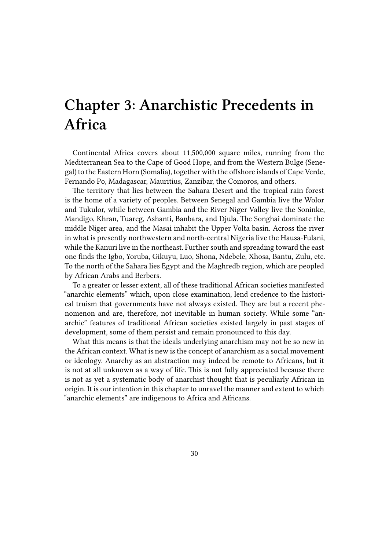# <span id="page-29-0"></span>**Chapter 3: Anarchistic Precedents in Africa**

Continental Africa covers about 11,500,000 square miles, running from the Mediterranean Sea to the Cape of Good Hope, and from the Western Bulge (Senegal) to the Eastern Horn (Somalia), together with the offshore islands of Cape Verde, Fernando Po, Madagascar, Mauritius, Zanzibar, the Comoros, and others.

The territory that lies between the Sahara Desert and the tropical rain forest is the home of a variety of peoples. Between Senegal and Gambia live the Wolor and Tukulor, while between Gambia and the River Niger Valley live the Soninke, Mandigo, Khran, Tuareg, Ashanti, Banbara, and Djula. The Songhai dominate the middle Niger area, and the Masai inhabit the Upper Volta basin. Across the river in what is presently northwestern and north-central Nigeria live the Hausa-Fulani, while the Kanuri live in the northeast. Further south and spreading toward the east one finds the Igbo, Yoruba, Gikuyu, Luo, Shona, Ndebele, Xhosa, Bantu, Zulu, etc. To the north of the Sahara lies Egypt and the Maghredb region, which are peopled by African Arabs and Berbers.

To a greater or lesser extent, all of these traditional African societies manifested "anarchic elements" which, upon close examination, lend credence to the historical truism that governments have not always existed. They are but a recent phenomenon and are, therefore, not inevitable in human society. While some "anarchic" features of traditional African societies existed largely in past stages of development, some of them persist and remain pronounced to this day.

What this means is that the ideals underlying anarchism may not be so new in the African context. What is new is the concept of anarchism as a social movement or ideology. Anarchy as an abstraction may indeed be remote to Africans, but it is not at all unknown as a way of life. This is not fully appreciated because there is not as yet a systematic body of anarchist thought that is peculiarly African in origin. It is our intention in this chapter to unravel the manner and extent to which "anarchic elements" are indigenous to Africa and Africans.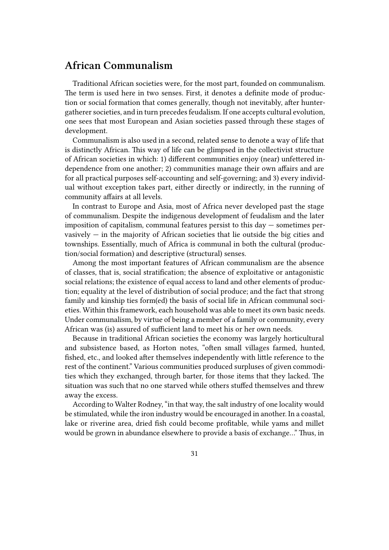## <span id="page-30-0"></span>**African Communalism**

Traditional African societies were, for the most part, founded on communalism. The term is used here in two senses. First, it denotes a definite mode of production or social formation that comes generally, though not inevitably, after huntergatherer societies, and in turn precedes feudalism. If one accepts cultural evolution, one sees that most European and Asian societies passed through these stages of development.

Communalism is also used in a second, related sense to denote a way of life that is distinctly African. This way of life can be glimpsed in the collectivist structure of African societies in which: 1) different communities enjoy (near) unfettered independence from one another; 2) communities manage their own affairs and are for all practical purposes self-accounting and self-governing; and 3) every individual without exception takes part, either directly or indirectly, in the running of community affairs at all levels.

In contrast to Europe and Asia, most of Africa never developed past the stage of communalism. Despite the indigenous development of feudalism and the later imposition of capitalism, communal features persist to this  $day -$  sometimes pervasively — in the majority of African societies that lie outside the big cities and townships. Essentially, much of Africa is communal in both the cultural (production/social formation) and descriptive (structural) senses.

Among the most important features of African communalism are the absence of classes, that is, social stratification; the absence of exploitative or antagonistic social relations; the existence of equal access to land and other elements of production; equality at the level of distribution of social produce; and the fact that strong family and kinship ties form(ed) the basis of social life in African communal societies. Within this framework, each household was able to meet its own basic needs. Under communalism, by virtue of being a member of a family or community, every African was (is) assured of sufficient land to meet his or her own needs.

Because in traditional African societies the economy was largely horticultural and subsistence based, as Horton notes, "often small villages farmed, hunted, fished, etc., and looked after themselves independently with little reference to the rest of the continent." Various communities produced surpluses of given commodities which they exchanged, through barter, for those items that they lacked. The situation was such that no one starved while others stuffed themselves and threw away the excess.

According to Walter Rodney, "in that way, the salt industry of one locality would be stimulated, while the iron industry would be encouraged in another. In a coastal, lake or riverine area, dried fish could become profitable, while yams and millet would be grown in abundance elsewhere to provide a basis of exchange…" Thus, in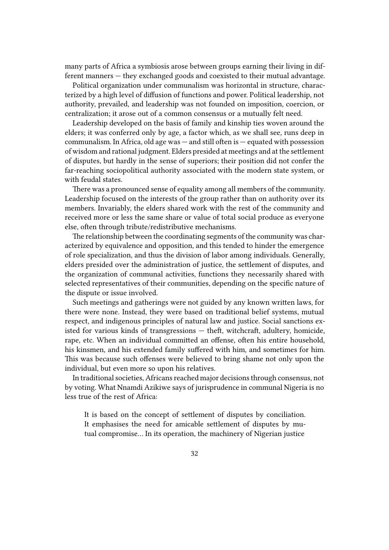many parts of Africa a symbiosis arose between groups earning their living in different manners — they exchanged goods and coexisted to their mutual advantage.

Political organization under communalism was horizontal in structure, characterized by a high level of diffusion of functions and power. Political leadership, not authority, prevailed, and leadership was not founded on imposition, coercion, or centralization; it arose out of a common consensus or a mutually felt need.

Leadership developed on the basis of family and kinship ties woven around the elders; it was conferred only by age, a factor which, as we shall see, runs deep in communalism. In Africa, old age was  $-$  and still often is  $-$  equated with possession of wisdom and rational judgment. Elders presided at meetings and at the settlement of disputes, but hardly in the sense of superiors; their position did not confer the far-reaching sociopolitical authority associated with the modern state system, or with feudal states.

There was a pronounced sense of equality among all members of the community. Leadership focused on the interests of the group rather than on authority over its members. Invariably, the elders shared work with the rest of the community and received more or less the same share or value of total social produce as everyone else, often through tribute/redistributive mechanisms.

The relationship between the coordinating segments of the community was characterized by equivalence and opposition, and this tended to hinder the emergence of role specialization, and thus the division of labor among individuals. Generally, elders presided over the administration of justice, the settlement of disputes, and the organization of communal activities, functions they necessarily shared with selected representatives of their communities, depending on the specific nature of the dispute or issue involved.

Such meetings and gatherings were not guided by any known written laws, for there were none. Instead, they were based on traditional belief systems, mutual respect, and indigenous principles of natural law and justice. Social sanctions existed for various kinds of transgressions — theft, witchcraft, adultery, homicide, rape, etc. When an individual committed an offense, often his entire household, his kinsmen, and his extended family suffered with him, and sometimes for him. This was because such offenses were believed to bring shame not only upon the individual, but even more so upon his relatives.

In traditional societies, Africans reached major decisions through consensus, not by voting. What Nnamdi Azikiwe says of jurisprudence in communal Nigeria is no less true of the rest of Africa:

It is based on the concept of settlement of disputes by conciliation. It emphasises the need for amicable settlement of disputes by mutual compromise… In its operation, the machinery of Nigerian justice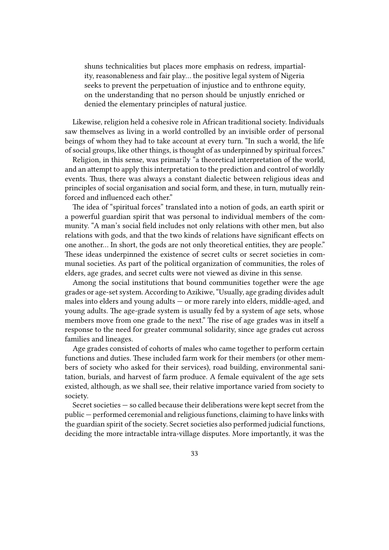shuns technicalities but places more emphasis on redress, impartiality, reasonableness and fair play… the positive legal system of Nigeria seeks to prevent the perpetuation of injustice and to enthrone equity, on the understanding that no person should be unjustly enriched or denied the elementary principles of natural justice.

Likewise, religion held a cohesive role in African traditional society. Individuals saw themselves as living in a world controlled by an invisible order of personal beings of whom they had to take account at every turn. "In such a world, the life of social groups, like other things, is thought of as underpinned by spiritual forces."

Religion, in this sense, was primarily "a theoretical interpretation of the world, and an attempt to apply this interpretation to the prediction and control of worldly events. Thus, there was always a constant dialectic between religious ideas and principles of social organisation and social form, and these, in turn, mutually reinforced and influenced each other."

The idea of "spiritual forces" translated into a notion of gods, an earth spirit or a powerful guardian spirit that was personal to individual members of the community. "A man's social field includes not only relations with other men, but also relations with gods, and that the two kinds of relations have significant effects on one another… In short, the gods are not only theoretical entities, they are people." These ideas underpinned the existence of secret cults or secret societies in communal societies. As part of the political organization of communities, the roles of elders, age grades, and secret cults were not viewed as divine in this sense.

Among the social institutions that bound communities together were the age grades or age-set system. According to Azikiwe, "Usually, age grading divides adult males into elders and young adults — or more rarely into elders, middle-aged, and young adults. The age-grade system is usually fed by a system of age sets, whose members move from one grade to the next." The rise of age grades was in itself a response to the need for greater communal solidarity, since age grades cut across families and lineages.

Age grades consisted of cohorts of males who came together to perform certain functions and duties. These included farm work for their members (or other members of society who asked for their services), road building, environmental sanitation, burials, and harvest of farm produce. A female equivalent of the age sets existed, although, as we shall see, their relative importance varied from society to society.

Secret societies — so called because their deliberations were kept secret from the public — performed ceremonial and religious functions, claiming to have links with the guardian spirit of the society. Secret societies also performed judicial functions, deciding the more intractable intra-village disputes. More importantly, it was the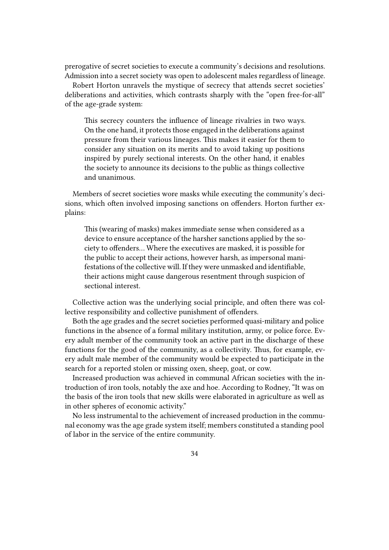prerogative of secret societies to execute a community's decisions and resolutions. Admission into a secret society was open to adolescent males regardless of lineage.

Robert Horton unravels the mystique of secrecy that attends secret societies' deliberations and activities, which contrasts sharply with the "open free-for-all" of the age-grade system:

This secrecy counters the influence of lineage rivalries in two ways. On the one hand, it protects those engaged in the deliberations against pressure from their various lineages. This makes it easier for them to consider any situation on its merits and to avoid taking up positions inspired by purely sectional interests. On the other hand, it enables the society to announce its decisions to the public as things collective and unanimous.

Members of secret societies wore masks while executing the community's decisions, which often involved imposing sanctions on offenders. Horton further explains:

This (wearing of masks) makes immediate sense when considered as a device to ensure acceptance of the harsher sanctions applied by the society to offenders… Where the executives are masked, it is possible for the public to accept their actions, however harsh, as impersonal manifestations of the collective will. If they were unmasked and identifiable, their actions might cause dangerous resentment through suspicion of sectional interest.

Collective action was the underlying social principle, and often there was collective responsibility and collective punishment of offenders.

Both the age grades and the secret societies performed quasi-military and police functions in the absence of a formal military institution, army, or police force. Every adult member of the community took an active part in the discharge of these functions for the good of the community, as a collectivity. Thus, for example, every adult male member of the community would be expected to participate in the search for a reported stolen or missing oxen, sheep, goat, or cow.

Increased production was achieved in communal African societies with the introduction of iron tools, notably the axe and hoe. According to Rodney, "It was on the basis of the iron tools that new skills were elaborated in agriculture as well as in other spheres of economic activity."

No less instrumental to the achievement of increased production in the communal economy was the age grade system itself; members constituted a standing pool of labor in the service of the entire community.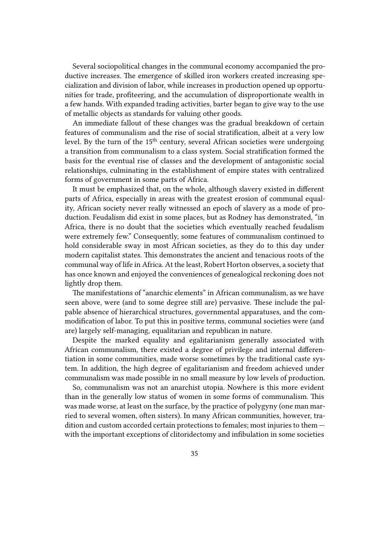Several sociopolitical changes in the communal economy accompanied the productive increases. The emergence of skilled iron workers created increasing specialization and division of labor, while increases in production opened up opportunities for trade, profiteering, and the accumulation of disproportionate wealth in a few hands. With expanded trading activities, barter began to give way to the use of metallic objects as standards for valuing other goods.

An immediate fallout of these changes was the gradual breakdown of certain features of communalism and the rise of social stratification, albeit at a very low level. By the turn of the  $15<sup>th</sup>$  century, several African societies were undergoing a transition from communalism to a class system. Social stratification formed the basis for the eventual rise of classes and the development of antagonistic social relationships, culminating in the establishment of empire states with centralized forms of government in some parts of Africa.

It must be emphasized that, on the whole, although slavery existed in different parts of Africa, especially in areas with the greatest erosion of communal equality, African society never really witnessed an epoch of slavery as a mode of production. Feudalism did exist in some places, but as Rodney has demonstrated, "in Africa, there is no doubt that the societies which eventually reached feudalism were extremely few." Consequently, some features of communalism continued to hold considerable sway in most African societies, as they do to this day under modern capitalist states. This demonstrates the ancient and tenacious roots of the communal way of life in Africa. At the least, Robert Horton observes, a society that has once known and enjoyed the conveniences of genealogical reckoning does not lightly drop them.

The manifestations of "anarchic elements" in African communalism, as we have seen above, were (and to some degree still are) pervasive. These include the palpable absence of hierarchical structures, governmental apparatuses, and the commodification of labor. To put this in positive terms, communal societies were (and are) largely self-managing, equalitarian and republican in nature.

Despite the marked equality and egalitarianism generally associated with African communalism, there existed a degree of privilege and internal differentiation in some communities, made worse sometimes by the traditional caste system. In addition, the high degree of egalitarianism and freedom achieved under communalism was made possible in no small measure by low levels of production.

So, communalism was not an anarchist utopia. Nowhere is this more evident than in the generally low status of women in some forms of communalism. This was made worse, at least on the surface, by the practice of polygyny (one man married to several women, often sisters). In many African communities, however, tradition and custom accorded certain protections to females; most injuries to them with the important exceptions of clitoridectomy and infibulation in some societies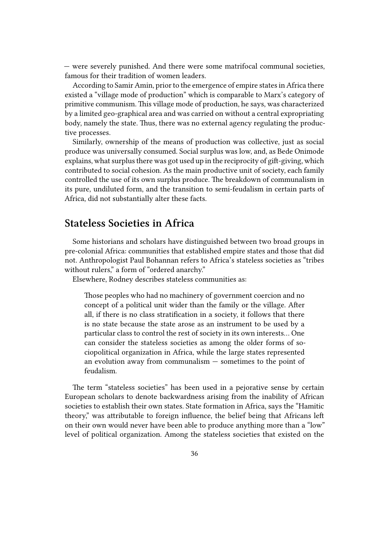— were severely punished. And there were some matrifocal communal societies, famous for their tradition of women leaders.

According to Samir Amin, prior to the emergence of empire states in Africa there existed a "village mode of production" which is comparable to Marx's category of primitive communism. This village mode of production, he says, was characterized by a limited geo-graphical area and was carried on without a central expropriating body, namely the state. Thus, there was no external agency regulating the productive processes.

Similarly, ownership of the means of production was collective, just as social produce was universally consumed. Social surplus was low, and, as Bede Onimode explains, what surplus there was got used up in the reciprocity of gift-giving, which contributed to social cohesion. As the main productive unit of society, each family controlled the use of its own surplus produce. The breakdown of communalism in its pure, undiluted form, and the transition to semi-feudalism in certain parts of Africa, did not substantially alter these facts.

### <span id="page-35-0"></span>**Stateless Societies in Africa**

Some historians and scholars have distinguished between two broad groups in pre-colonial Africa: communities that established empire states and those that did not. Anthropologist Paul Bohannan refers to Africa's stateless societies as "tribes without rulers," a form of "ordered anarchy."

Elsewhere, Rodney describes stateless communities as:

Those peoples who had no machinery of government coercion and no concept of a political unit wider than the family or the village. After all, if there is no class stratification in a society, it follows that there is no state because the state arose as an instrument to be used by a particular class to control the rest of society in its own interests… One can consider the stateless societies as among the older forms of sociopolitical organization in Africa, while the large states represented an evolution away from communalism  $-$  sometimes to the point of feudalism.

The term "stateless societies" has been used in a pejorative sense by certain European scholars to denote backwardness arising from the inability of African societies to establish their own states. State formation in Africa, says the "Hamitic theory," was attributable to foreign influence, the belief being that Africans left on their own would never have been able to produce anything more than a "low" level of political organization. Among the stateless societies that existed on the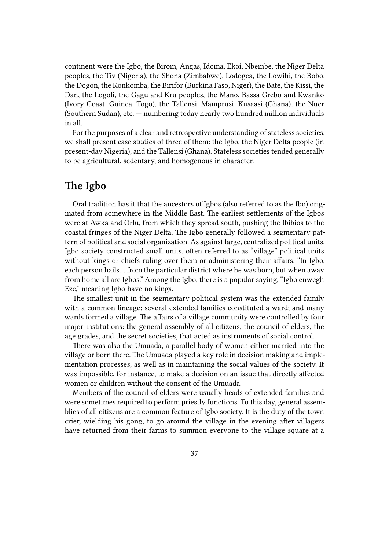continent were the Igbo, the Birom, Angas, Idoma, Ekoi, Nbembe, the Niger Delta peoples, the Tiv (Nigeria), the Shona (Zimbabwe), Lodogea, the Lowihi, the Bobo, the Dogon, the Konkomba, the Birifor (Burkina Faso, Niger), the Bate, the Kissi, the Dan, the Logoli, the Gagu and Kru peoples, the Mano, Bassa Grebo and Kwanko (Ivory Coast, Guinea, Togo), the Tallensi, Mamprusi, Kusaasi (Ghana), the Nuer (Southern Sudan), etc. — numbering today nearly two hundred million individuals in all.

For the purposes of a clear and retrospective understanding of stateless societies, we shall present case studies of three of them: the Igbo, the Niger Delta people (in present-day Nigeria), and the Tallensi (Ghana). Stateless societies tended generally to be agricultural, sedentary, and homogenous in character.

### **The Igbo**

Oral tradition has it that the ancestors of Igbos (also referred to as the Ibo) originated from somewhere in the Middle East. The earliest settlements of the Igbos were at Awka and Orlu, from which they spread south, pushing the Ibibios to the coastal fringes of the Niger Delta. The Igbo generally followed a segmentary pattern of political and social organization. As against large, centralized political units, Igbo society constructed small units, often referred to as "village" political units without kings or chiefs ruling over them or administering their affairs. "In Igbo, each person hails… from the particular district where he was born, but when away from home all are Igbos." Among the Igbo, there is a popular saying, "Igbo enwegh Eze," meaning Igbo have no kings.

The smallest unit in the segmentary political system was the extended family with a common lineage; several extended families constituted a ward; and many wards formed a village. The affairs of a village community were controlled by four major institutions: the general assembly of all citizens, the council of elders, the age grades, and the secret societies, that acted as instruments of social control.

There was also the Umuada, a parallel body of women either married into the village or born there. The Umuada played a key role in decision making and implementation processes, as well as in maintaining the social values of the society. It was impossible, for instance, to make a decision on an issue that directly affected women or children without the consent of the Umuada.

Members of the council of elders were usually heads of extended families and were sometimes required to perform priestly functions. To this day, general assemblies of all citizens are a common feature of Igbo society. It is the duty of the town crier, wielding his gong, to go around the village in the evening after villagers have returned from their farms to summon everyone to the village square at a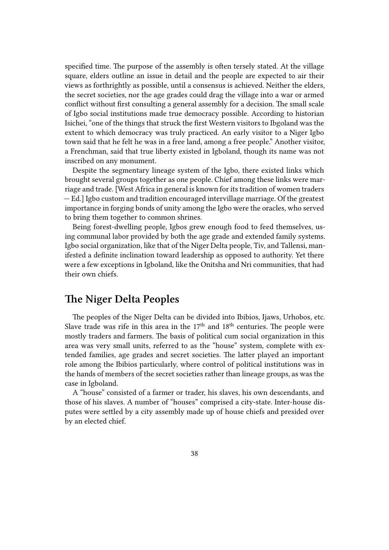specified time. The purpose of the assembly is often tersely stated. At the village square, elders outline an issue in detail and the people are expected to air their views as forthrightly as possible, until a consensus is achieved. Neither the elders, the secret societies, nor the age grades could drag the village into a war or armed conflict without first consulting a general assembly for a decision. The small scale of Igbo social institutions made true democracy possible. According to historian Isichei, "one of the things that struck the first Western visitors to Ibgoland was the extent to which democracy was truly practiced. An early visitor to a Niger Igbo town said that he felt he was in a free land, among a free people." Another visitor, a Frenchman, said that true liberty existed in Igboland, though its name was not inscribed on any monument.

Despite the segmentary lineage system of the Igbo, there existed links which brought several groups together as one people. Chief among these links were marriage and trade. [West Africa in general is known for its tradition of women traders — Ed.] Igbo custom and tradition encouraged intervillage marriage. Of the greatest importance in forging bonds of unity among the Igbo were the oracles, who served to bring them together to common shrines.

Being forest-dwelling people, Igbos grew enough food to feed themselves, using communal labor provided by both the age grade and extended family systems. Igbo social organization, like that of the Niger Delta people, Tiv, and Tallensi, manifested a definite inclination toward leadership as opposed to authority. Yet there were a few exceptions in Igboland, like the Onitsha and Nri communities, that had their own chiefs.

### **The Niger Delta Peoples**

The peoples of the Niger Delta can be divided into Ibibios, Ijaws, Urhobos, etc. Slave trade was rife in this area in the  $17<sup>th</sup>$  and  $18<sup>th</sup>$  centuries. The people were mostly traders and farmers. The basis of political cum social organization in this area was very small units, referred to as the "house" system, complete with extended families, age grades and secret societies. The latter played an important role among the Ibibios particularly, where control of political institutions was in the hands of members of the secret societies rather than lineage groups, as was the case in Igboland.

A "house" consisted of a farmer or trader, his slaves, his own descendants, and those of his slaves. A number of "houses" comprised a city-state. Inter-house disputes were settled by a city assembly made up of house chiefs and presided over by an elected chief.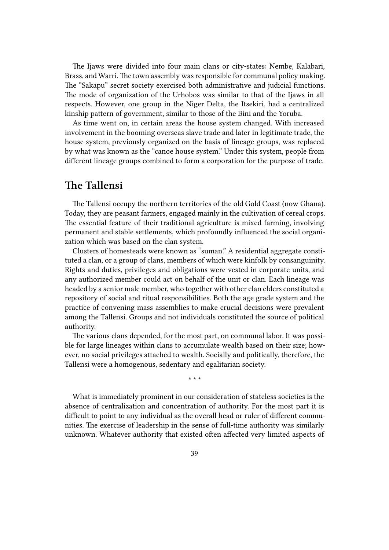The Ijaws were divided into four main clans or city-states: Nembe, Kalabari, Brass, and Warri. The town assembly was responsible for communal policy making. The "Sakapu" secret society exercised both administrative and judicial functions. The mode of organization of the Urhobos was similar to that of the Ijaws in all respects. However, one group in the Niger Delta, the Itsekiri, had a centralized kinship pattern of government, similar to those of the Bini and the Yoruba.

As time went on, in certain areas the house system changed. With increased involvement in the booming overseas slave trade and later in legitimate trade, the house system, previously organized on the basis of lineage groups, was replaced by what was known as the "canoe house system." Under this system, people from different lineage groups combined to form a corporation for the purpose of trade.

### **The Tallensi**

The Tallensi occupy the northern territories of the old Gold Coast (now Ghana). Today, they are peasant farmers, engaged mainly in the cultivation of cereal crops. The essential feature of their traditional agriculture is mixed farming, involving permanent and stable settlements, which profoundly influenced the social organization which was based on the clan system.

Clusters of homesteads were known as "suman." A residential aggregate constituted a clan, or a group of clans, members of which were kinfolk by consanguinity. Rights and duties, privileges and obligations were vested in corporate units, and any authorized member could act on behalf of the unit or clan. Each lineage was headed by a senior male member, who together with other clan elders constituted a repository of social and ritual responsibilities. Both the age grade system and the practice of convening mass assemblies to make crucial decisions were prevalent among the Tallensi. Groups and not individuals constituted the source of political authority.

The various clans depended, for the most part, on communal labor. It was possible for large lineages within clans to accumulate wealth based on their size; however, no social privileges attached to wealth. Socially and politically, therefore, the Tallensi were a homogenous, sedentary and egalitarian society.

\* \* \*

What is immediately prominent in our consideration of stateless societies is the absence of centralization and concentration of authority. For the most part it is difficult to point to any individual as the overall head or ruler of different communities. The exercise of leadership in the sense of full-time authority was similarly unknown. Whatever authority that existed often affected very limited aspects of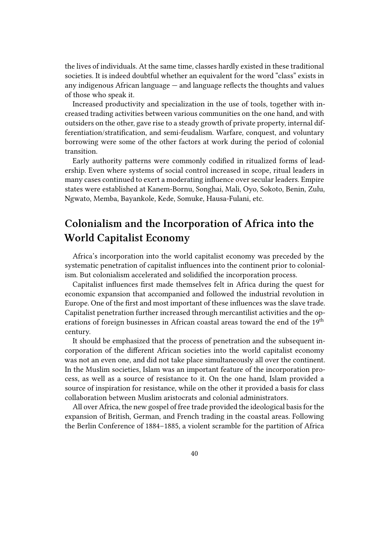the lives of individuals. At the same time, classes hardly existed in these traditional societies. It is indeed doubtful whether an equivalent for the word "class" exists in any indigenous African language — and language reflects the thoughts and values of those who speak it.

Increased productivity and specialization in the use of tools, together with increased trading activities between various communities on the one hand, and with outsiders on the other, gave rise to a steady growth of private property, internal differentiation/stratification, and semi-feudalism. Warfare, conquest, and voluntary borrowing were some of the other factors at work during the period of colonial transition.

Early authority patterns were commonly codified in ritualized forms of leadership. Even where systems of social control increased in scope, ritual leaders in many cases continued to exert a moderating influence over secular leaders. Empire states were established at Kanem-Bornu, Songhai, Mali, Oyo, Sokoto, Benin, Zulu, Ngwato, Memba, Bayankole, Kede, Somuke, Hausa-Fulani, etc.

### **Colonialism and the Incorporation of Africa into the World Capitalist Economy**

Africa's incorporation into the world capitalist economy was preceded by the systematic penetration of capitalist influences into the continent prior to colonialism. But colonialism accelerated and solidified the incorporation process.

Capitalist influences first made themselves felt in Africa during the quest for economic expansion that accompanied and followed the industrial revolution in Europe. One of the first and most important of these influences was the slave trade. Capitalist penetration further increased through mercantilist activities and the operations of foreign businesses in African coastal areas toward the end of the 19<sup>th</sup> century.

It should be emphasized that the process of penetration and the subsequent incorporation of the different African societies into the world capitalist economy was not an even one, and did not take place simultaneously all over the continent. In the Muslim societies, Islam was an important feature of the incorporation process, as well as a source of resistance to it. On the one hand, Islam provided a source of inspiration for resistance, while on the other it provided a basis for class collaboration between Muslim aristocrats and colonial administrators.

All over Africa, the new gospel of free trade provided the ideological basis for the expansion of British, German, and French trading in the coastal areas. Following the Berlin Conference of 1884–1885, a violent scramble for the partition of Africa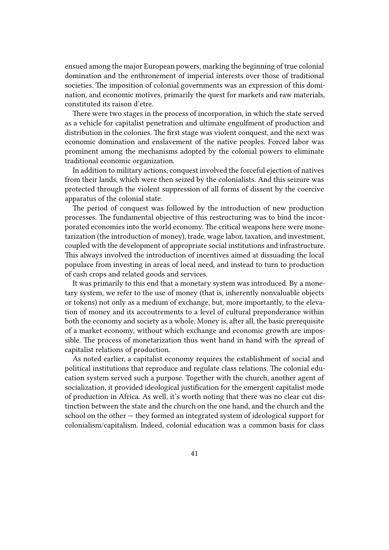ensued among the major European powers, marking the beginning of true colonial domination and the enthronement of imperial interests over those of traditional societies. The imposition of colonial governments was an expression of this domination, and economic motives, primarily the quest for markets and raw materials, constituted its raison d'etre.

There were two stages in the process of incorporation, in which the state served as a vehicle for capitalist penetration and ultimate engulfment of production and distribution in the colonies. The first stage was violent conquest, and the next was economic domination and enslavement of the native peoples. Forced labor was prominent among the mechanisms adopted by the colonial powers to eliminate traditional economic organization.

In addition to military actions, conquest involved the forceful ejection of natives from their lands, which were then seized by the colonialists. And this seizure was protected through the violent suppression of all forms of dissent by the coercive apparatus of the colonial state.

The period of conquest was followed by the introduction of new production processes. The fundamental objective of this restructuring was to bind the incorporated economies into the world economy. The critical weapons here were monetarization (the introduction of money), trade, wage labor, taxation, and investment, coupled with the development of appropriate social institutions and infrastructure. This always involved the introduction of incentives aimed at dissuading the local populace from investing in areas of local need, and instead to turn to production of cash crops and related goods and services.

It was primarily to this end that a monetary system was introduced. By a monetary system, we refer to the use of money (that is, inherently nonvaluable objects or tokens) not only as a medium of exchange, but, more importantly, to the elevation of money and its accoutrements to a level of cultural preponderance within both the economy and society as a whole. Money is, after all, the basic prerequisite of a market economy, without which exchange and economic growth are impossible. The process of monetarization thus went hand in hand with the spread of capitalist relations of production.

As noted earlier, a capitalist economy requires the establishment of social and political institutions that reproduce and regulate class relations. The colonial education system served such a purpose. Together with the church, another agent of socialization, it provided ideological justification for the emergent capitalist mode of production in Africa. As well, it's worth noting that there was no clear cut distinction between the state and the church on the one hand, and the church and the school on the other — they formed an integrated system of ideological support for colonialism/capitalism. Indeed, colonial education was a common basis for class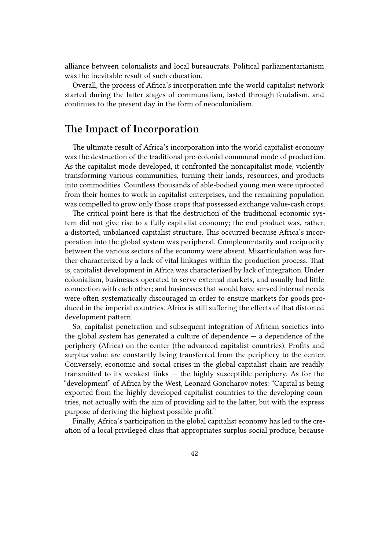alliance between colonialists and local bureaucrats. Political parliamentarianism was the inevitable result of such education.

Overall, the process of Africa's incorporation into the world capitalist network started during the latter stages of communalism, lasted through feudalism, and continues to the present day in the form of neocolonialism.

### **The Impact of Incorporation**

The ultimate result of Africa's incorporation into the world capitalist economy was the destruction of the traditional pre-colonial communal mode of production. As the capitalist mode developed, it confronted the noncapitalist mode, violently transforming various communities, turning their lands, resources, and products into commodities. Countless thousands of able-bodied young men were uprooted from their homes to work in capitalist enterprises, and the remaining population was compelled to grow only those crops that possessed exchange value-cash crops.

The critical point here is that the destruction of the traditional economic system did not give rise to a fully capitalist economy; the end product was, rather, a distorted, unbalanced capitalist structure. This occurred because Africa's incorporation into the global system was peripheral. Complementarity and reciprocity between the various sectors of the economy were absent. Misarticulation was further characterized by a lack of vital linkages within the production process. That is, capitalist development in Africa was characterized by lack of integration. Under colonialism, businesses operated to serve external markets, and usually had little connection with each other; and businesses that would have served internal needs were often systematically discouraged in order to ensure markets for goods produced in the imperial countries. Africa is still suffering the effects of that distorted development pattern.

So, capitalist penetration and subsequent integration of African societies into the global system has generated a culture of dependence  $-$  a dependence of the periphery (Africa) on the center (the advanced capitalist countries). Profits and surplus value are constantly being transferred from the periphery to the center. Conversely, economic and social crises in the global capitalist chain are readily transmitted to its weakest links — the highly susceptible periphery. As for the "development" of Africa by the West, Leonard Goncharov notes: "Capital is being exported from the highly developed capitalist countries to the developing countries, not actually with the aim of providing aid to the latter, but with the express purpose of deriving the highest possible profit."

Finally, Africa's participation in the global capitalist economy has led to the creation of a local privileged class that appropriates surplus social produce, because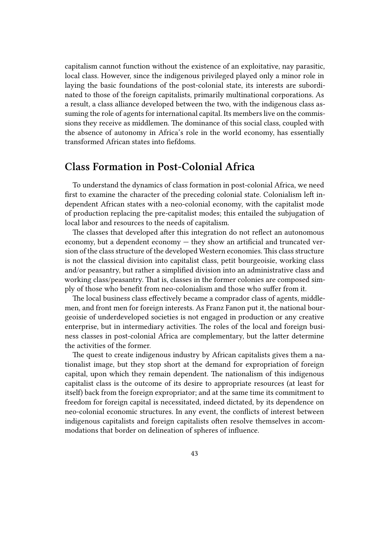capitalism cannot function without the existence of an exploitative, nay parasitic, local class. However, since the indigenous privileged played only a minor role in laying the basic foundations of the post-colonial state, its interests are subordinated to those of the foreign capitalists, primarily multinational corporations. As a result, a class alliance developed between the two, with the indigenous class assuming the role of agents for international capital. Its members live on the commissions they receive as middlemen. The dominance of this social class, coupled with the absence of autonomy in Africa's role in the world economy, has essentially transformed African states into fiefdoms.

### **Class Formation in Post-Colonial Africa**

To understand the dynamics of class formation in post-colonial Africa, we need first to examine the character of the preceding colonial state. Colonialism left independent African states with a neo-colonial economy, with the capitalist mode of production replacing the pre-capitalist modes; this entailed the subjugation of local labor and resources to the needs of capitalism.

The classes that developed after this integration do not reflect an autonomous economy, but a dependent economy — they show an artificial and truncated version of the class structure of the developed Western economies. This class structure is not the classical division into capitalist class, petit bourgeoisie, working class and/or peasantry, but rather a simplified division into an administrative class and working class/peasantry. That is, classes in the former colonies are composed simply of those who benefit from neo-colonialism and those who suffer from it.

The local business class effectively became a comprador class of agents, middlemen, and front men for foreign interests. As Franz Fanon put it, the national bourgeoisie of underdeveloped societies is not engaged in production or any creative enterprise, but in intermediary activities. The roles of the local and foreign business classes in post-colonial Africa are complementary, but the latter determine the activities of the former.

The quest to create indigenous industry by African capitalists gives them a nationalist image, but they stop short at the demand for expropriation of foreign capital, upon which they remain dependent. The nationalism of this indigenous capitalist class is the outcome of its desire to appropriate resources (at least for itself) back from the foreign expropriator; and at the same time its commitment to freedom for foreign capital is necessitated, indeed dictated, by its dependence on neo-colonial economic structures. In any event, the conflicts of interest between indigenous capitalists and foreign capitalists often resolve themselves in accommodations that border on delineation of spheres of influence.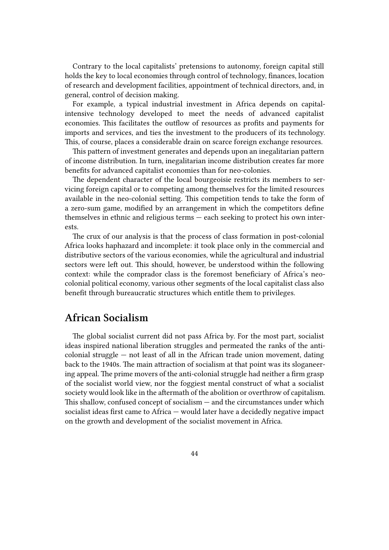Contrary to the local capitalists' pretensions to autonomy, foreign capital still holds the key to local economies through control of technology, finances, location of research and development facilities, appointment of technical directors, and, in general, control of decision making.

For example, a typical industrial investment in Africa depends on capitalintensive technology developed to meet the needs of advanced capitalist economies. This facilitates the outflow of resources as profits and payments for imports and services, and ties the investment to the producers of its technology. This, of course, places a considerable drain on scarce foreign exchange resources.

This pattern of investment generates and depends upon an inegalitarian pattern of income distribution. In turn, inegalitarian income distribution creates far more benefits for advanced capitalist economies than for neo-colonies.

The dependent character of the local bourgeoisie restricts its members to servicing foreign capital or to competing among themselves for the limited resources available in the neo-colonial setting. This competition tends to take the form of a zero-sum game, modified by an arrangement in which the competitors define themselves in ethnic and religious terms — each seeking to protect his own interests.

The crux of our analysis is that the process of class formation in post-colonial Africa looks haphazard and incomplete: it took place only in the commercial and distributive sectors of the various economies, while the agricultural and industrial sectors were left out. This should, however, be understood within the following context: while the comprador class is the foremost beneficiary of Africa's neocolonial political economy, various other segments of the local capitalist class also benefit through bureaucratic structures which entitle them to privileges.

### **African Socialism**

The global socialist current did not pass Africa by. For the most part, socialist ideas inspired national liberation struggles and permeated the ranks of the anticolonial struggle — not least of all in the African trade union movement, dating back to the 1940s. The main attraction of socialism at that point was its sloganeering appeal. The prime movers of the anti-colonial struggle had neither a firm grasp of the socialist world view, nor the foggiest mental construct of what a socialist society would look like in the aftermath of the abolition or overthrow of capitalism. This shallow, confused concept of socialism — and the circumstances under which socialist ideas first came to Africa — would later have a decidedly negative impact on the growth and development of the socialist movement in Africa.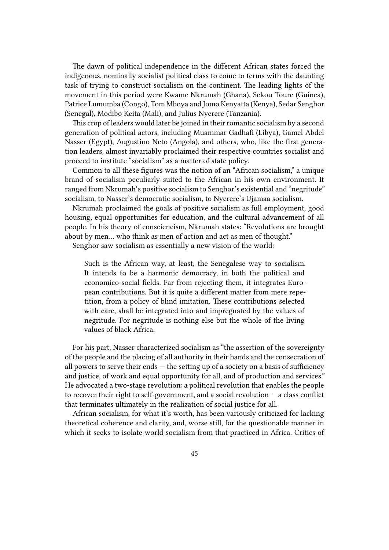The dawn of political independence in the different African states forced the indigenous, nominally socialist political class to come to terms with the daunting task of trying to construct socialism on the continent. The leading lights of the movement in this period were Kwame Nkrumah (Ghana), Sekou Toure (Guinea), Patrice Lumumba (Congo), Tom Mboya and Jomo Kenyatta (Kenya), Sedar Senghor (Senegal), Modibo Keita (Mali), and Julius Nyerere (Tanzania).

This crop of leaders would later be joined in their romantic socialism by a second generation of political actors, including Muammar Gadhafi (Libya), Gamel Abdel Nasser (Egypt), Augustino Neto (Angola), and others, who, like the first generation leaders, almost invariably proclaimed their respective countries socialist and proceed to institute "socialism" as a matter of state policy.

Common to all these figures was the notion of an "African socialism," a unique brand of socialism peculiarly suited to the African in his own environment. It ranged from Nkrumah's positive socialism to Senghor's existential and "negritude" socialism, to Nasser's democratic socialism, to Nyerere's Ujamaa socialism.

Nkrumah proclaimed the goals of positive socialism as full employment, good housing, equal opportunities for education, and the cultural advancement of all people. In his theory of consciencism, Nkrumah states: "Revolutions are brought about by men… who think as men of action and act as men of thought."

Senghor saw socialism as essentially a new vision of the world:

Such is the African way, at least, the Senegalese way to socialism. It intends to be a harmonic democracy, in both the political and economico-social fields. Far from rejecting them, it integrates European contributions. But it is quite a different matter from mere repetition, from a policy of blind imitation. These contributions selected with care, shall be integrated into and impregnated by the values of negritude. For negritude is nothing else but the whole of the living values of black Africa.

For his part, Nasser characterized socialism as "the assertion of the sovereignty of the people and the placing of all authority in their hands and the consecration of all powers to serve their ends  $-$  the setting up of a society on a basis of sufficiency and justice, of work and equal opportunity for all, and of production and services." He advocated a two-stage revolution: a political revolution that enables the people to recover their right to self-government, and a social revolution  $-$  a class conflict that terminates ultimately in the realization of social justice for all.

African socialism, for what it's worth, has been variously criticized for lacking theoretical coherence and clarity, and, worse still, for the questionable manner in which it seeks to isolate world socialism from that practiced in Africa. Critics of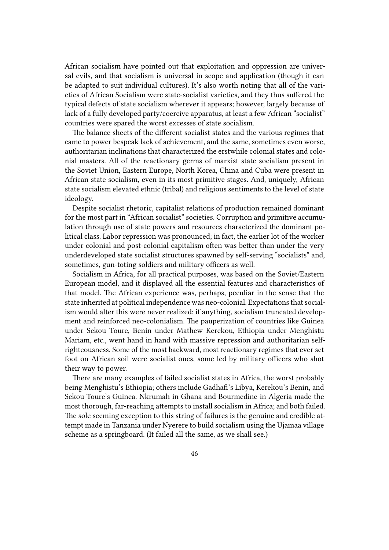African socialism have pointed out that exploitation and oppression are universal evils, and that socialism is universal in scope and application (though it can be adapted to suit individual cultures). It's also worth noting that all of the varieties of African Socialism were state-socialist varieties, and they thus suffered the typical defects of state socialism wherever it appears; however, largely because of lack of a fully developed party/coercive apparatus, at least a few African "socialist" countries were spared the worst excesses of state socialism.

The balance sheets of the different socialist states and the various regimes that came to power bespeak lack of achievement, and the same, sometimes even worse, authoritarian inclinations that characterized the erstwhile colonial states and colonial masters. All of the reactionary germs of marxist state socialism present in the Soviet Union, Eastern Europe, North Korea, China and Cuba were present in African state socialism, even in its most primitive stages. And, uniquely, African state socialism elevated ethnic (tribal) and religious sentiments to the level of state ideology.

Despite socialist rhetoric, capitalist relations of production remained dominant for the most part in "African socialist" societies. Corruption and primitive accumulation through use of state powers and resources characterized the dominant political class. Labor repression was pronounced; in fact, the earlier lot of the worker under colonial and post-colonial capitalism often was better than under the very underdeveloped state socialist structures spawned by self-serving "socialists" and, sometimes, gun-toting soldiers and military officers as well.

Socialism in Africa, for all practical purposes, was based on the Soviet/Eastern European model, and it displayed all the essential features and characteristics of that model. The African experience was, perhaps, peculiar in the sense that the state inherited at political independence was neo-colonial. Expectations that socialism would alter this were never realized; if anything, socialism truncated development and reinforced neo-colonialism. The pauperization of countries like Guinea under Sekou Toure, Benin under Mathew Kerekou, Ethiopia under Menghistu Mariam, etc., went hand in hand with massive repression and authoritarian selfrighteousness. Some of the most backward, most reactionary regimes that ever set foot on African soil were socialist ones, some led by military officers who shot their way to power.

There are many examples of failed socialist states in Africa, the worst probably being Menghistu's Ethiopia; others include Gadhafi's Libya, Kerekou's Benin, and Sekou Toure's Guinea. Nkrumah in Ghana and Bourmedine in Algeria made the most thorough, far-reaching attempts to install socialism in Africa; and both failed. The sole seeming exception to this string of failures is the genuine and credible attempt made in Tanzania under Nyerere to build socialism using the Ujamaa village scheme as a springboard. (It failed all the same, as we shall see.)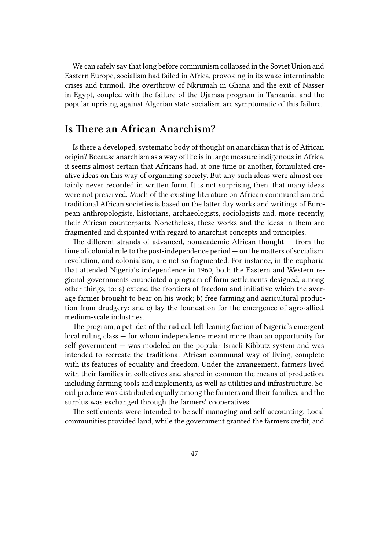We can safely say that long before communism collapsed in the Soviet Union and Eastern Europe, socialism had failed in Africa, provoking in its wake interminable crises and turmoil. The overthrow of Nkrumah in Ghana and the exit of Nasser in Egypt, coupled with the failure of the Ujamaa program in Tanzania, and the popular uprising against Algerian state socialism are symptomatic of this failure.

### **Is There an African Anarchism?**

Is there a developed, systematic body of thought on anarchism that is of African origin? Because anarchism as a way of life is in large measure indigenous in Africa, it seems almost certain that Africans had, at one time or another, formulated creative ideas on this way of organizing society. But any such ideas were almost certainly never recorded in written form. It is not surprising then, that many ideas were not preserved. Much of the existing literature on African communalism and traditional African societies is based on the latter day works and writings of European anthropologists, historians, archaeologists, sociologists and, more recently, their African counterparts. Nonetheless, these works and the ideas in them are fragmented and disjointed with regard to anarchist concepts and principles.

The different strands of advanced, nonacademic African thought — from the time of colonial rule to the post-independence period — on the matters of socialism, revolution, and colonialism, are not so fragmented. For instance, in the euphoria that attended Nigeria's independence in 1960, both the Eastern and Western regional governments enunciated a program of farm settlements designed, among other things, to: a) extend the frontiers of freedom and initiative which the average farmer brought to bear on his work; b) free farming and agricultural production from drudgery; and c) lay the foundation for the emergence of agro-allied, medium-scale industries.

The program, a pet idea of the radical, left-leaning faction of Nigeria's emergent local ruling class — for whom independence meant more than an opportunity for self-government — was modeled on the popular Israeli Kibbutz system and was intended to recreate the traditional African communal way of living, complete with its features of equality and freedom. Under the arrangement, farmers lived with their families in collectives and shared in common the means of production, including farming tools and implements, as well as utilities and infrastructure. Social produce was distributed equally among the farmers and their families, and the surplus was exchanged through the farmers' cooperatives.

The settlements were intended to be self-managing and self-accounting. Local communities provided land, while the government granted the farmers credit, and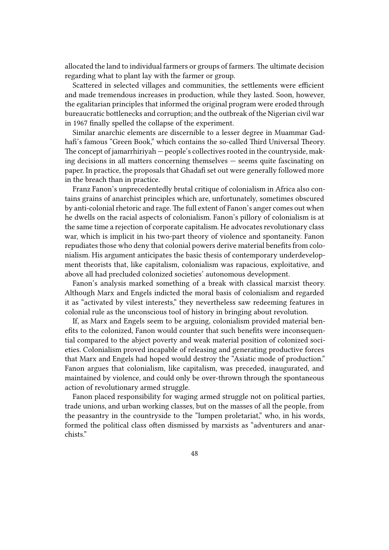allocated the land to individual farmers or groups of farmers. The ultimate decision regarding what to plant lay with the farmer or group.

Scattered in selected villages and communities, the settlements were efficient and made tremendous increases in production, while they lasted. Soon, however, the egalitarian principles that informed the original program were eroded through bureaucratic bottlenecks and corruption; and the outbreak of the Nigerian civil war in 1967 finally spelled the collapse of the experiment.

Similar anarchic elements are discernible to a lesser degree in Muammar Gadhafi's famous "Green Book," which contains the so-called Third Universal Theory. The concept of jamarrhiriyah — people's collectives rooted in the countryside, making decisions in all matters concerning themselves — seems quite fascinating on paper. In practice, the proposals that Ghadafi set out were generally followed more in the breach than in practice.

Franz Fanon's unprecedentedly brutal critique of colonialism in Africa also contains grains of anarchist principles which are, unfortunately, sometimes obscured by anti-colonial rhetoric and rage. The full extent of Fanon's anger comes out when he dwells on the racial aspects of colonialism. Fanon's pillory of colonialism is at the same time a rejection of corporate capitalism. He advocates revolutionary class war, which is implicit in his two-part theory of violence and spontaneity. Fanon repudiates those who deny that colonial powers derive material benefits from colonialism. His argument anticipates the basic thesis of contemporary underdevelopment theorists that, like capitalism, colonialism was rapacious, exploitative, and above all had precluded colonized societies' autonomous development.

Fanon's analysis marked something of a break with classical marxist theory. Although Marx and Engels indicted the moral basis of colonialism and regarded it as "activated by vilest interests," they nevertheless saw redeeming features in colonial rule as the unconscious tool of history in bringing about revolution.

If, as Marx and Engels seem to be arguing, colonialism provided material benefits to the colonized, Fanon would counter that such benefits were inconsequential compared to the abject poverty and weak material position of colonized societies. Colonialism proved incapable of releasing and generating productive forces that Marx and Engels had hoped would destroy the "Asiatic mode of production." Fanon argues that colonialism, like capitalism, was preceded, inaugurated, and maintained by violence, and could only be over-thrown through the spontaneous action of revolutionary armed struggle.

Fanon placed responsibility for waging armed struggle not on political parties, trade unions, and urban working classes, but on the masses of all the people, from the peasantry in the countryside to the "lumpen proletariat," who, in his words, formed the political class often dismissed by marxists as "adventurers and anarchists."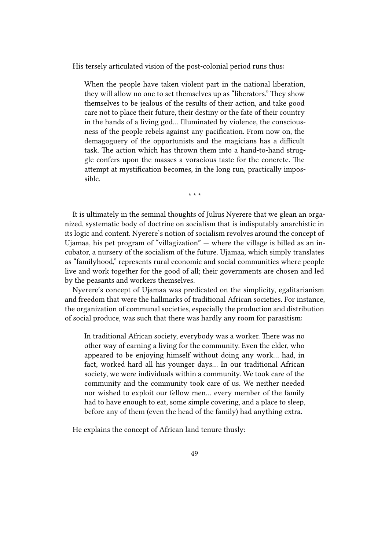His tersely articulated vision of the post-colonial period runs thus:

When the people have taken violent part in the national liberation, they will allow no one to set themselves up as "liberators." They show themselves to be jealous of the results of their action, and take good care not to place their future, their destiny or the fate of their country in the hands of a living god… Illuminated by violence, the consciousness of the people rebels against any pacification. From now on, the demagoguery of the opportunists and the magicians has a difficult task. The action which has thrown them into a hand-to-hand struggle confers upon the masses a voracious taste for the concrete. The attempt at mystification becomes, in the long run, practically impossible.

\* \* \*

It is ultimately in the seminal thoughts of Julius Nyerere that we glean an organized, systematic body of doctrine on socialism that is indisputably anarchistic in its logic and content. Nyerere's notion of socialism revolves around the concept of Ujamaa, his pet program of "villagization"  $-$  where the village is billed as an incubator, a nursery of the socialism of the future. Ujamaa, which simply translates as "familyhood," represents rural economic and social communities where people live and work together for the good of all; their governments are chosen and led by the peasants and workers themselves.

Nyerere's concept of Ujamaa was predicated on the simplicity, egalitarianism and freedom that were the hallmarks of traditional African societies. For instance, the organization of communal societies, especially the production and distribution of social produce, was such that there was hardly any room for parasitism:

In traditional African society, everybody was a worker. There was no other way of earning a living for the community. Even the elder, who appeared to be enjoying himself without doing any work… had, in fact, worked hard all his younger days… In our traditional African society, we were individuals within a community. We took care of the community and the community took care of us. We neither needed nor wished to exploit our fellow men… every member of the family had to have enough to eat, some simple covering, and a place to sleep, before any of them (even the head of the family) had anything extra.

He explains the concept of African land tenure thusly: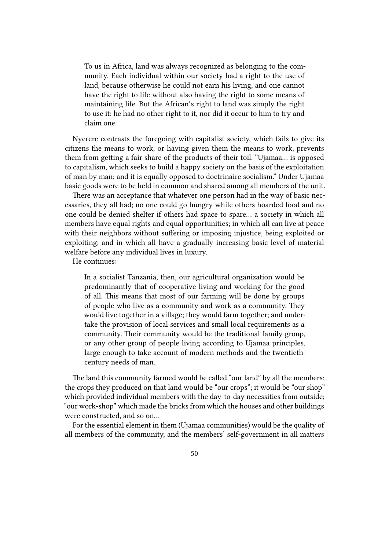To us in Africa, land was always recognized as belonging to the community. Each individual within our society had a right to the use of land, because otherwise he could not earn his living, and one cannot have the right to life without also having the right to some means of maintaining life. But the African's right to land was simply the right to use it: he had no other right to it, nor did it occur to him to try and claim one.

Nyerere contrasts the foregoing with capitalist society, which fails to give its citizens the means to work, or having given them the means to work, prevents them from getting a fair share of the products of their toil. "Ujamaa… is opposed to capitalism, which seeks to build a happy society on the basis of the exploitation of man by man; and it is equally opposed to doctrinaire socialism." Under Ujamaa basic goods were to be held in common and shared among all members of the unit.

There was an acceptance that whatever one person had in the way of basic necessaries, they all had; no one could go hungry while others hoarded food and no one could be denied shelter if others had space to spare… a society in which all members have equal rights and equal opportunities; in which all can live at peace with their neighbors without suffering or imposing injustice, being exploited or exploiting; and in which all have a gradually increasing basic level of material welfare before any individual lives in luxury.

He continues:

In a socialist Tanzania, then, our agricultural organization would be predominantly that of cooperative living and working for the good of all. This means that most of our farming will be done by groups of people who live as a community and work as a community. They would live together in a village; they would farm together; and undertake the provision of local services and small local requirements as a community. Their community would be the traditional family group, or any other group of people living according to Ujamaa principles, large enough to take account of modern methods and the twentiethcentury needs of man.

The land this community farmed would be called "our land" by all the members; the crops they produced on that land would be "our crops"; it would be "our shop" which provided individual members with the day-to-day necessities from outside; "our work-shop" which made the bricks from which the houses and other buildings were constructed, and so on…

For the essential element in them (Ujamaa communities) would be the quality of all members of the community, and the members' self-government in all matters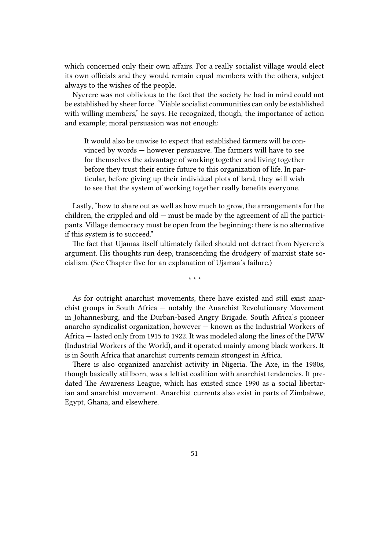which concerned only their own affairs. For a really socialist village would elect its own officials and they would remain equal members with the others, subject always to the wishes of the people.

Nyerere was not oblivious to the fact that the society he had in mind could not be established by sheer force. "Viable socialist communities can only be established with willing members," he says. He recognized, though, the importance of action and example; moral persuasion was not enough:

It would also be unwise to expect that established farmers will be convinced by words — however persuasive. The farmers will have to see for themselves the advantage of working together and living together before they trust their entire future to this organization of life. In particular, before giving up their individual plots of land, they will wish to see that the system of working together really benefits everyone.

Lastly, "how to share out as well as how much to grow, the arrangements for the children, the crippled and  $old$  — must be made by the agreement of all the participants. Village democracy must be open from the beginning: there is no alternative if this system is to succeed."

The fact that Ujamaa itself ultimately failed should not detract from Nyerere's argument. His thoughts run deep, transcending the drudgery of marxist state socialism. (See Chapter five for an explanation of Ujamaa's failure.)

\* \* \*

As for outright anarchist movements, there have existed and still exist anarchist groups in South Africa — notably the Anarchist Revolutionary Movement in Johannesburg, and the Durban-based Angry Brigade. South Africa's pioneer anarcho-syndicalist organization, however — known as the Industrial Workers of Africa — lasted only from 1915 to 1922. It was modeled along the lines of the IWW (Industrial Workers of the World), and it operated mainly among black workers. It is in South Africa that anarchist currents remain strongest in Africa.

There is also organized anarchist activity in Nigeria. The Axe, in the 1980s, though basically stillborn, was a leftist coalition with anarchist tendencies. It predated The Awareness League, which has existed since 1990 as a social libertarian and anarchist movement. Anarchist currents also exist in parts of Zimbabwe, Egypt, Ghana, and elsewhere.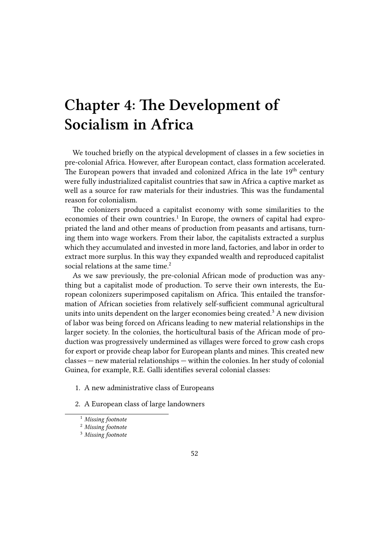# **Chapter 4: The Development of Socialism in Africa**

We touched briefly on the atypical development of classes in a few societies in pre-colonial Africa. However, after European contact, class formation accelerated. The European powers that invaded and colonized Africa in the late 19<sup>th</sup> century were fully industrialized capitalist countries that saw in Africa a captive market as well as a source for raw materials for their industries. This was the fundamental reason for colonialism.

The colonizers produced a capitalist economy with some similarities to the economies of their own countries.<sup>1</sup> In Europe, the owners of capital had expropriated the land and other means of production from peasants and artisans, turning them into wage workers. From their labor, the capitalists extracted a surplus which they accumulated and invested in more land, factories, and labor in order to extract more surplus. In this way they expanded wealth and reproduced capitalist social relations at the same time.<sup>2</sup>

As we saw previously, the pre-colonial African mode of production was anything but a capitalist mode of production. To serve their own interests, the European colonizers superimposed capitalism on Africa. This entailed the transformation of African societies from relatively self-sufficient communal agricultural units into units dependent on the larger economies being created.<sup>3</sup> A new division of labor was being forced on Africans leading to new material relationships in the larger society. In the colonies, the horticultural basis of the African mode of production was progressively undermined as villages were forced to grow cash crops for export or provide cheap labor for European plants and mines. This created new classes — new material relationships — within the colonies. In her study of colonial Guinea, for example, R.E. Galli identifies several colonial classes:

- 1. A new administrative class of Europeans
- 2. A European class of large landowners

<sup>1</sup> *Missing footnote*

<sup>2</sup> *Missing footnote*

<sup>3</sup> *Missing footnote*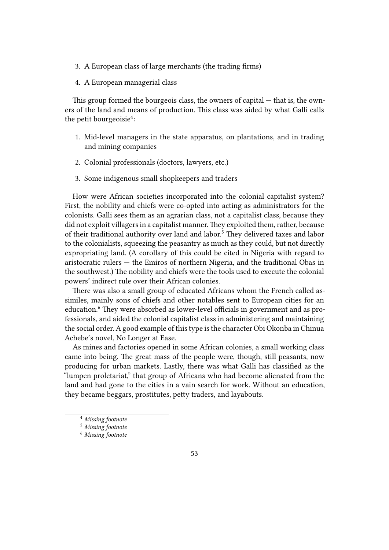- 3. A European class of large merchants (the trading firms)
- 4. A European managerial class

This group formed the bourgeois class, the owners of capital — that is, the owners of the land and means of production. This class was aided by what Galli calls the petit bourgeoisie<sup>4</sup>:

- 1. Mid-level managers in the state apparatus, on plantations, and in trading and mining companies
- 2. Colonial professionals (doctors, lawyers, etc.)
- 3. Some indigenous small shopkeepers and traders

How were African societies incorporated into the colonial capitalist system? First, the nobility and chiefs were co-opted into acting as administrators for the colonists. Galli sees them as an agrarian class, not a capitalist class, because they did not exploit villagers in a capitalist manner.They exploited them, rather, because of their traditional authority over land and labor.<sup>5</sup> They delivered taxes and labor to the colonialists, squeezing the peasantry as much as they could, but not directly expropriating land. (A corollary of this could be cited in Nigeria with regard to aristocratic rulers — the Emiros of northern Nigeria, and the traditional Obas in the southwest.) The nobility and chiefs were the tools used to execute the colonial powers' indirect rule over their African colonies.

There was also a small group of educated Africans whom the French called assimiles, mainly sons of chiefs and other notables sent to European cities for an education.<sup>6</sup> They were absorbed as lower-level officials in government and as professionals, and aided the colonial capitalist class in administering and maintaining the social order. A good example of this type is the character Obi Okonba in Chinua Achebe's novel, No Longer at Ease.

As mines and factories opened in some African colonies, a small working class came into being. The great mass of the people were, though, still peasants, now producing for urban markets. Lastly, there was what Galli has classified as the "lumpen proletariat," that group of Africans who had become alienated from the land and had gone to the cities in a vain search for work. Without an education, they became beggars, prostitutes, petty traders, and layabouts.

<sup>4</sup> *Missing footnote*

<sup>5</sup> *Missing footnote*

<sup>6</sup> *Missing footnote*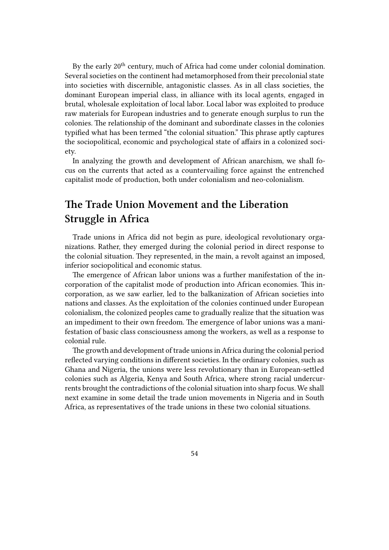By the early 20<sup>th</sup> century, much of Africa had come under colonial domination. Several societies on the continent had metamorphosed from their precolonial state into societies with discernible, antagonistic classes. As in all class societies, the dominant European imperial class, in alliance with its local agents, engaged in brutal, wholesale exploitation of local labor. Local labor was exploited to produce raw materials for European industries and to generate enough surplus to run the colonies. The relationship of the dominant and subordinate classes in the colonies typified what has been termed "the colonial situation." This phrase aptly captures the sociopolitical, economic and psychological state of affairs in a colonized society.

In analyzing the growth and development of African anarchism, we shall focus on the currents that acted as a countervailing force against the entrenched capitalist mode of production, both under colonialism and neo-colonialism.

## **The Trade Union Movement and the Liberation Struggle in Africa**

Trade unions in Africa did not begin as pure, ideological revolutionary organizations. Rather, they emerged during the colonial period in direct response to the colonial situation. They represented, in the main, a revolt against an imposed, inferior sociopolitical and economic status.

The emergence of African labor unions was a further manifestation of the incorporation of the capitalist mode of production into African economies. This incorporation, as we saw earlier, led to the balkanization of African societies into nations and classes. As the exploitation of the colonies continued under European colonialism, the colonized peoples came to gradually realize that the situation was an impediment to their own freedom. The emergence of labor unions was a manifestation of basic class consciousness among the workers, as well as a response to colonial rule.

The growth and development of trade unions in Africa during the colonial period reflected varying conditions in different societies. In the ordinary colonies, such as Ghana and Nigeria, the unions were less revolutionary than in European-settled colonies such as Algeria, Kenya and South Africa, where strong racial undercurrents brought the contradictions of the colonial situation into sharp focus. We shall next examine in some detail the trade union movements in Nigeria and in South Africa, as representatives of the trade unions in these two colonial situations.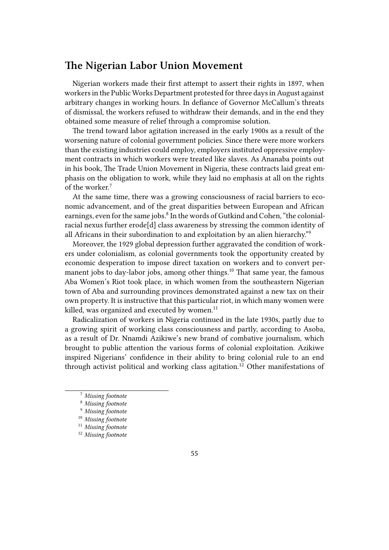### **The Nigerian Labor Union Movement**

Nigerian workers made their first attempt to assert their rights in 1897, when workers in the Public Works Department protested for three days in August against arbitrary changes in working hours. In defiance of Governor McCallum's threats of dismissal, the workers refused to withdraw their demands, and in the end they obtained some measure of relief through a compromise solution.

The trend toward labor agitation increased in the early 1900s as a result of the worsening nature of colonial government policies. Since there were more workers than the existing industries could employ, employers instituted oppressive employment contracts in which workers were treated like slaves. As Ananaba points out in his book, The Trade Union Movement in Nigeria, these contracts laid great emphasis on the obligation to work, while they laid no emphasis at all on the rights of the worker.<sup>7</sup>

At the same time, there was a growing consciousness of racial barriers to economic advancement, and of the great disparities between European and African earnings, even for the same jobs.<sup>8</sup> In the words of Gutkind and Cohen, "the colonialracial nexus further erode[d] class awareness by stressing the common identity of all Africans in their subordination to and exploitation by an alien hierarchy."<sup>9</sup>

Moreover, the 1929 global depression further aggravated the condition of workers under colonialism, as colonial governments took the opportunity created by economic desperation to impose direct taxation on workers and to convert permanent jobs to day-labor jobs, among other things.<sup>10</sup> That same year, the famous Aba Women's Riot took place, in which women from the southeastern Nigerian town of Aba and surrounding provinces demonstrated against a new tax on their own property. It is instructive that this particular riot, in which many women were killed, was organized and executed by women. $11$ 

Radicalization of workers in Nigeria continued in the late 1930s, partly due to a growing spirit of working class consciousness and partly, according to Asoba, as a result of Dr. Nnamdi Azikiwe's new brand of combative journalism, which brought to public attention the various forms of colonial exploitation. Azikiwe inspired Nigerians' confidence in their ability to bring colonial rule to an end through activist political and working class agitation.<sup>12</sup> Other manifestations of

<sup>7</sup> *Missing footnote*

<sup>8</sup> *Missing footnote*

<sup>9</sup> *Missing footnote*

<sup>10</sup> *Missing footnote*

<sup>11</sup> *Missing footnote*

<sup>12</sup> *Missing footnote*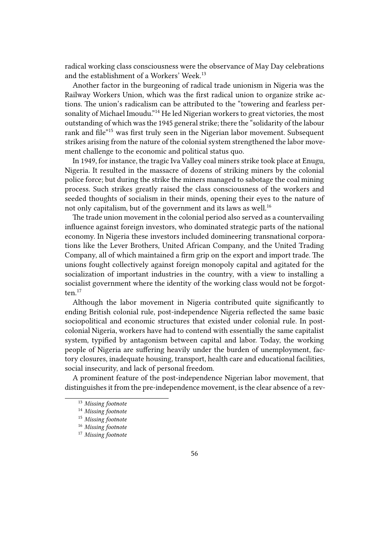radical working class consciousness were the observance of May Day celebrations and the establishment of a Workers' Week.<sup>13</sup>

Another factor in the burgeoning of radical trade unionism in Nigeria was the Railway Workers Union, which was the first radical union to organize strike actions. The union's radicalism can be attributed to the "towering and fearless personality of Michael Imoudu."<sup>14</sup> He led Nigerian workers to great victories, the most outstanding of which was the 1945 general strike; there the "solidarity of the labour rank and file"<sup>15</sup> was first truly seen in the Nigerian labor movement. Subsequent strikes arising from the nature of the colonial system strengthened the labor movement challenge to the economic and political status quo.

In 1949, for instance, the tragic Iva Valley coal miners strike took place at Enugu, Nigeria. It resulted in the massacre of dozens of striking miners by the colonial police force; but during the strike the miners managed to sabotage the coal mining process. Such strikes greatly raised the class consciousness of the workers and seeded thoughts of socialism in their minds, opening their eyes to the nature of not only capitalism, but of the government and its laws as well.<sup>16</sup>

The trade union movement in the colonial period also served as a countervailing influence against foreign investors, who dominated strategic parts of the national economy. In Nigeria these investors included domineering transnational corporations like the Lever Brothers, United African Company, and the United Trading Company, all of which maintained a firm grip on the export and import trade. The unions fought collectively against foreign monopoly capital and agitated for the socialization of important industries in the country, with a view to installing a socialist government where the identity of the working class would not be forgotten $17$ 

Although the labor movement in Nigeria contributed quite significantly to ending British colonial rule, post-independence Nigeria reflected the same basic sociopolitical and economic structures that existed under colonial rule. In postcolonial Nigeria, workers have had to contend with essentially the same capitalist system, typified by antagonism between capital and labor. Today, the working people of Nigeria are suffering heavily under the burden of unemployment, factory closures, inadequate housing, transport, health care and educational facilities, social insecurity, and lack of personal freedom.

A prominent feature of the post-independence Nigerian labor movement, that distinguishes it from the pre-independence movement, is the clear absence of a rev-

<sup>13</sup> *Missing footnote*

<sup>14</sup> *Missing footnote*

<sup>15</sup> *Missing footnote*

<sup>16</sup> *Missing footnote*

<sup>17</sup> *Missing footnote*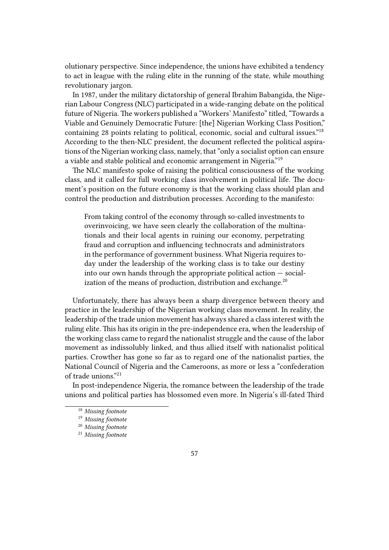olutionary perspective. Since independence, the unions have exhibited a tendency to act in league with the ruling elite in the running of the state, while mouthing revolutionary jargon.

In 1987, under the military dictatorship of general Ibrahim Babangida, the Nigerian Labour Congress (NLC) participated in a wide-ranging debate on the political future of Nigeria. The workers published a "Workers' Manifesto" titled, "Towards a Viable and Genuinely Democratic Future: [the] Nigerian Working Class Position," containing 28 points relating to political, economic, social and cultural issues."<sup>18</sup> According to the then-NLC president, the document reflected the political aspirations of the Nigerian working class, namely, that "only a socialist option can ensure a viable and stable political and economic arrangement in Nigeria."<sup>19</sup>

The NLC manifesto spoke of raising the political consciousness of the working class, and it called for full working class involvement in political life. The document's position on the future economy is that the working class should plan and control the production and distribution processes. According to the manifesto:

From taking control of the economy through so-called investments to overinvoicing, we have seen clearly the collaboration of the multinationals and their local agents in ruining our economy, perpetrating fraud and corruption and influencing technocrats and administrators in the performance of government business. What Nigeria requires today under the leadership of the working class is to take our destiny into our own hands through the appropriate political action — socialization of the means of production, distribution and exchange. $^{20}$ 

Unfortunately, there has always been a sharp divergence between theory and practice in the leadership of the Nigerian working class movement. In reality, the leadership of the trade union movement has always shared a class interest with the ruling elite. This has its origin in the pre-independence era, when the leadership of the working class came to regard the nationalist struggle and the cause of the labor movement as indissolubly linked, and thus allied itself with nationalist political parties. Crowther has gone so far as to regard one of the nationalist parties, the National Council of Nigeria and the Cameroons, as more or less a "confederation of trade unions."<sup>21</sup>

In post-independence Nigeria, the romance between the leadership of the trade unions and political parties has blossomed even more. In Nigeria's ill-fated Third

<sup>18</sup> *Missing footnote*

<sup>19</sup> *Missing footnote*

<sup>20</sup> *Missing footnote*

<sup>21</sup> *Missing footnote*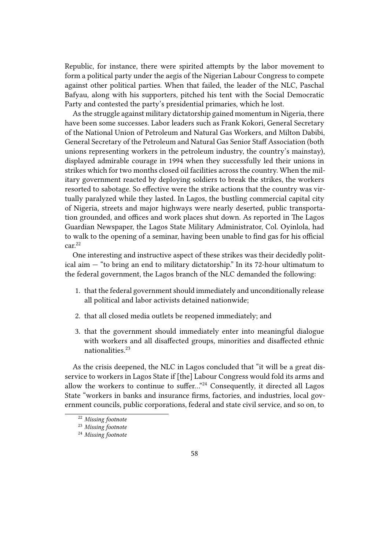Republic, for instance, there were spirited attempts by the labor movement to form a political party under the aegis of the Nigerian Labour Congress to compete against other political parties. When that failed, the leader of the NLC, Paschal Bafyau, along with his supporters, pitched his tent with the Social Democratic Party and contested the party's presidential primaries, which he lost.

As the struggle against military dictatorship gained momentum in Nigeria, there have been some successes. Labor leaders such as Frank Kokori, General Secretary of the National Union of Petroleum and Natural Gas Workers, and Milton Dabibi, General Secretary of the Petroleum and Natural Gas Senior Staff Association (both unions representing workers in the petroleum industry, the country's mainstay), displayed admirable courage in 1994 when they successfully led their unions in strikes which for two months closed oil facilities across the country. When the military government reacted by deploying soldiers to break the strikes, the workers resorted to sabotage. So effective were the strike actions that the country was virtually paralyzed while they lasted. In Lagos, the bustling commercial capital city of Nigeria, streets and major highways were nearly deserted, public transportation grounded, and offices and work places shut down. As reported in The Lagos Guardian Newspaper, the Lagos State Military Administrator, Col. Oyinlola, had to walk to the opening of a seminar, having been unable to find gas for his official car.<sup>22</sup>

One interesting and instructive aspect of these strikes was their decidedly political aim — "to bring an end to military dictatorship." In its 72-hour ultimatum to the federal government, the Lagos branch of the NLC demanded the following:

- 1. that the federal government should immediately and unconditionally release all political and labor activists detained nationwide;
- 2. that all closed media outlets be reopened immediately; and
- 3. that the government should immediately enter into meaningful dialogue with workers and all disaffected groups, minorities and disaffected ethnic nationalities<sup>23</sup>

As the crisis deepened, the NLC in Lagos concluded that "it will be a great disservice to workers in Lagos State if [the] Labour Congress would fold its arms and allow the workers to continue to suffer…"<sup>24</sup> Consequently, it directed all Lagos State "workers in banks and insurance firms, factories, and industries, local government councils, public corporations, federal and state civil service, and so on, to

<sup>22</sup> *Missing footnote*

<sup>23</sup> *Missing footnote*

<sup>24</sup> *Missing footnote*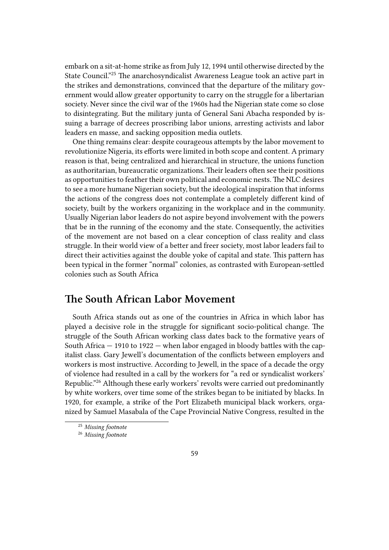embark on a sit-at-home strike as from July 12, 1994 until otherwise directed by the State Council."<sup>25</sup> The anarchosyndicalist Awareness League took an active part in the strikes and demonstrations, convinced that the departure of the military government would allow greater opportunity to carry on the struggle for a libertarian society. Never since the civil war of the 1960s had the Nigerian state come so close to disintegrating. But the military junta of General Sani Abacha responded by issuing a barrage of decrees proscribing labor unions, arresting activists and labor leaders en masse, and sacking opposition media outlets.

One thing remains clear: despite courageous attempts by the labor movement to revolutionize Nigeria, its efforts were limited in both scope and content. A primary reason is that, being centralized and hierarchical in structure, the unions function as authoritarian, bureaucratic organizations. Their leaders often see their positions as opportunities to feather their own political and economic nests. The NLC desires to see a more humane Nigerian society, but the ideological inspiration that informs the actions of the congress does not contemplate a completely different kind of society, built by the workers organizing in the workplace and in the community. Usually Nigerian labor leaders do not aspire beyond involvement with the powers that be in the running of the economy and the state. Consequently, the activities of the movement are not based on a clear conception of class reality and class struggle. In their world view of a better and freer society, most labor leaders fail to direct their activities against the double yoke of capital and state. This pattern has been typical in the former "normal" colonies, as contrasted with European-settled colonies such as South Africa

### **The South African Labor Movement**

South Africa stands out as one of the countries in Africa in which labor has played a decisive role in the struggle for significant socio-political change. The struggle of the South African working class dates back to the formative years of South Africa — 1910 to 1922 — when labor engaged in bloody battles with the capitalist class. Gary Jewell's documentation of the conflicts between employers and workers is most instructive. According to Jewell, in the space of a decade the orgy of violence had resulted in a call by the workers for "a red or syndicalist workers' Republic."<sup>26</sup> Although these early workers' revolts were carried out predominantly by white workers, over time some of the strikes began to be initiated by blacks. In 1920, for example, a strike of the Port Elizabeth municipal black workers, organized by Samuel Masabala of the Cape Provincial Native Congress, resulted in the

<sup>25</sup> *Missing footnote*

<sup>26</sup> *Missing footnote*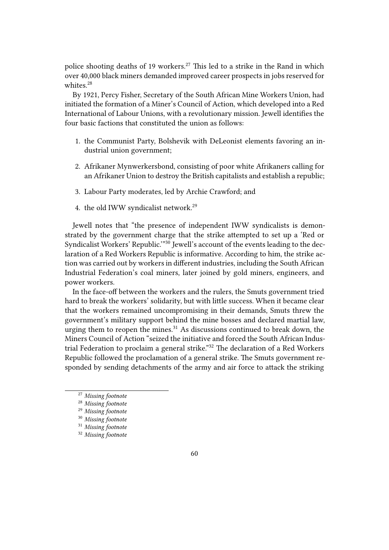police shooting deaths of 19 workers.<sup>27</sup> This led to a strike in the Rand in which over 40,000 black miners demanded improved career prospects in jobs reserved for whites<sup>28</sup>

By 1921, Percy Fisher, Secretary of the South African Mine Workers Union, had initiated the formation of a Miner's Council of Action, which developed into a Red International of Labour Unions, with a revolutionary mission. Jewell identifies the four basic factions that constituted the union as follows:

- 1. the Communist Party, Bolshevik with DeLeonist elements favoring an industrial union government;
- 2. Afrikaner Mynwerkersbond, consisting of poor white Afrikaners calling for an Afrikaner Union to destroy the British capitalists and establish a republic;
- 3. Labour Party moderates, led by Archie Crawford; and
- 4. the old IWW syndicalist network.<sup>29</sup>

Jewell notes that "the presence of independent IWW syndicalists is demonstrated by the government charge that the strike attempted to set up a 'Red or Syndicalist Workers' Republic.'"<sup>30</sup> Jewell's account of the events leading to the declaration of a Red Workers Republic is informative. According to him, the strike action was carried out by workers in different industries, including the South African Industrial Federation's coal miners, later joined by gold miners, engineers, and power workers.

In the face-off between the workers and the rulers, the Smuts government tried hard to break the workers' solidarity, but with little success. When it became clear that the workers remained uncompromising in their demands, Smuts threw the government's military support behind the mine bosses and declared martial law, urging them to reopen the mines. $31$  As discussions continued to break down, the Miners Council of Action "seized the initiative and forced the South African Industrial Federation to proclaim a general strike."<sup>32</sup> The declaration of a Red Workers Republic followed the proclamation of a general strike. The Smuts government responded by sending detachments of the army and air force to attack the striking

<sup>27</sup> *Missing footnote*

<sup>28</sup> *Missing footnote*

<sup>29</sup> *Missing footnote*

<sup>30</sup> *Missing footnote*

<sup>31</sup> *Missing footnote*

<sup>32</sup> *Missing footnote*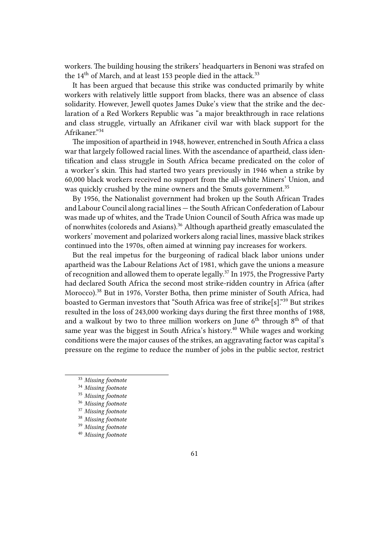workers. The building housing the strikers' headquarters in Benoni was strafed on the 14<sup>th</sup> of March, and at least 153 people died in the attack.<sup>33</sup>

It has been argued that because this strike was conducted primarily by white workers with relatively little support from blacks, there was an absence of class solidarity. However, Jewell quotes James Duke's view that the strike and the declaration of a Red Workers Republic was "a major breakthrough in race relations and class struggle, virtually an Afrikaner civil war with black support for the Afrikaner."<sup>34</sup>

The imposition of apartheid in 1948, however, entrenched in South Africa a class war that largely followed racial lines. With the ascendance of apartheid, class identification and class struggle in South Africa became predicated on the color of a worker's skin. This had started two years previously in 1946 when a strike by 60,000 black workers received no support from the all-white Miners' Union, and was quickly crushed by the mine owners and the Smuts government.<sup>35</sup>

By 1956, the Nationalist government had broken up the South African Trades and Labour Council along racial lines — the South African Confederation of Labour was made up of whites, and the Trade Union Council of South Africa was made up of nonwhites (coloreds and Asians).<sup>36</sup> Although apartheid greatly emasculated the workers' movement and polarized workers along racial lines, massive black strikes continued into the 1970s, often aimed at winning pay increases for workers.

But the real impetus for the burgeoning of radical black labor unions under apartheid was the Labour Relations Act of 1981, which gave the unions a measure of recognition and allowed them to operate legally.<sup>37</sup> In 1975, the Progressive Party had declared South Africa the second most strike-ridden country in Africa (after Morocco).<sup>38</sup> But in 1976, Vorster Botha, then prime minister of South Africa, had boasted to German investors that "South Africa was free of strike[s]."<sup>39</sup> But strikes resulted in the loss of 243,000 working days during the first three months of 1988, and a walkout by two to three million workers on June  $6<sup>th</sup>$  through  $8<sup>th</sup>$  of that same year was the biggest in South Africa's history.<sup>40</sup> While wages and working conditions were the major causes of the strikes, an aggravating factor was capital's pressure on the regime to reduce the number of jobs in the public sector, restrict

<sup>33</sup> *Missing footnote*

<sup>34</sup> *Missing footnote*

<sup>35</sup> *Missing footnote*

<sup>36</sup> *Missing footnote*

<sup>37</sup> *Missing footnote*

<sup>38</sup> *Missing footnote*

<sup>39</sup> *Missing footnote*

<sup>40</sup> *Missing footnote*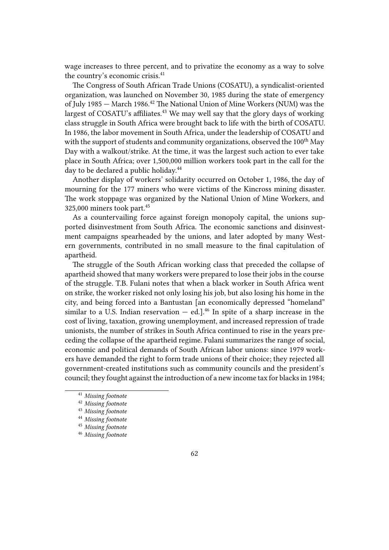wage increases to three percent, and to privatize the economy as a way to solve the country's economic crisis.<sup>41</sup>

The Congress of South African Trade Unions (COSATU), a syndicalist-oriented organization, was launched on November 30, 1985 during the state of emergency of July 1985 – March 1986.<sup>42</sup> The National Union of Mine Workers (NUM) was the largest of COSATU's affiliates.<sup>43</sup> We may well say that the glory days of working class struggle in South Africa were brought back to life with the birth of COSATU. In 1986, the labor movement in South Africa, under the leadership of COSATU and with the support of students and community organizations, observed the  $100<sup>th</sup>$  May Day with a walkout/strike. At the time, it was the largest such action to ever take place in South Africa; over 1,500,000 million workers took part in the call for the day to be declared a public holiday.<sup>44</sup>

Another display of workers' solidarity occurred on October 1, 1986, the day of mourning for the 177 miners who were victims of the Kincross mining disaster. The work stoppage was organized by the National Union of Mine Workers, and 325,000 miners took part. $45$ 

As a countervailing force against foreign monopoly capital, the unions supported disinvestment from South Africa. The economic sanctions and disinvestment campaigns spearheaded by the unions, and later adopted by many Western governments, contributed in no small measure to the final capitulation of apartheid.

The struggle of the South African working class that preceded the collapse of apartheid showed that many workers were prepared to lose their jobs in the course of the struggle. T.B. Fulani notes that when a black worker in South Africa went on strike, the worker risked not only losing his job, but also losing his home in the city, and being forced into a Bantustan [an economically depressed "homeland" similar to a U.S. Indian reservation  $-$  ed.].<sup>46</sup> In spite of a sharp increase in the cost of living, taxation, growing unemployment, and increased repression of trade unionists, the number of strikes in South Africa continued to rise in the years preceding the collapse of the apartheid regime. Fulani summarizes the range of social, economic and political demands of South African labor unions: since 1979 workers have demanded the right to form trade unions of their choice; they rejected all government-created institutions such as community councils and the president's council; they fought against the introduction of a new income tax for blacks in 1984;

<sup>41</sup> *Missing footnote*

<sup>42</sup> *Missing footnote*

<sup>43</sup> *Missing footnote*

<sup>44</sup> *Missing footnote*

<sup>45</sup> *Missing footnote*

<sup>46</sup> *Missing footnote*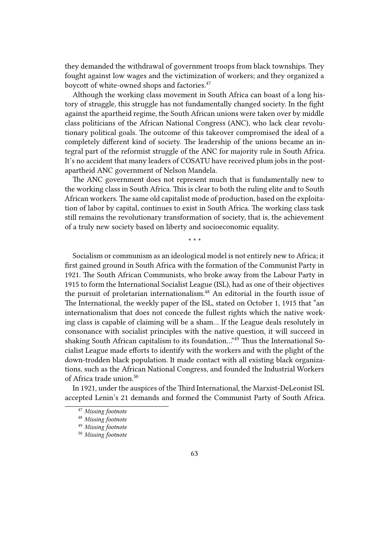they demanded the withdrawal of government troops from black townships. They fought against low wages and the victimization of workers; and they organized a boycott of white-owned shops and factories.<sup>47</sup>

Although the working class movement in South Africa can boast of a long history of struggle, this struggle has not fundamentally changed society. In the fight against the apartheid regime, the South African unions were taken over by middle class politicians of the African National Congress (ANC), who lack clear revolutionary political goals. The outcome of this takeover compromised the ideal of a completely different kind of society. The leadership of the unions became an integral part of the reformist struggle of the ANC for majority rule in South Africa. It's no accident that many leaders of COSATU have received plum jobs in the postapartheid ANC government of Nelson Mandela.

The ANC government does not represent much that is fundamentally new to the working class in South Africa. This is clear to both the ruling elite and to South African workers. The same old capitalist mode of production, based on the exploitation of labor by capital, continues to exist in South Africa. The working class task still remains the revolutionary transformation of society, that is, the achievement of a truly new society based on liberty and socioeconomic equality.

\* \* \*

Socialism or communism as an ideological model is not entirely new to Africa; it first gained ground in South Africa with the formation of the Communist Party in 1921. The South African Communists, who broke away from the Labour Party in 1915 to form the International Socialist League (ISL), had as one of their objectives the pursuit of proletarian internationalism.<sup>48</sup> An editorial in the fourth issue of The International, the weekly paper of the ISL, stated on October 1, 1915 that "an internationalism that does not concede the fullest rights which the native working class is capable of claiming will be a sham… If the League deals resolutely in consonance with socialist principles with the native question, it will succeed in shaking South African capitalism to its foundation…"<sup>49</sup> Thus the International Socialist League made efforts to identify with the workers and with the plight of the down-trodden black population. It made contact with all existing black organizations, such as the African National Congress, and founded the Industrial Workers of Africa trade union.<sup>50</sup>

In 1921, under the auspices of the Third International, the Marxist-DeLeonist ISL accepted Lenin's 21 demands and formed the Communist Party of South Africa.

<sup>47</sup> *Missing footnote*

<sup>48</sup> *Missing footnote*

<sup>49</sup> *Missing footnote*

<sup>50</sup> *Missing footnote*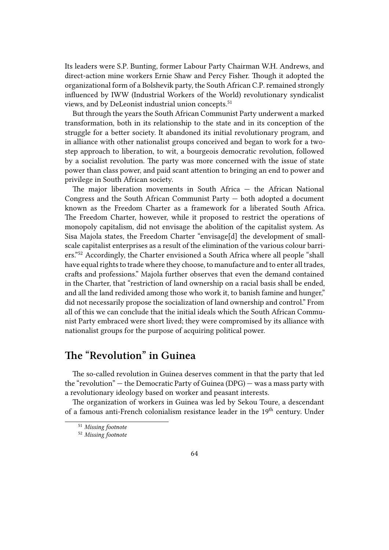Its leaders were S.P. Bunting, former Labour Party Chairman W.H. Andrews, and direct-action mine workers Ernie Shaw and Percy Fisher. Though it adopted the organizational form of a Bolshevik party, the South African C.P. remained strongly influenced by IWW (Industrial Workers of the World) revolutionary syndicalist views, and by DeLeonist industrial union concepts.<sup>51</sup>

But through the years the South African Communist Party underwent a marked transformation, both in its relationship to the state and in its conception of the struggle for a better society. It abandoned its initial revolutionary program, and in alliance with other nationalist groups conceived and began to work for a twostep approach to liberation, to wit, a bourgeois democratic revolution, followed by a socialist revolution. The party was more concerned with the issue of state power than class power, and paid scant attention to bringing an end to power and privilege in South African society.

The major liberation movements in South Africa — the African National Congress and the South African Communist Party — both adopted a document known as the Freedom Charter as a framework for a liberated South Africa. The Freedom Charter, however, while it proposed to restrict the operations of monopoly capitalism, did not envisage the abolition of the capitalist system. As Sisa Majola states, the Freedom Charter "envisage[d] the development of smallscale capitalist enterprises as a result of the elimination of the various colour barriers."<sup>52</sup> Accordingly, the Charter envisioned a South Africa where all people "shall have equal rights to trade where they choose, to manufacture and to enter all trades, crafts and professions." Majola further observes that even the demand contained in the Charter, that "restriction of land ownership on a racial basis shall be ended, and all the land redivided among those who work it, to banish famine and hunger," did not necessarily propose the socialization of land ownership and control." From all of this we can conclude that the initial ideals which the South African Communist Party embraced were short lived; they were compromised by its alliance with nationalist groups for the purpose of acquiring political power.

### **The "Revolution" in Guinea**

The so-called revolution in Guinea deserves comment in that the party that led the "revolution" — the Democratic Party of Guinea (DPG) — was a mass party with a revolutionary ideology based on worker and peasant interests.

The organization of workers in Guinea was led by Sekou Toure, a descendant of a famous anti-French colonialism resistance leader in the 19<sup>th</sup> century. Under

<sup>51</sup> *Missing footnote*

<sup>52</sup> *Missing footnote*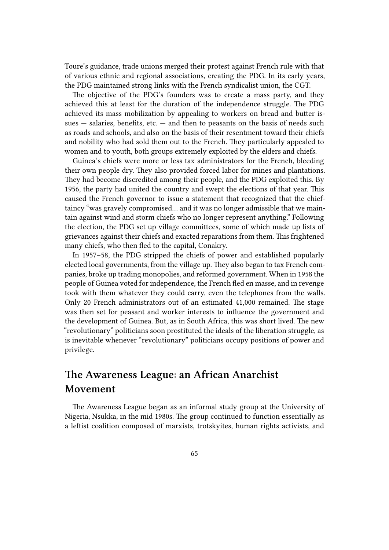Toure's guidance, trade unions merged their protest against French rule with that of various ethnic and regional associations, creating the PDG. In its early years, the PDG maintained strong links with the French syndicalist union, the CGT.

The objective of the PDG's founders was to create a mass party, and they achieved this at least for the duration of the independence struggle. The PDG achieved its mass mobilization by appealing to workers on bread and butter issues  $-$  salaries, benefits, etc.  $-$  and then to peasants on the basis of needs such as roads and schools, and also on the basis of their resentment toward their chiefs and nobility who had sold them out to the French. They particularly appealed to women and to youth, both groups extremely exploited by the elders and chiefs.

Guinea's chiefs were more or less tax administrators for the French, bleeding their own people dry. They also provided forced labor for mines and plantations. They had become discredited among their people, and the PDG exploited this. By 1956, the party had united the country and swept the elections of that year. This caused the French governor to issue a statement that recognized that the chieftaincy "was gravely compromised… and it was no longer admissible that we maintain against wind and storm chiefs who no longer represent anything." Following the election, the PDG set up village committees, some of which made up lists of grievances against their chiefs and exacted reparations from them. This frightened many chiefs, who then fled to the capital, Conakry.

In 1957–58, the PDG stripped the chiefs of power and established popularly elected local governments, from the village up. They also began to tax French companies, broke up trading monopolies, and reformed government. When in 1958 the people of Guinea voted for independence, the French fled en masse, and in revenge took with them whatever they could carry, even the telephones from the walls. Only 20 French administrators out of an estimated 41,000 remained. The stage was then set for peasant and worker interests to influence the government and the development of Guinea. But, as in South Africa, this was short lived. The new "revolutionary" politicians soon prostituted the ideals of the liberation struggle, as is inevitable whenever "revolutionary" politicians occupy positions of power and privilege.

## **The Awareness League: an African Anarchist Movement**

The Awareness League began as an informal study group at the University of Nigeria, Nsukka, in the mid 1980s. The group continued to function essentially as a leftist coalition composed of marxists, trotskyites, human rights activists, and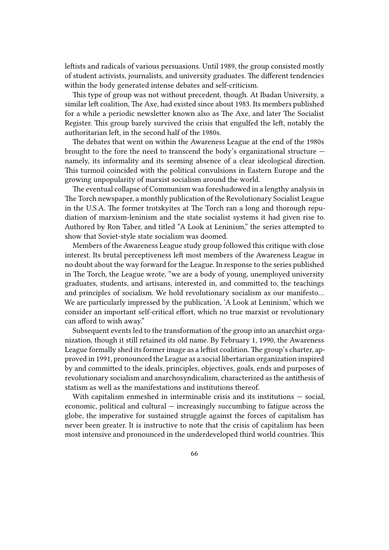leftists and radicals of various persuasions. Until 1989, the group consisted mostly of student activists, journalists, and university graduates. The different tendencies within the body generated intense debates and self-criticism.

This type of group was not without precedent, though. At Ibadan University, a similar left coalition, The Axe, had existed since about 1983. Its members published for a while a periodic newsletter known also as The Axe, and later The Socialist Register. This group barely survived the crisis that engulfed the left, notably the authoritarian left, in the second half of the 1980s.

The debates that went on within the Awareness League at the end of the 1980s brought to the fore the need to transcend the body's organizational structure namely, its informality and its seeming absence of a clear ideological direction. This turmoil coincided with the political convulsions in Eastern Europe and the growing unpopularity of marxist socialism around the world.

The eventual collapse of Communism was foreshadowed in a lengthy analysis in The Torch newspaper, a monthly publication of the Revolutionary Socialist League in the U.S.A. The former trotskyites at The Torch ran a long and thorough repudiation of marxism-leninism and the state socialist systems it had given rise to. Authored by Ron Taber, and titled "A Look at Leninism," the series attempted to show that Soviet-style state socialism was doomed.

Members of the Awareness League study group followed this critique with close interest. Its brutal perceptiveness left most members of the Awareness League in no doubt about the way forward for the League. In response to the series published in The Torch, the League wrote, "we are a body of young, unemployed university graduates, students, and artisans, interested in, and committed to, the teachings and principles of socialism. We hold revolutionary socialism as our manifesto… We are particularly impressed by the publication, 'A Look at Leninism,' which we consider an important self-critical effort, which no true marxist or revolutionary can afford to wish away."

Subsequent events led to the transformation of the group into an anarchist organization, though it still retained its old name. By February 1, 1990, the Awareness League formally shed its former image as a leftist coalition. The group's charter, approved in 1991, pronounced the League as a:social libertarian organization inspired by and committed to the ideals, principles, objectives, goals, ends and purposes of revolutionary socialism and anarchosyndicalism, characterized as the antithesis of statism as well as the manifestations and institutions thereof.

With capitalism enmeshed in interminable crisis and its institutions — social, economic, political and cultural — increasingly succumbing to fatigue across the globe, the imperative for sustained struggle against the forces of capitalism has never been greater. It is instructive to note that the crisis of capitalism has been most intensive and pronounced in the underdeveloped third world countries. This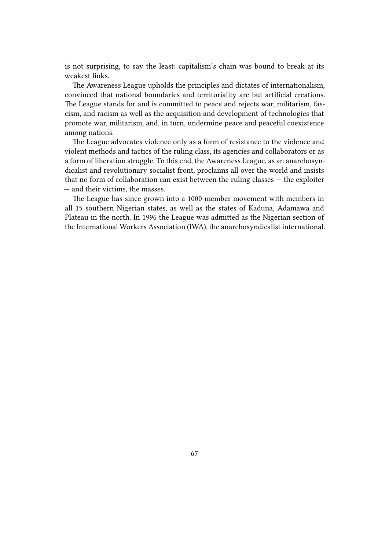is not surprising, to say the least: capitalism's chain was bound to break at its weakest links.

The Awareness League upholds the principles and dictates of internationalism, convinced that national boundaries and territoriality are but artificial creations. The League stands for and is committed to peace and rejects war, militarism, fascism, and racism as well as the acquisition and development of technologies that promote war, militarism, and, in turn, undermine peace and peaceful coexistence among nations.

The League advocates violence only as a form of resistance to the violence and violent methods and tactics of the ruling class, its agencies and collaborators or as a form of liberation struggle. To this end, the Awareness League, as an anarchosyndicalist and revolutionary socialist front, proclaims all over the world and insists that no form of collaboration can exist between the ruling classes — the exploiter — and their victims, the masses.

The League has since grown into a 1000-member movement with members in all 15 southern Nigerian states, as well as the states of Kaduna, Adamawa and Plateau in the north. In 1996 the League was admitted as the Nigerian section of the International Workers Association (IWA), the anarchosyndicalist international.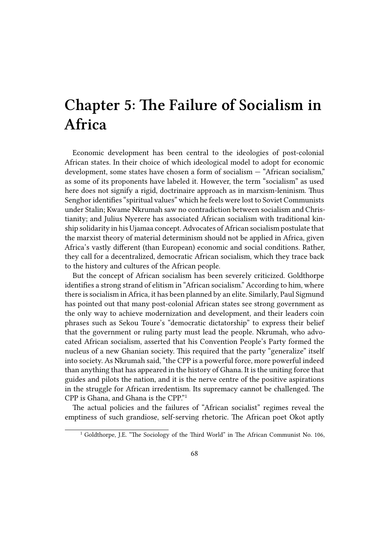# **Chapter 5: The Failure of Socialism in Africa**

Economic development has been central to the ideologies of post-colonial African states. In their choice of which ideological model to adopt for economic development, some states have chosen a form of socialism — "African socialism," as some of its proponents have labeled it. However, the term "socialism" as used here does not signify a rigid, doctrinaire approach as in marxism-leninism. Thus Senghor identifies "spiritual values" which he feels were lost to Soviet Communists under Stalin; Kwame Nkrumah saw no contradiction between socialism and Christianity; and Julius Nyerere has associated African socialism with traditional kinship solidarity in his Ujamaa concept. Advocates of African socialism postulate that the marxist theory of material determinism should not be applied in Africa, given Africa's vastly different (than European) economic and social conditions. Rather, they call for a decentralized, democratic African socialism, which they trace back to the history and cultures of the African people.

But the concept of African socialism has been severely criticized. Goldthorpe identifies a strong strand of elitism in "African socialism." According to him, where there is socialism in Africa, it has been planned by an elite. Similarly, Paul Sigmund has pointed out that many post-colonial African states see strong government as the only way to achieve modernization and development, and their leaders coin phrases such as Sekou Toure's "democratic dictatorship" to express their belief that the government or ruling party must lead the people. Nkrumah, who advocated African socialism, asserted that his Convention People's Party formed the nucleus of a new Ghanian society. This required that the party "generalize" itself into society. As Nkrumah said, "the CPP is a powerful force, more powerful indeed than anything that has appeared in the history of Ghana. It is the uniting force that guides and pilots the nation, and it is the nerve centre of the positive aspirations in the struggle for African irredentism. Its supremacy cannot be challenged. The CPP is Ghana, and Ghana is the CPP."<sup>1</sup>

The actual policies and the failures of "African socialist" regimes reveal the emptiness of such grandiose, self-serving rhetoric. The African poet Okot aptly

<sup>&</sup>lt;sup>1</sup> Goldthorpe, J.E. "The Sociology of the Third World" in The African Communist No. 106,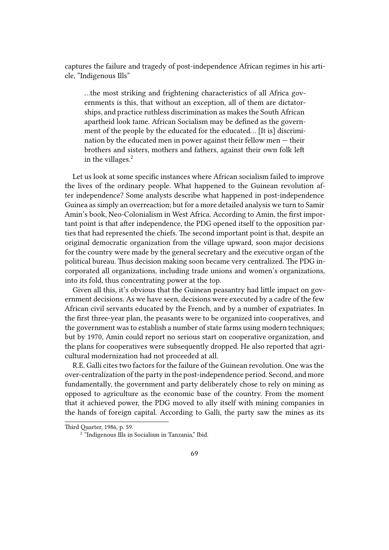captures the failure and tragedy of post-independence African regimes in his article, "Indigenous Ills"

…the most striking and frightening characteristics of all Africa governments is this, that without an exception, all of them are dictatorships, and practice ruthless discrimination as makes the South African apartheid look tame. African Socialism may be defined as the government of the people by the educated for the educated… [It is] discrimination by the educated men in power against their fellow men — their brothers and sisters, mothers and fathers, against their own folk left in the villages.<sup>2</sup>

Let us look at some specific instances where African socialism failed to improve the lives of the ordinary people. What happened to the Guinean revolution after independence? Some analysts describe what happened in post-independence Guinea as simply an overreaction; but for a more detailed analysis we turn to Samir Amin's book, Neo-Colonialism in West Africa. According to Amin, the first important point is that after independence, the PDG opened itself to the opposition parties that had represented the chiefs. The second important point is that, despite an original democratic organization from the village upward, soon major decisions for the country were made by the general secretary and the executive organ of the political bureau. Thus decision making soon became very centralized. The PDG incorporated all organizations, including trade unions and women's organizations, into its fold, thus concentrating power at the top.

Given all this, it's obvious that the Guinean peasantry had little impact on government decisions. As we have seen, decisions were executed by a cadre of the few African civil servants educated by the French, and by a number of expatriates. In the first three-year plan, the peasants were to be organized into cooperatives, and the government was to establish a number of state farms using modern techniques; but by 1970, Amin could report no serious start on cooperative organization, and the plans for cooperatives were subsequently dropped. He also reported that agricultural modernization had not proceeded at all.

R.E. Galli cites two factors for the failure of the Guinean revolution. One was the over-centralization of the party in the post-independence period. Second, and more fundamentally, the government and party deliberately chose to rely on mining as opposed to agriculture as the economic base of the country. From the moment that it achieved power, the PDG moved to ally itself with mining companies in the hands of foreign capital. According to Galli, the party saw the mines as its

Third Quarter, 1986, p. 59.

<sup>&</sup>lt;sup>2</sup> "Indigenous Ills in Socialism in Tanzania," Ibid.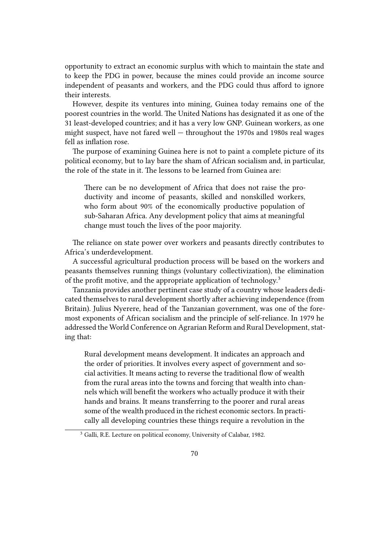opportunity to extract an economic surplus with which to maintain the state and to keep the PDG in power, because the mines could provide an income source independent of peasants and workers, and the PDG could thus afford to ignore their interests.

However, despite its ventures into mining, Guinea today remains one of the poorest countries in the world. The United Nations has designated it as one of the 31 least-developed countries; and it has a very low GNP. Guinean workers, as one might suspect, have not fared well — throughout the 1970s and 1980s real wages fell as inflation rose.

The purpose of examining Guinea here is not to paint a complete picture of its political economy, but to lay bare the sham of African socialism and, in particular, the role of the state in it. The lessons to be learned from Guinea are:

There can be no development of Africa that does not raise the productivity and income of peasants, skilled and nonskilled workers, who form about 90% of the economically productive population of sub-Saharan Africa. Any development policy that aims at meaningful change must touch the lives of the poor majority.

The reliance on state power over workers and peasants directly contributes to Africa's underdevelopment.

A successful agricultural production process will be based on the workers and peasants themselves running things (voluntary collectivization), the elimination of the profit motive, and the appropriate application of technology.<sup>3</sup>

Tanzania provides another pertinent case study of a country whose leaders dedicated themselves to rural development shortly after achieving independence (from Britain). Julius Nyerere, head of the Tanzanian government, was one of the foremost exponents of African socialism and the principle of self-reliance. In 1979 he addressed the World Conference on Agrarian Reform and Rural Development, stating that:

Rural development means development. It indicates an approach and the order of priorities. It involves every aspect of government and social activities. It means acting to reverse the traditional flow of wealth from the rural areas into the towns and forcing that wealth into channels which will benefit the workers who actually produce it with their hands and brains. It means transferring to the poorer and rural areas some of the wealth produced in the richest economic sectors. In practically all developing countries these things require a revolution in the

<sup>3</sup> Galli, R.E. Lecture on political economy, University of Calabar, 1982.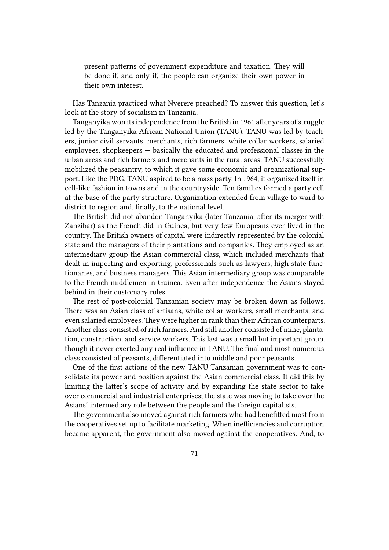present patterns of government expenditure and taxation. They will be done if, and only if, the people can organize their own power in their own interest.

Has Tanzania practiced what Nyerere preached? To answer this question, let's look at the story of socialism in Tanzania.

Tanganyika won its independence from the British in 1961 after years of struggle led by the Tanganyika African National Union (TANU). TANU was led by teachers, junior civil servants, merchants, rich farmers, white collar workers, salaried employees, shopkeepers — basically the educated and professional classes in the urban areas and rich farmers and merchants in the rural areas. TANU successfully mobilized the peasantry, to which it gave some economic and organizational support. Like the PDG, TANU aspired to be a mass party. In 1964, it organized itself in cell-like fashion in towns and in the countryside. Ten families formed a party cell at the base of the party structure. Organization extended from village to ward to district to region and, finally, to the national level.

The British did not abandon Tanganyika (later Tanzania, after its merger with Zanzibar) as the French did in Guinea, but very few Europeans ever lived in the country. The British owners of capital were indirectly represented by the colonial state and the managers of their plantations and companies. They employed as an intermediary group the Asian commercial class, which included merchants that dealt in importing and exporting, professionals such as lawyers, high state functionaries, and business managers. This Asian intermediary group was comparable to the French middlemen in Guinea. Even after independence the Asians stayed behind in their customary roles.

The rest of post-colonial Tanzanian society may be broken down as follows. There was an Asian class of artisans, white collar workers, small merchants, and even salaried employees. They were higher in rank than their African counterparts. Another class consisted of rich farmers. And still another consisted of mine, plantation, construction, and service workers. This last was a small but important group, though it never exerted any real influence in TANU. The final and most numerous class consisted of peasants, differentiated into middle and poor peasants.

One of the first actions of the new TANU Tanzanian government was to consolidate its power and position against the Asian commercial class. It did this by limiting the latter's scope of activity and by expanding the state sector to take over commercial and industrial enterprises; the state was moving to take over the Asians' intermediary role between the people and the foreign capitalists.

The government also moved against rich farmers who had benefitted most from the cooperatives set up to facilitate marketing. When inefficiencies and corruption became apparent, the government also moved against the cooperatives. And, to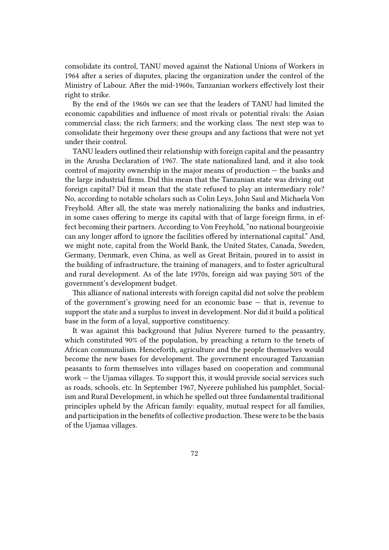consolidate its control, TANU moved against the National Unions of Workers in 1964 after a series of disputes, placing the organization under the control of the Ministry of Labour. After the mid-1960s, Tanzanian workers effectively lost their right to strike.

By the end of the 1960s we can see that the leaders of TANU had limited the economic capabilities and influence of most rivals or potential rivals: the Asian commercial class; the rich farmers; and the working class. The next step was to consolidate their hegemony over these groups and any factions that were not yet under their control.

TANU leaders outlined their relationship with foreign capital and the peasantry in the Arusha Declaration of 1967. The state nationalized land, and it also took control of majority ownership in the major means of production — the banks and the large industrial firms. Did this mean that the Tanzanian state was driving out foreign capital? Did it mean that the state refused to play an intermediary role? No, according to notable scholars such as Colin Leys, John Saul and Michaela Von Freyhold. After all, the state was merely nationalizing the banks and industries, in some cases offering to merge its capital with that of large foreign firms, in effect becoming their partners. According to Von Freyhold, "no national bourgeoisie can any longer afford to ignore the facilities offered by international capital." And, we might note, capital from the World Bank, the United States, Canada, Sweden, Germany, Denmark, even China, as well as Great Britain, poured in to assist in the building of infrastructure, the training of managers, and to foster agricultural and rural development. As of the late 1970s, foreign aid was paying 50% of the government's development budget.

This alliance of national interests with foreign capital did not solve the problem of the government's growing need for an economic base — that is, revenue to support the state and a surplus to invest in development. Nor did it build a political base in the form of a loyal, supportive constituency.

It was against this background that Julius Nyerere turned to the peasantry, which constituted 90% of the population, by preaching a return to the tenets of African communalism. Henceforth, agriculture and the people themselves would become the new bases for development. The government encouraged Tanzanian peasants to form themselves into villages based on cooperation and communal work — the Ujamaa villages. To support this, it would provide social services such as roads, schools, etc. In September 1967, Nyerere published his pamphlet, Socialism and Rural Development, in which he spelled out three fundamental traditional principles upheld by the African family: equality, mutual respect for all families, and participation in the benefits of collective production. These were to be the basis of the Ujamaa villages.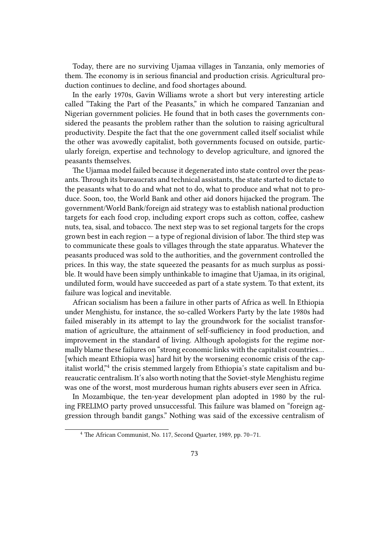Today, there are no surviving Ujamaa villages in Tanzania, only memories of them. The economy is in serious financial and production crisis. Agricultural production continues to decline, and food shortages abound.

In the early 1970s, Gavin Williams wrote a short but very interesting article called "Taking the Part of the Peasants," in which he compared Tanzanian and Nigerian government policies. He found that in both cases the governments considered the peasants the problem rather than the solution to raising agricultural productivity. Despite the fact that the one government called itself socialist while the other was avowedly capitalist, both governments focused on outside, particularly foreign, expertise and technology to develop agriculture, and ignored the peasants themselves.

The Ujamaa model failed because it degenerated into state control over the peasants. Through its bureaucrats and technical assistants, the state started to dictate to the peasants what to do and what not to do, what to produce and what not to produce. Soon, too, the World Bank and other aid donors hijacked the program. The government/World Bank/foreign aid strategy was to establish national production targets for each food crop, including export crops such as cotton, coffee, cashew nuts, tea, sisal, and tobacco. The next step was to set regional targets for the crops grown best in each region — a type of regional division of labor. The third step was to communicate these goals to villages through the state apparatus. Whatever the peasants produced was sold to the authorities, and the government controlled the prices. In this way, the state squeezed the peasants for as much surplus as possible. It would have been simply unthinkable to imagine that Ujamaa, in its original, undiluted form, would have succeeded as part of a state system. To that extent, its failure was logical and inevitable.

African socialism has been a failure in other parts of Africa as well. In Ethiopia under Menghistu, for instance, the so-called Workers Party by the late 1980s had failed miserably in its attempt to lay the groundwork for the socialist transformation of agriculture, the attainment of self-sufficiency in food production, and improvement in the standard of living. Although apologists for the regime normally blame these failures on "strong economic links with the capitalist countries… [which meant Ethiopia was] hard hit by the worsening economic crisis of the capitalist world,"<sup>4</sup> the crisis stemmed largely from Ethiopia's state capitalism and bureaucratic centralism. It's also worth noting that the Soviet-style Menghistu regime was one of the worst, most murderous human rights abusers ever seen in Africa.

In Mozambique, the ten-year development plan adopted in 1980 by the ruling FRELIMO party proved unsuccessful. This failure was blamed on "foreign aggression through bandit gangs." Nothing was said of the excessive centralism of

<sup>4</sup> The African Communist, No. 117, Second Quarter, 1989, pp. 70–71.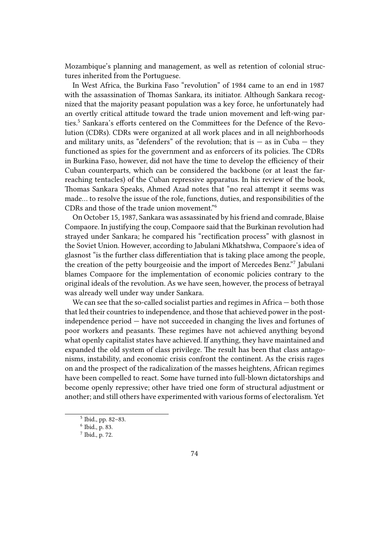Mozambique's planning and management, as well as retention of colonial structures inherited from the Portuguese.

In West Africa, the Burkina Faso "revolution" of 1984 came to an end in 1987 with the assassination of Thomas Sankara, its initiator. Although Sankara recognized that the majority peasant population was a key force, he unfortunately had an overtly critical attitude toward the trade union movement and left-wing parties.<sup>5</sup> Sankara's efforts centered on the Committees for the Defence of the Revolution (CDRs). CDRs were organized at all work places and in all neighborhoods and military units, as "defenders" of the revolution; that is  $-$  as in Cuba  $-$  they functioned as spies for the government and as enforcers of its policies. The CDRs in Burkina Faso, however, did not have the time to develop the efficiency of their Cuban counterparts, which can be considered the backbone (or at least the farreaching tentacles) of the Cuban repressive apparatus. In his review of the book, Thomas Sankara Speaks, Ahmed Azad notes that "no real attempt it seems was made… to resolve the issue of the role, functions, duties, and responsibilities of the CDRs and those of the trade union movement."<sup>6</sup>

On October 15, 1987, Sankara was assassinated by his friend and comrade, Blaise Compaore. In justifying the coup, Compaore said that the Burkinan revolution had strayed under Sankara; he compared his "rectification process" with glasnost in the Soviet Union. However, according to Jabulani Mkhatshwa, Compaore's idea of glasnost "is the further class differentiation that is taking place among the people, the creation of the petty bourgeoisie and the import of Mercedes Benz."7 Jabulani blames Compaore for the implementation of economic policies contrary to the original ideals of the revolution. As we have seen, however, the process of betrayal was already well under way under Sankara.

We can see that the so-called socialist parties and regimes in Africa — both those that led their countries to independence, and those that achieved power in the postindependence period — have not succeeded in changing the lives and fortunes of poor workers and peasants. These regimes have not achieved anything beyond what openly capitalist states have achieved. If anything, they have maintained and expanded the old system of class privilege. The result has been that class antagonisms, instability, and economic crisis confront the continent. As the crisis rages on and the prospect of the radicalization of the masses heightens, African regimes have been compelled to react. Some have turned into full-blown dictatorships and become openly repressive; other have tried one form of structural adjustment or another; and still others have experimented with various forms of electoralism. Yet

<sup>5</sup> Ibid., pp. 82–83.

<sup>6</sup> Ibid., p. 83.

<sup>7</sup> Ibid., p. 72.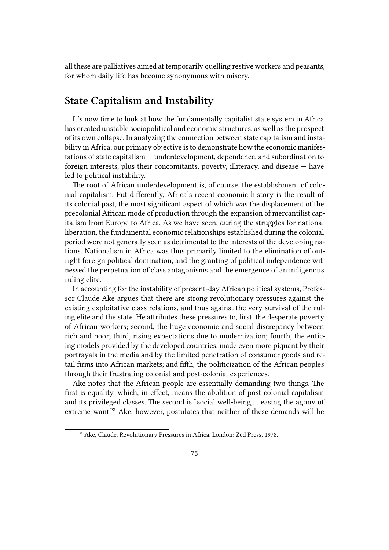all these are palliatives aimed at temporarily quelling restive workers and peasants, for whom daily life has become synonymous with misery.

## **State Capitalism and Instability**

It's now time to look at how the fundamentally capitalist state system in Africa has created unstable sociopolitical and economic structures, as well as the prospect of its own collapse. In analyzing the connection between state capitalism and instability in Africa, our primary objective is to demonstrate how the economic manifestations of state capitalism — underdevelopment, dependence, and subordination to foreign interests, plus their concomitants, poverty, illiteracy, and disease — have led to political instability.

The root of African underdevelopment is, of course, the establishment of colonial capitalism. Put differently, Africa's recent economic history is the result of its colonial past, the most significant aspect of which was the displacement of the precolonial African mode of production through the expansion of mercantilist capitalism from Europe to Africa. As we have seen, during the struggles for national liberation, the fundamental economic relationships established during the colonial period were not generally seen as detrimental to the interests of the developing nations. Nationalism in Africa was thus primarily limited to the elimination of outright foreign political domination, and the granting of political independence witnessed the perpetuation of class antagonisms and the emergence of an indigenous ruling elite.

In accounting for the instability of present-day African political systems, Professor Claude Ake argues that there are strong revolutionary pressures against the existing exploitative class relations, and thus against the very survival of the ruling elite and the state. He attributes these pressures to, first, the desperate poverty of African workers; second, the huge economic and social discrepancy between rich and poor; third, rising expectations due to modernization; fourth, the enticing models provided by the developed countries, made even more piquant by their portrayals in the media and by the limited penetration of consumer goods and retail firms into African markets; and fifth, the politicization of the African peoples through their frustrating colonial and post-colonial experiences.

Ake notes that the African people are essentially demanding two things. The first is equality, which, in effect, means the abolition of post-colonial capitalism and its privileged classes. The second is "social well-being,… easing the agony of extreme want."<sup>8</sup> Ake, however, postulates that neither of these demands will be

<sup>8</sup> Ake, Claude. Revolutionary Pressures in Africa. London: Zed Press, 1978.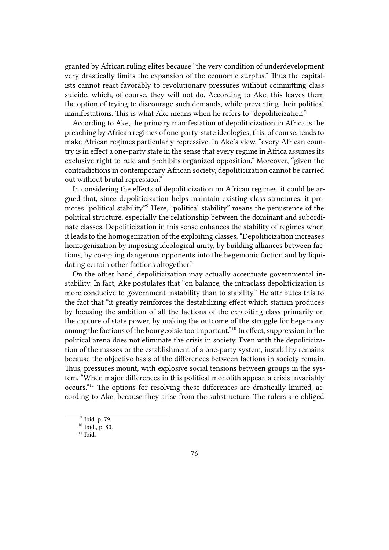granted by African ruling elites because "the very condition of underdevelopment very drastically limits the expansion of the economic surplus." Thus the capitalists cannot react favorably to revolutionary pressures without committing class suicide, which, of course, they will not do. According to Ake, this leaves them the option of trying to discourage such demands, while preventing their political manifestations. This is what Ake means when he refers to "depoliticization."

According to Ake, the primary manifestation of depoliticization in Africa is the preaching by African regimes of one-party-state ideologies; this, of course, tends to make African regimes particularly repressive. In Ake's view, "every African country is in effect a one-party state in the sense that every regime in Africa assumes its exclusive right to rule and prohibits organized opposition." Moreover, "given the contradictions in contemporary African society, depoliticization cannot be carried out without brutal repression."

In considering the effects of depoliticization on African regimes, it could be argued that, since depoliticization helps maintain existing class structures, it promotes "political stability."<sup>9</sup> Here, "political stability" means the persistence of the political structure, especially the relationship between the dominant and subordinate classes. Depoliticization in this sense enhances the stability of regimes when it leads to the homogenization of the exploiting classes. "Depoliticization increases homogenization by imposing ideological unity, by building alliances between factions, by co-opting dangerous opponents into the hegemonic faction and by liquidating certain other factions altogether."

On the other hand, depoliticization may actually accentuate governmental instability. In fact, Ake postulates that "on balance, the intraclass depoliticization is more conducive to government instability than to stability." He attributes this to the fact that "it greatly reinforces the destabilizing effect which statism produces by focusing the ambition of all the factions of the exploiting class primarily on the capture of state power, by making the outcome of the struggle for hegemony among the factions of the bourgeoisie too important."<sup>10</sup> In effect, suppression in the political arena does not eliminate the crisis in society. Even with the depoliticization of the masses or the establishment of a one-party system, instability remains because the objective basis of the differences between factions in society remain. Thus, pressures mount, with explosive social tensions between groups in the system. "When major differences in this political monolith appear, a crisis invariably occurs."<sup>11</sup> The options for resolving these differences are drastically limited, according to Ake, because they arise from the substructure. The rulers are obliged

<sup>9</sup> Ibid. p. 79.

<sup>10</sup> Ibid., p. 80.

 $11$  Ibid.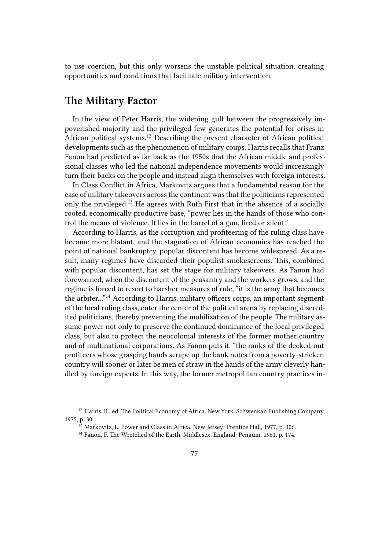to use coercion, but this only worsens the unstable political situation, creating opportunities and conditions that facilitate military intervention.

## **The Military Factor**

In the view of Peter Harris, the widening gulf between the progressively impoverished majority and the privileged few generates the potential for crises in African political systems.<sup>12</sup> Describing the present character of African political developments such as the phenomenon of military coups, Harris recalls that Franz Fanon had predicted as far back as the 1950s that the African middle and professional classes who led the national independence movements would increasingly turn their backs on the people and instead align themselves with foreign interests.

In Class Conflict in Africa, Markovitz argues that a fundamental reason for the ease of military takeovers across the continent was that the politicians represented only the privileged.<sup>13</sup> He agrees with Ruth First that in the absence of a socially rooted, economically productive base, "power lies in the hands of those who control the means of violence. It lies in the barrel of a gun, fired or silent."

According to Harris, as the corruption and profiteering of the ruling class have become more blatant, and the stagnation of African economies has reached the point of national bankruptcy, popular discontent has become widespread. As a result, many regimes have discarded their populist smokescreens. This, combined with popular discontent, has set the stage for military takeovers. As Fanon had forewarned, when the discontent of the peasantry and the workers grows, and the regime is forced to resort to harsher measures of rule, "it is the army that becomes the arbiter…"<sup>14</sup> According to Harris, military officers corps, an important segment of the local ruling class, enter the center of the political arena by replacing discredited politicians, thereby preventing the mobilization of the people. The military assume power not only to preserve the continued dominance of the local privileged class, but also to protect the neocolonial interests of the former mother country and of multinational corporations. As Fanon puts it, "the ranks of the decked-out profiteers whose grasping hands scrape up the bank notes from a poverty-stricken country will sooner or later be men of straw in the hands of the army cleverly handled by foreign experts. In this way, the former metropolitan country practices in-

 $12$  Harris, R., ed. The Political Economy of Africa. New York: Schwenkan Publishing Company, 1975, p. 30.

<sup>&</sup>lt;sup>13</sup> Markovitz, L. Power and Class in Africa. New Jersey: Prentice Hall, 1977, p. 306.

<sup>14</sup> Fanon, F. The Wretched of the Earth. Middlesex, England: Penguin, 1961, p. 174.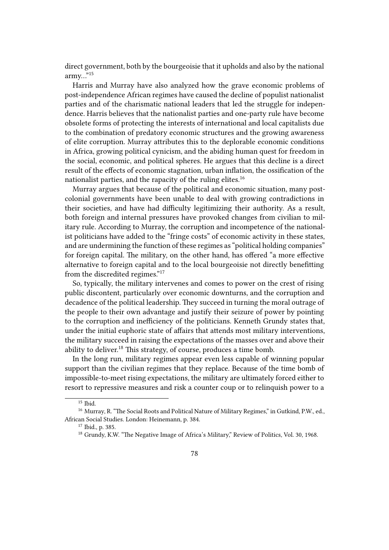direct government, both by the bourgeoisie that it upholds and also by the national army…"<sup>15</sup>

Harris and Murray have also analyzed how the grave economic problems of post-independence African regimes have caused the decline of populist nationalist parties and of the charismatic national leaders that led the struggle for independence. Harris believes that the nationalist parties and one-party rule have become obsolete forms of protecting the interests of international and local capitalists due to the combination of predatory economic structures and the growing awareness of elite corruption. Murray attributes this to the deplorable economic conditions in Africa, growing political cynicism, and the abiding human quest for freedom in the social, economic, and political spheres. He argues that this decline is a direct result of the effects of economic stagnation, urban inflation, the ossification of the nationalist parties, and the rapacity of the ruling elites.<sup>16</sup>

Murray argues that because of the political and economic situation, many postcolonial governments have been unable to deal with growing contradictions in their societies, and have had difficulty legitimizing their authority. As a result, both foreign and internal pressures have provoked changes from civilian to military rule. According to Murray, the corruption and incompetence of the nationalist politicians have added to the "fringe costs" of economic activity in these states, and are undermining the function of these regimes as "political holding companies" for foreign capital. The military, on the other hand, has offered "a more effective alternative to foreign capital and to the local bourgeoisie not directly benefitting from the discredited regimes."<sup>17</sup>

So, typically, the military intervenes and comes to power on the crest of rising public discontent, particularly over economic downturns, and the corruption and decadence of the political leadership. They succeed in turning the moral outrage of the people to their own advantage and justify their seizure of power by pointing to the corruption and inefficiency of the politicians. Kenneth Grundy states that, under the initial euphoric state of affairs that attends most military interventions, the military succeed in raising the expectations of the masses over and above their ability to deliver.<sup>18</sup> This strategy, of course, produces a time bomb.

In the long run, military regimes appear even less capable of winning popular support than the civilian regimes that they replace. Because of the time bomb of impossible-to-meet rising expectations, the military are ultimately forced either to resort to repressive measures and risk a counter coup or to relinquish power to a

 $15$  Ibid.

<sup>&</sup>lt;sup>16</sup> Murray, R. "The Social Roots and Political Nature of Military Regimes," in Gutkind, P.W., ed., African Social Studies. London: Heinemann, p. 384.

<sup>17</sup> Ibid., p. 385.

<sup>18</sup> Grundy, K.W. "The Negative Image of Africa's Military," Review of Politics, Vol. 30, 1968.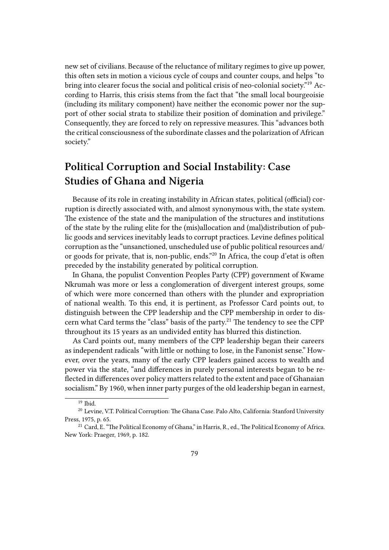new set of civilians. Because of the reluctance of military regimes to give up power, this often sets in motion a vicious cycle of coups and counter coups, and helps "to bring into clearer focus the social and political crisis of neo-colonial society."<sup>19</sup> According to Harris, this crisis stems from the fact that "the small local bourgeoisie (including its military component) have neither the economic power nor the support of other social strata to stabilize their position of domination and privilege." Consequently, they are forced to rely on repressive measures. This "advances both the critical consciousness of the subordinate classes and the polarization of African society."

# **Political Corruption and Social Instability: Case Studies of Ghana and Nigeria**

Because of its role in creating instability in African states, political (official) corruption is directly associated with, and almost synonymous with, the state system. The existence of the state and the manipulation of the structures and institutions of the state by the ruling elite for the (mis)allocation and (mal)distribution of public goods and services inevitably leads to corrupt practices. Levine defines political corruption as the "unsanctioned, unscheduled use of public political resources and/ or goods for private, that is, non-public, ends."<sup>20</sup> In Africa, the coup d'etat is often preceded by the instability generated by political corruption.

In Ghana, the populist Convention Peoples Party (CPP) government of Kwame Nkrumah was more or less a conglomeration of divergent interest groups, some of which were more concerned than others with the plunder and expropriation of national wealth. To this end, it is pertinent, as Professor Card points out, to distinguish between the CPP leadership and the CPP membership in order to discern what Card terms the "class" basis of the party.<sup>21</sup> The tendency to see the CPP throughout its 15 years as an undivided entity has blurred this distinction.

As Card points out, many members of the CPP leadership began their careers as independent radicals "with little or nothing to lose, in the Fanonist sense." However, over the years, many of the early CPP leaders gained access to wealth and power via the state, "and differences in purely personal interests began to be reflected in differences over policy matters related to the extent and pace of Ghanaian socialism." By 1960, when inner party purges of the old leadership began in earnest,

 $19$  Ibid.

<sup>&</sup>lt;sup>20</sup> Levine, V.T. Political Corruption: The Ghana Case. Palo Alto, California: Stanford University Press, 1975, p. 65.

<sup>&</sup>lt;sup>21</sup> Card, E. "The Political Economy of Ghana," in Harris, R., ed., The Political Economy of Africa. New York: Praeger, 1969, p. 182.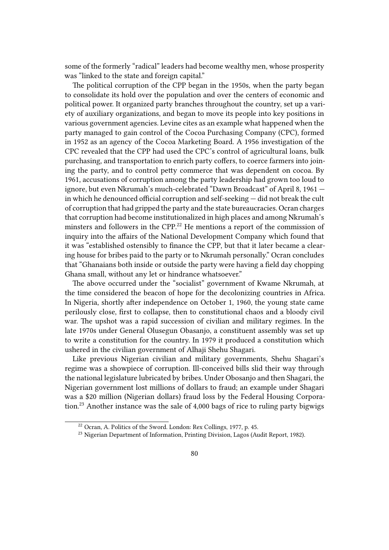some of the formerly "radical" leaders had become wealthy men, whose prosperity was "linked to the state and foreign capital."

The political corruption of the CPP began in the 1950s, when the party began to consolidate its hold over the population and over the centers of economic and political power. It organized party branches throughout the country, set up a variety of auxiliary organizations, and began to move its people into key positions in various government agencies. Levine cites as an example what happened when the party managed to gain control of the Cocoa Purchasing Company (CPC), formed in 1952 as an agency of the Cocoa Marketing Board. A 1956 investigation of the CPC revealed that the CPP had used the CPC's control of agricultural loans, bulk purchasing, and transportation to enrich party coffers, to coerce farmers into joining the party, and to control petty commerce that was dependent on cocoa. By 1961, accusations of corruption among the party leadership had grown too loud to ignore, but even Nkrumah's much-celebrated "Dawn Broadcast" of April 8, 1961 in which he denounced official corruption and self-seeking — did not break the cult of corruption that had gripped the party and the state bureaucracies. Ocran charges that corruption had become institutionalized in high places and among Nkrumah's minsters and followers in the CPP.<sup>22</sup> He mentions a report of the commission of inquiry into the affairs of the National Development Company which found that it was "established ostensibly to finance the CPP, but that it later became a clearing house for bribes paid to the party or to Nkrumah personally." Ocran concludes that "Ghanaians both inside or outside the party were having a field day chopping Ghana small, without any let or hindrance whatsoever."

The above occurred under the "socialist" government of Kwame Nkrumah, at the time considered the beacon of hope for the decolonizing countries in Africa. In Nigeria, shortly after independence on October 1, 1960, the young state came perilously close, first to collapse, then to constitutional chaos and a bloody civil war. The upshot was a rapid succession of civilian and military regimes. In the late 1970s under General Olusegun Obasanjo, a constituent assembly was set up to write a constitution for the country. In 1979 it produced a constitution which ushered in the civilian government of Alhaji Shehu Shagari.

Like previous Nigerian civilian and military governments, Shehu Shagari's regime was a showpiece of corruption. Ill-conceived bills slid their way through the national legislature lubricated by bribes. Under Obosanjo and then Shagari, the Nigerian government lost millions of dollars to fraud; an example under Shagari was a \$20 million (Nigerian dollars) fraud loss by the Federal Housing Corporation.<sup>23</sup> Another instance was the sale of 4,000 bags of rice to ruling party bigwigs

<sup>&</sup>lt;sup>22</sup> Ocran, A. Politics of the Sword. London: Rex Collings, 1977, p. 45.

<sup>&</sup>lt;sup>23</sup> Nigerian Department of Information, Printing Division, Lagos (Audit Report, 1982).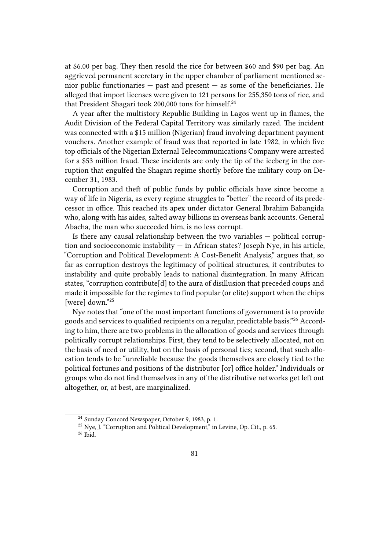at \$6.00 per bag. They then resold the rice for between \$60 and \$90 per bag. An aggrieved permanent secretary in the upper chamber of parliament mentioned senior public functionaries  $-$  past and present  $-$  as some of the beneficiaries. He alleged that import licenses were given to 121 persons for 255,350 tons of rice, and that President Shagari took 200,000 tons for himself.<sup>24</sup>

A year after the multistory Republic Building in Lagos went up in flames, the Audit Division of the Federal Capital Territory was similarly razed. The incident was connected with a \$15 million (Nigerian) fraud involving department payment vouchers. Another example of fraud was that reported in late 1982, in which five top officials of the Nigerian External Telecommunications Company were arrested for a \$53 million fraud. These incidents are only the tip of the iceberg in the corruption that engulfed the Shagari regime shortly before the military coup on December 31, 1983.

Corruption and theft of public funds by public officials have since become a way of life in Nigeria, as every regime struggles to "better" the record of its predecessor in office. This reached its apex under dictator General Ibrahim Babangida who, along with his aides, salted away billions in overseas bank accounts. General Abacha, the man who succeeded him, is no less corrupt.

Is there any causal relationship between the two variables — political corruption and socioeconomic instability — in African states? Joseph Nye, in his article, "Corruption and Political Development: A Cost-Benefit Analysis," argues that, so far as corruption destroys the legitimacy of political structures, it contributes to instability and quite probably leads to national disintegration. In many African states, "corruption contribute[d] to the aura of disillusion that preceded coups and made it impossible for the regimes to find popular (or elite) support when the chips [were] down."<sup>25</sup>

Nye notes that "one of the most important functions of government is to provide goods and services to qualified recipients on a regular, predictable basis."<sup>26</sup> According to him, there are two problems in the allocation of goods and services through politically corrupt relationships. First, they tend to be selectively allocated, not on the basis of need or utility, but on the basis of personal ties; second, that such allocation tends to be "unreliable because the goods themselves are closely tied to the political fortunes and positions of the distributor [or] office holder." Individuals or groups who do not find themselves in any of the distributive networks get left out altogether, or, at best, are marginalized.

<sup>24</sup> Sunday Concord Newspaper, October 9, 1983, p. 1.

<sup>&</sup>lt;sup>25</sup> Nye, J. "Corruption and Political Development," in Levine, Op. Cit., p. 65.

 $^{26}$  Ibid.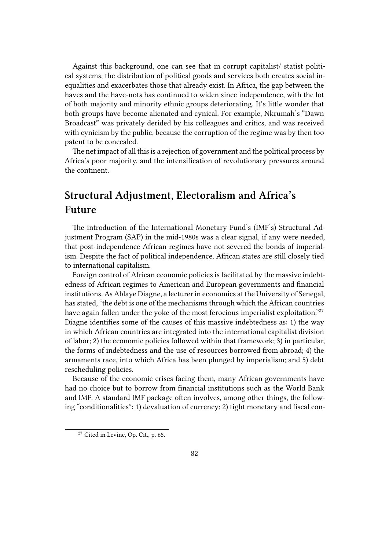Against this background, one can see that in corrupt capitalist/ statist political systems, the distribution of political goods and services both creates social inequalities and exacerbates those that already exist. In Africa, the gap between the haves and the have-nots has continued to widen since independence, with the lot of both majority and minority ethnic groups deteriorating. It's little wonder that both groups have become alienated and cynical. For example, Nkrumah's "Dawn Broadcast" was privately derided by his colleagues and critics, and was received with cynicism by the public, because the corruption of the regime was by then too patent to be concealed.

The net impact of all this is a rejection of government and the political process by Africa's poor majority, and the intensification of revolutionary pressures around the continent.

# **Structural Adjustment, Electoralism and Africa's Future**

The introduction of the International Monetary Fund's (IMF's) Structural Adjustment Program (SAP) in the mid-1980s was a clear signal, if any were needed, that post-independence African regimes have not severed the bonds of imperialism. Despite the fact of political independence, African states are still closely tied to international capitalism.

Foreign control of African economic policies is facilitated by the massive indebtedness of African regimes to American and European governments and financial institutions. As Ablaye Diagne, a lecturer in economics at the University of Senegal, has stated, "the debt is one of the mechanisms through which the African countries have again fallen under the yoke of the most ferocious imperialist exploitation."<sup>27</sup> Diagne identifies some of the causes of this massive indebtedness as: 1) the way in which African countries are integrated into the international capitalist division of labor; 2) the economic policies followed within that framework; 3) in particular, the forms of indebtedness and the use of resources borrowed from abroad; 4) the armaments race, into which Africa has been plunged by imperialism; and 5) debt rescheduling policies.

Because of the economic crises facing them, many African governments have had no choice but to borrow from financial institutions such as the World Bank and IMF. A standard IMF package often involves, among other things, the following "conditionalities": 1) devaluation of currency; 2) tight monetary and fiscal con-

<sup>27</sup> Cited in Levine, Op. Cit., p. 65.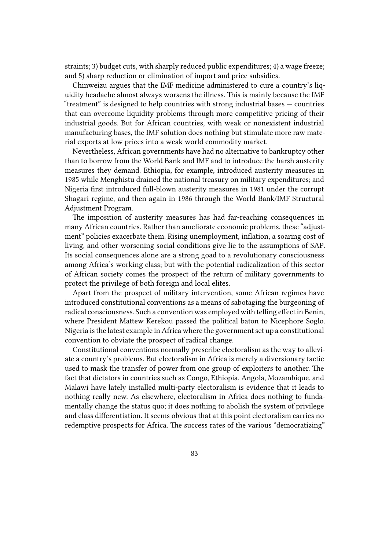straints; 3) budget cuts, with sharply reduced public expenditures; 4) a wage freeze; and 5) sharp reduction or elimination of import and price subsidies.

Chinweizu argues that the IMF medicine administered to cure a country's liquidity headache almost always worsens the illness. This is mainly because the IMF "treatment" is designed to help countries with strong industrial bases — countries that can overcome liquidity problems through more competitive pricing of their industrial goods. But for African countries, with weak or nonexistent industrial manufacturing bases, the IMF solution does nothing but stimulate more raw material exports at low prices into a weak world commodity market.

Nevertheless, African governments have had no alternative to bankruptcy other than to borrow from the World Bank and IMF and to introduce the harsh austerity measures they demand. Ethiopia, for example, introduced austerity measures in 1985 while Menghistu drained the national treasury on military expenditures; and Nigeria first introduced full-blown austerity measures in 1981 under the corrupt Shagari regime, and then again in 1986 through the World Bank/IMF Structural Adjustment Program.

The imposition of austerity measures has had far-reaching consequences in many African countries. Rather than ameliorate economic problems, these "adjustment" policies exacerbate them. Rising unemployment, inflation, a soaring cost of living, and other worsening social conditions give lie to the assumptions of SAP. Its social consequences alone are a strong goad to a revolutionary consciousness among Africa's working class; but with the potential radicalization of this sector of African society comes the prospect of the return of military governments to protect the privilege of both foreign and local elites.

Apart from the prospect of military intervention, some African regimes have introduced constitutional conventions as a means of sabotaging the burgeoning of radical consciousness. Such a convention was employed with telling effect in Benin, where President Mattew Kerekou passed the political baton to Nicephore Soglo. Nigeria is the latest example in Africa where the government set up a constitutional convention to obviate the prospect of radical change.

Constitutional conventions normally prescribe electoralism as the way to alleviate a country's problems. But electoralism in Africa is merely a diversionary tactic used to mask the transfer of power from one group of exploiters to another. The fact that dictators in countries such as Congo, Ethiopia, Angola, Mozambique, and Malawi have lately installed multi-party electoralism is evidence that it leads to nothing really new. As elsewhere, electoralism in Africa does nothing to fundamentally change the status quo; it does nothing to abolish the system of privilege and class differentiation. It seems obvious that at this point electoralism carries no redemptive prospects for Africa. The success rates of the various "democratizing"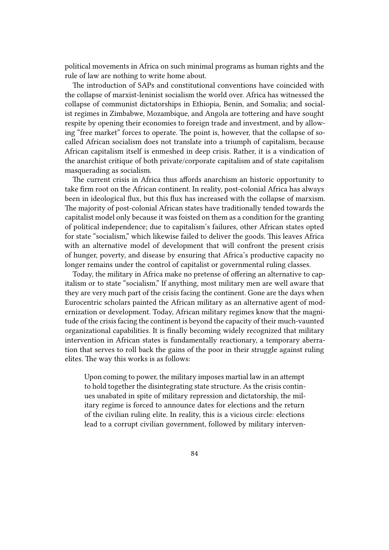political movements in Africa on such minimal programs as human rights and the rule of law are nothing to write home about.

The introduction of SAPs and constitutional conventions have coincided with the collapse of marxist-leninist socialism the world over. Africa has witnessed the collapse of communist dictatorships in Ethiopia, Benin, and Somalia; and socialist regimes in Zimbabwe, Mozambique, and Angola are tottering and have sought respite by opening their economies to foreign trade and investment, and by allowing "free market" forces to operate. The point is, however, that the collapse of socalled African socialism does not translate into a triumph of capitalism, because African capitalism itself is enmeshed in deep crisis. Rather, it is a vindication of the anarchist critique of both private/corporate capitalism and of state capitalism masquerading as socialism.

The current crisis in Africa thus affords anarchism an historic opportunity to take firm root on the African continent. In reality, post-colonial Africa has always been in ideological flux, but this flux has increased with the collapse of marxism. The majority of post-colonial African states have traditionally tended towards the capitalist model only because it was foisted on them as a condition for the granting of political independence; due to capitalism's failures, other African states opted for state "socialism," which likewise failed to deliver the goods. This leaves Africa with an alternative model of development that will confront the present crisis of hunger, poverty, and disease by ensuring that Africa's productive capacity no longer remains under the control of capitalist or governmental ruling classes.

Today, the military in Africa make no pretense of offering an alternative to capitalism or to state "socialism." If anything, most military men are well aware that they are very much part of the crisis facing the continent. Gone are the days when Eurocentric scholars painted the African military as an alternative agent of modernization or development. Today, African military regimes know that the magnitude of the crisis facing the continent is beyond the capacity of their much-vaunted organizational capabilities. It is finally becoming widely recognized that military intervention in African states is fundamentally reactionary, a temporary aberration that serves to roll back the gains of the poor in their struggle against ruling elites. The way this works is as follows:

Upon coming to power, the military imposes martial law in an attempt to hold together the disintegrating state structure. As the crisis continues unabated in spite of military repression and dictatorship, the military regime is forced to announce dates for elections and the return of the civilian ruling elite. In reality, this is a vicious circle: elections lead to a corrupt civilian government, followed by military interven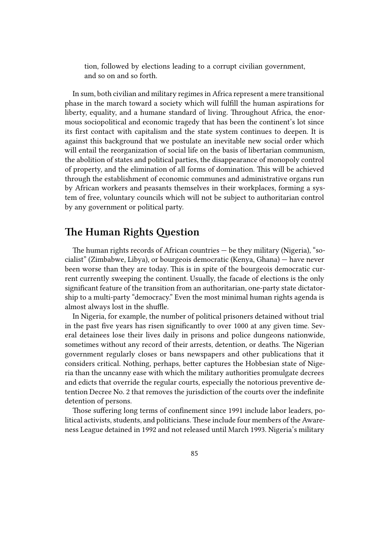tion, followed by elections leading to a corrupt civilian government, and so on and so forth.

In sum, both civilian and military regimes in Africa represent a mere transitional phase in the march toward a society which will fulfill the human aspirations for liberty, equality, and a humane standard of living. Throughout Africa, the enormous sociopolitical and economic tragedy that has been the continent's lot since its first contact with capitalism and the state system continues to deepen. It is against this background that we postulate an inevitable new social order which will entail the reorganization of social life on the basis of libertarian communism, the abolition of states and political parties, the disappearance of monopoly control of property, and the elimination of all forms of domination. This will be achieved through the establishment of economic communes and administrative organs run by African workers and peasants themselves in their workplaces, forming a system of free, voluntary councils which will not be subject to authoritarian control by any government or political party.

#### **The Human Rights Question**

The human rights records of African countries — be they military (Nigeria), "socialist" (Zimbabwe, Libya), or bourgeois democratic (Kenya, Ghana) — have never been worse than they are today. This is in spite of the bourgeois democratic current currently sweeping the continent. Usually, the facade of elections is the only significant feature of the transition from an authoritarian, one-party state dictatorship to a multi-party "democracy." Even the most minimal human rights agenda is almost always lost in the shuffle.

In Nigeria, for example, the number of political prisoners detained without trial in the past five years has risen significantly to over 1000 at any given time. Several detainees lose their lives daily in prisons and police dungeons nationwide, sometimes without any record of their arrests, detention, or deaths. The Nigerian government regularly closes or bans newspapers and other publications that it considers critical. Nothing, perhaps, better captures the Hobbesian state of Nigeria than the uncanny ease with which the military authorities promulgate decrees and edicts that override the regular courts, especially the notorious preventive detention Decree No. 2 that removes the jurisdiction of the courts over the indefinite detention of persons.

Those suffering long terms of confinement since 1991 include labor leaders, political activists, students, and politicians. These include four members of the Awareness League detained in 1992 and not released until March 1993. Nigeria's military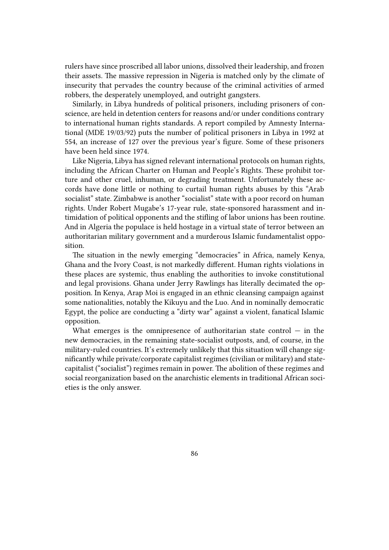rulers have since proscribed all labor unions, dissolved their leadership, and frozen their assets. The massive repression in Nigeria is matched only by the climate of insecurity that pervades the country because of the criminal activities of armed robbers, the desperately unemployed, and outright gangsters.

Similarly, in Libya hundreds of political prisoners, including prisoners of conscience, are held in detention centers for reasons and/or under conditions contrary to international human rights standards. A report compiled by Amnesty International (MDE 19/03/92) puts the number of political prisoners in Libya in 1992 at 554, an increase of 127 over the previous year's figure. Some of these prisoners have been held since 1974.

Like Nigeria, Libya has signed relevant international protocols on human rights, including the African Charter on Human and People's Rights. These prohibit torture and other cruel, inhuman, or degrading treatment. Unfortunately these accords have done little or nothing to curtail human rights abuses by this "Arab socialist" state. Zimbabwe is another "socialist" state with a poor record on human rights. Under Robert Mugabe's 17-year rule, state-sponsored harassment and intimidation of political opponents and the stifling of labor unions has been routine. And in Algeria the populace is held hostage in a virtual state of terror between an authoritarian military government and a murderous Islamic fundamentalist opposition.

The situation in the newly emerging "democracies" in Africa, namely Kenya, Ghana and the Ivory Coast, is not markedly different. Human rights violations in these places are systemic, thus enabling the authorities to invoke constitutional and legal provisions. Ghana under Jerry Rawlings has literally decimated the opposition. In Kenya, Arap Moi is engaged in an ethnic cleansing campaign against some nationalities, notably the Kikuyu and the Luo. And in nominally democratic Egypt, the police are conducting a "dirty war" against a violent, fanatical Islamic opposition.

What emerges is the omnipresence of authoritarian state control  $-$  in the new democracies, in the remaining state-socialist outposts, and, of course, in the military-ruled countries. It's extremely unlikely that this situation will change significantly while private/corporate capitalist regimes (civilian or military) and statecapitalist ("socialist") regimes remain in power. The abolition of these regimes and social reorganization based on the anarchistic elements in traditional African societies is the only answer.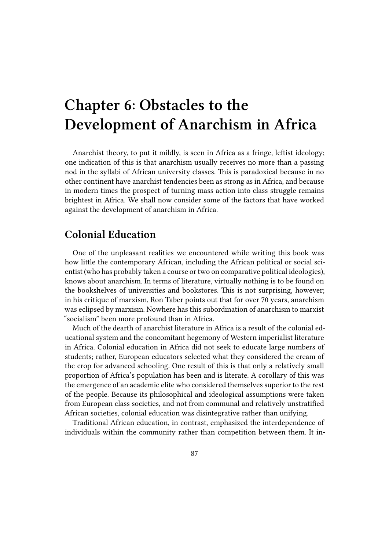# **Chapter 6: Obstacles to the Development of Anarchism in Africa**

Anarchist theory, to put it mildly, is seen in Africa as a fringe, leftist ideology; one indication of this is that anarchism usually receives no more than a passing nod in the syllabi of African university classes. This is paradoxical because in no other continent have anarchist tendencies been as strong as in Africa, and because in modern times the prospect of turning mass action into class struggle remains brightest in Africa. We shall now consider some of the factors that have worked against the development of anarchism in Africa.

### **Colonial Education**

One of the unpleasant realities we encountered while writing this book was how little the contemporary African, including the African political or social scientist (who has probably taken a course or two on comparative political ideologies), knows about anarchism. In terms of literature, virtually nothing is to be found on the bookshelves of universities and bookstores. This is not surprising, however; in his critique of marxism, Ron Taber points out that for over 70 years, anarchism was eclipsed by marxism. Nowhere has this subordination of anarchism to marxist "socialism" been more profound than in Africa.

Much of the dearth of anarchist literature in Africa is a result of the colonial educational system and the concomitant hegemony of Western imperialist literature in Africa. Colonial education in Africa did not seek to educate large numbers of students; rather, European educators selected what they considered the cream of the crop for advanced schooling. One result of this is that only a relatively small proportion of Africa's population has been and is literate. A corollary of this was the emergence of an academic elite who considered themselves superior to the rest of the people. Because its philosophical and ideological assumptions were taken from European class societies, and not from communal and relatively unstratified African societies, colonial education was disintegrative rather than unifying.

Traditional African education, in contrast, emphasized the interdependence of individuals within the community rather than competition between them. It in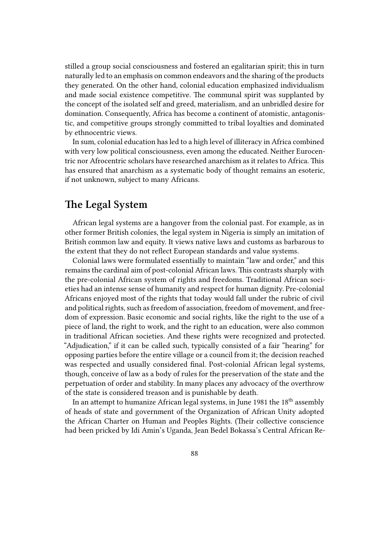stilled a group social consciousness and fostered an egalitarian spirit; this in turn naturally led to an emphasis on common endeavors and the sharing of the products they generated. On the other hand, colonial education emphasized individualism and made social existence competitive. The communal spirit was supplanted by the concept of the isolated self and greed, materialism, and an unbridled desire for domination. Consequently, Africa has become a continent of atomistic, antagonistic, and competitive groups strongly committed to tribal loyalties and dominated by ethnocentric views.

In sum, colonial education has led to a high level of illiteracy in Africa combined with very low political consciousness, even among the educated. Neither Eurocentric nor Afrocentric scholars have researched anarchism as it relates to Africa. This has ensured that anarchism as a systematic body of thought remains an esoteric, if not unknown, subject to many Africans.

# **The Legal System**

African legal systems are a hangover from the colonial past. For example, as in other former British colonies, the legal system in Nigeria is simply an imitation of British common law and equity. It views native laws and customs as barbarous to the extent that they do not reflect European standards and value systems.

Colonial laws were formulated essentially to maintain "law and order," and this remains the cardinal aim of post-colonial African laws. This contrasts sharply with the pre-colonial African system of rights and freedoms. Traditional African societies had an intense sense of humanity and respect for human dignity. Pre-colonial Africans enjoyed most of the rights that today would fall under the rubric of civil and political rights, such as freedom of association, freedom of movement, and freedom of expression. Basic economic and social rights, like the right to the use of a piece of land, the right to work, and the right to an education, were also common in traditional African societies. And these rights were recognized and protected. "Adjudication," if it can be called such, typically consisted of a fair "hearing" for opposing parties before the entire village or a council from it; the decision reached was respected and usually considered final. Post-colonial African legal systems, though, conceive of law as a body of rules for the preservation of the state and the perpetuation of order and stability. In many places any advocacy of the overthrow of the state is considered treason and is punishable by death.

In an attempt to humanize African legal systems, in June 1981 the 18<sup>th</sup> assembly of heads of state and government of the Organization of African Unity adopted the African Charter on Human and Peoples Rights. (Their collective conscience had been pricked by Idi Amin's Uganda, Jean Bedel Bokassa's Central African Re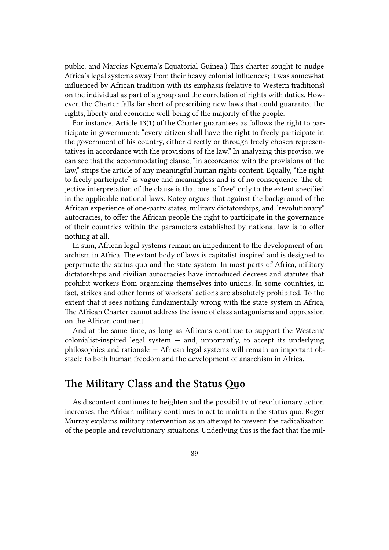public, and Marcias Nguema's Equatorial Guinea.) This charter sought to nudge Africa's legal systems away from their heavy colonial influences; it was somewhat influenced by African tradition with its emphasis (relative to Western traditions) on the individual as part of a group and the correlation of rights with duties. However, the Charter falls far short of prescribing new laws that could guarantee the rights, liberty and economic well-being of the majority of the people.

For instance, Article 13(1) of the Charter guarantees as follows the right to participate in government: "every citizen shall have the right to freely participate in the government of his country, either directly or through freely chosen representatives in accordance with the provisions of the law." In analyzing this proviso, we can see that the accommodating clause, "in accordance with the provisions of the law," strips the article of any meaningful human rights content. Equally, "the right to freely participate" is vague and meaningless and is of no consequence. The objective interpretation of the clause is that one is "free" only to the extent specified in the applicable national laws. Kotey argues that against the background of the African experience of one-party states, military dictatorships, and "revolutionary" autocracies, to offer the African people the right to participate in the governance of their countries within the parameters established by national law is to offer nothing at all.

In sum, African legal systems remain an impediment to the development of anarchism in Africa. The extant body of laws is capitalist inspired and is designed to perpetuate the status quo and the state system. In most parts of Africa, military dictatorships and civilian autocracies have introduced decrees and statutes that prohibit workers from organizing themselves into unions. In some countries, in fact, strikes and other forms of workers' actions are absolutely prohibited. To the extent that it sees nothing fundamentally wrong with the state system in Africa, The African Charter cannot address the issue of class antagonisms and oppression on the African continent.

And at the same time, as long as Africans continue to support the Western/ colonialist-inspired legal system  $-$  and, importantly, to accept its underlying philosophies and rationale — African legal systems will remain an important obstacle to both human freedom and the development of anarchism in Africa.

## **The Military Class and the Status Quo**

As discontent continues to heighten and the possibility of revolutionary action increases, the African military continues to act to maintain the status quo. Roger Murray explains military intervention as an attempt to prevent the radicalization of the people and revolutionary situations. Underlying this is the fact that the mil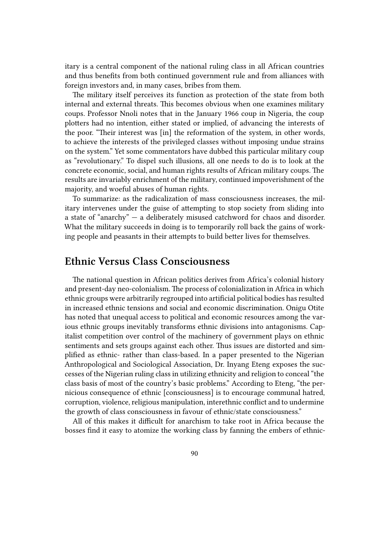itary is a central component of the national ruling class in all African countries and thus benefits from both continued government rule and from alliances with foreign investors and, in many cases, bribes from them.

The military itself perceives its function as protection of the state from both internal and external threats. This becomes obvious when one examines military coups. Professor Nnoli notes that in the January 1966 coup in Nigeria, the coup plotters had no intention, either stated or implied, of advancing the interests of the poor. "Their interest was [in] the reformation of the system, in other words, to achieve the interests of the privileged classes without imposing undue strains on the system." Yet some commentators have dubbed this particular military coup as "revolutionary." To dispel such illusions, all one needs to do is to look at the concrete economic, social, and human rights results of African military coups. The results are invariably enrichment of the military, continued impoverishment of the majority, and woeful abuses of human rights.

To summarize: as the radicalization of mass consciousness increases, the military intervenes under the guise of attempting to stop society from sliding into a state of "anarchy" — a deliberately misused catchword for chaos and disorder. What the military succeeds in doing is to temporarily roll back the gains of working people and peasants in their attempts to build better lives for themselves.

#### **Ethnic Versus Class Consciousness**

The national question in African politics derives from Africa's colonial history and present-day neo-colonialism. The process of colonialization in Africa in which ethnic groups were arbitrarily regrouped into artificial political bodies has resulted in increased ethnic tensions and social and economic discrimination. Onigu Otite has noted that unequal access to political and economic resources among the various ethnic groups inevitably transforms ethnic divisions into antagonisms. Capitalist competition over control of the machinery of government plays on ethnic sentiments and sets groups against each other. Thus issues are distorted and simplified as ethnic- rather than class-based. In a paper presented to the Nigerian Anthropological and Sociological Association, Dr. Inyang Eteng exposes the successes of the Nigerian ruling class in utilizing ethnicity and religion to conceal "the class basis of most of the country's basic problems." According to Eteng, "the pernicious consequence of ethnic [consciousness] is to encourage communal hatred, corruption, violence, religious manipulation, interethnic conflict and to undermine the growth of class consciousness in favour of ethnic/state consciousness."

All of this makes it difficult for anarchism to take root in Africa because the bosses find it easy to atomize the working class by fanning the embers of ethnic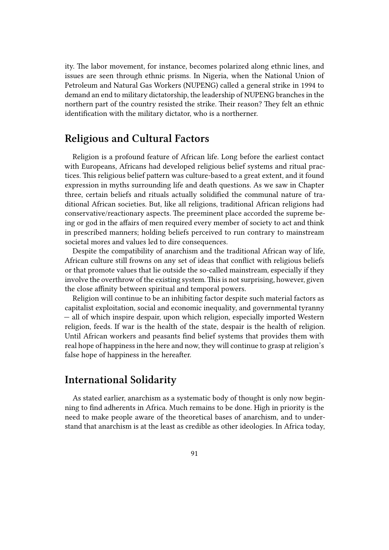ity. The labor movement, for instance, becomes polarized along ethnic lines, and issues are seen through ethnic prisms. In Nigeria, when the National Union of Petroleum and Natural Gas Workers (NUPENG) called a general strike in 1994 to demand an end to military dictatorship, the leadership of NUPENG branches in the northern part of the country resisted the strike. Their reason? They felt an ethnic identification with the military dictator, who is a northerner.

#### **Religious and Cultural Factors**

Religion is a profound feature of African life. Long before the earliest contact with Europeans, Africans had developed religious belief systems and ritual practices. This religious belief pattern was culture-based to a great extent, and it found expression in myths surrounding life and death questions. As we saw in Chapter three, certain beliefs and rituals actually solidified the communal nature of traditional African societies. But, like all religions, traditional African religions had conservative/reactionary aspects. The preeminent place accorded the supreme being or god in the affairs of men required every member of society to act and think in prescribed manners; holding beliefs perceived to run contrary to mainstream societal mores and values led to dire consequences.

Despite the compatibility of anarchism and the traditional African way of life, African culture still frowns on any set of ideas that conflict with religious beliefs or that promote values that lie outside the so-called mainstream, especially if they involve the overthrow of the existing system. This is not surprising, however, given the close affinity between spiritual and temporal powers.

Religion will continue to be an inhibiting factor despite such material factors as capitalist exploitation, social and economic inequality, and governmental tyranny — all of which inspire despair, upon which religion, especially imported Western religion, feeds. If war is the health of the state, despair is the health of religion. Until African workers and peasants find belief systems that provides them with real hope of happiness in the here and now, they will continue to grasp at religion's false hope of happiness in the hereafter.

#### **International Solidarity**

As stated earlier, anarchism as a systematic body of thought is only now beginning to find adherents in Africa. Much remains to be done. High in priority is the need to make people aware of the theoretical bases of anarchism, and to understand that anarchism is at the least as credible as other ideologies. In Africa today,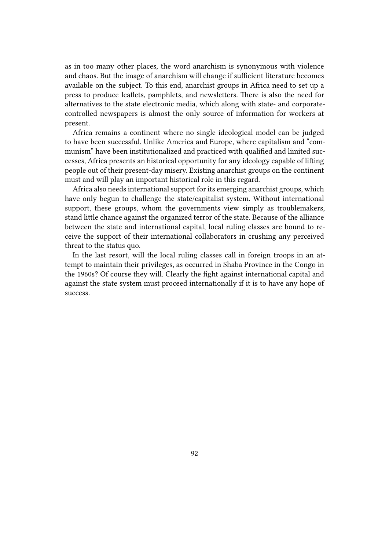as in too many other places, the word anarchism is synonymous with violence and chaos. But the image of anarchism will change if sufficient literature becomes available on the subject. To this end, anarchist groups in Africa need to set up a press to produce leaflets, pamphlets, and newsletters. There is also the need for alternatives to the state electronic media, which along with state- and corporatecontrolled newspapers is almost the only source of information for workers at present.

Africa remains a continent where no single ideological model can be judged to have been successful. Unlike America and Europe, where capitalism and "communism" have been institutionalized and practiced with qualified and limited successes, Africa presents an historical opportunity for any ideology capable of lifting people out of their present-day misery. Existing anarchist groups on the continent must and will play an important historical role in this regard.

Africa also needs international support for its emerging anarchist groups, which have only begun to challenge the state/capitalist system. Without international support, these groups, whom the governments view simply as troublemakers, stand little chance against the organized terror of the state. Because of the alliance between the state and international capital, local ruling classes are bound to receive the support of their international collaborators in crushing any perceived threat to the status quo.

In the last resort, will the local ruling classes call in foreign troops in an attempt to maintain their privileges, as occurred in Shaba Province in the Congo in the 1960s? Of course they will. Clearly the fight against international capital and against the state system must proceed internationally if it is to have any hope of success.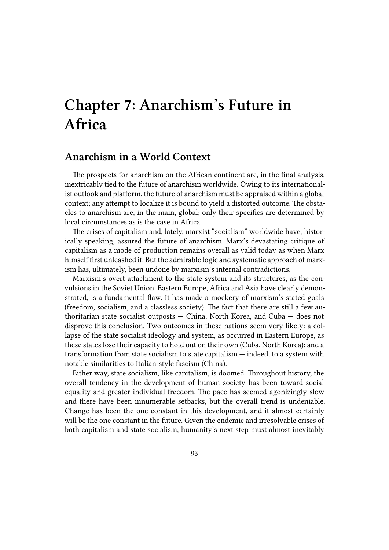# **Chapter 7: Anarchism's Future in Africa**

#### **Anarchism in a World Context**

The prospects for anarchism on the African continent are, in the final analysis, inextricably tied to the future of anarchism worldwide. Owing to its internationalist outlook and platform, the future of anarchism must be appraised within a global context; any attempt to localize it is bound to yield a distorted outcome. The obstacles to anarchism are, in the main, global; only their specifics are determined by local circumstances as is the case in Africa.

The crises of capitalism and, lately, marxist "socialism" worldwide have, historically speaking, assured the future of anarchism. Marx's devastating critique of capitalism as a mode of production remains overall as valid today as when Marx himself first unleashed it. But the admirable logic and systematic approach of marxism has, ultimately, been undone by marxism's internal contradictions.

Marxism's overt attachment to the state system and its structures, as the convulsions in the Soviet Union, Eastern Europe, Africa and Asia have clearly demonstrated, is a fundamental flaw. It has made a mockery of marxism's stated goals (freedom, socialism, and a classless society). The fact that there are still a few authoritarian state socialist outposts — China, North Korea, and Cuba — does not disprove this conclusion. Two outcomes in these nations seem very likely: a collapse of the state socialist ideology and system, as occurred in Eastern Europe, as these states lose their capacity to hold out on their own (Cuba, North Korea); and a transformation from state socialism to state capitalism — indeed, to a system with notable similarities to Italian-style fascism (China).

Either way, state socialism, like capitalism, is doomed. Throughout history, the overall tendency in the development of human society has been toward social equality and greater individual freedom. The pace has seemed agonizingly slow and there have been innumerable setbacks, but the overall trend is undeniable. Change has been the one constant in this development, and it almost certainly will be the one constant in the future. Given the endemic and irresolvable crises of both capitalism and state socialism, humanity's next step must almost inevitably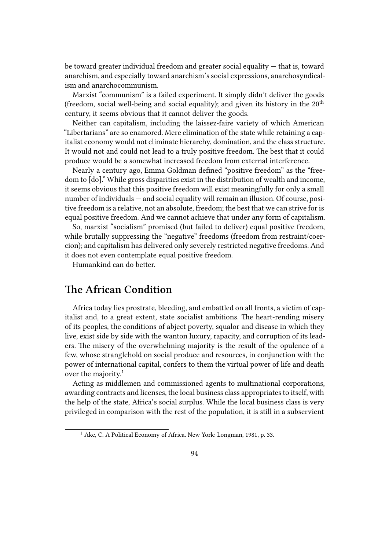be toward greater individual freedom and greater social equality — that is, toward anarchism, and especially toward anarchism's social expressions, anarchosyndicalism and anarchocommunism.

Marxist "communism" is a failed experiment. It simply didn't deliver the goods (freedom, social well-being and social equality); and given its history in the  $20<sup>th</sup>$ century, it seems obvious that it cannot deliver the goods.

Neither can capitalism, including the laissez-faire variety of which American "Libertarians" are so enamored. Mere elimination of the state while retaining a capitalist economy would not eliminate hierarchy, domination, and the class structure. It would not and could not lead to a truly positive freedom. The best that it could produce would be a somewhat increased freedom from external interference.

Nearly a century ago, Emma Goldman defined "positive freedom" as the "freedom to [do]." While gross disparities exist in the distribution of wealth and income, it seems obvious that this positive freedom will exist meaningfully for only a small number of individuals — and social equality will remain an illusion. Of course, positive freedom is a relative, not an absolute, freedom; the best that we can strive for is equal positive freedom. And we cannot achieve that under any form of capitalism.

So, marxist "socialism" promised (but failed to deliver) equal positive freedom, while brutally suppressing the "negative" freedoms (freedom from restraint/coercion); and capitalism has delivered only severely restricted negative freedoms. And it does not even contemplate equal positive freedom.

Humankind can do better.

# **The African Condition**

Africa today lies prostrate, bleeding, and embattled on all fronts, a victim of capitalist and, to a great extent, state socialist ambitions. The heart-rending misery of its peoples, the conditions of abject poverty, squalor and disease in which they live, exist side by side with the wanton luxury, rapacity, and corruption of its leaders. The misery of the overwhelming majority is the result of the opulence of a few, whose stranglehold on social produce and resources, in conjunction with the power of international capital, confers to them the virtual power of life and death over the majority.<sup>1</sup>

Acting as middlemen and commissioned agents to multinational corporations, awarding contracts and licenses, the local business class appropriates to itself, with the help of the state, Africa's social surplus. While the local business class is very privileged in comparison with the rest of the population, it is still in a subservient

<sup>1</sup> Ake, C. A Political Economy of Africa. New York: Longman, 1981, p. 33.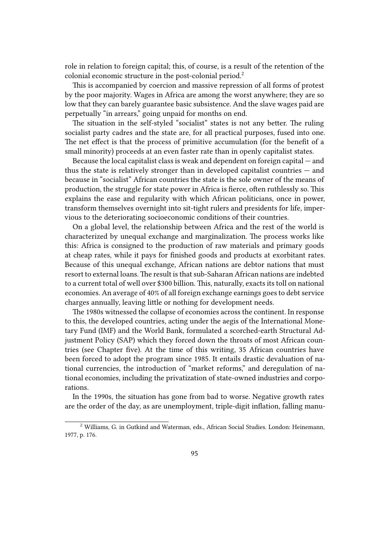role in relation to foreign capital; this, of course, is a result of the retention of the colonial economic structure in the post-colonial period.<sup>2</sup>

This is accompanied by coercion and massive repression of all forms of protest by the poor majority. Wages in Africa are among the worst anywhere; they are so low that they can barely guarantee basic subsistence. And the slave wages paid are perpetually "in arrears," going unpaid for months on end.

The situation in the self-styled "socialist" states is not any better. The ruling socialist party cadres and the state are, for all practical purposes, fused into one. The net effect is that the process of primitive accumulation (for the benefit of a small minority) proceeds at an even faster rate than in openly capitalist states.

Because the local capitalist class is weak and dependent on foreign capital — and thus the state is relatively stronger than in developed capitalist countries — and because in "socialist" African countries the state is the sole owner of the means of production, the struggle for state power in Africa is fierce, often ruthlessly so. This explains the ease and regularity with which African politicians, once in power, transform themselves overnight into sit-tight rulers and presidents for life, impervious to the deteriorating socioeconomic conditions of their countries.

On a global level, the relationship between Africa and the rest of the world is characterized by unequal exchange and marginalization. The process works like this: Africa is consigned to the production of raw materials and primary goods at cheap rates, while it pays for finished goods and products at exorbitant rates. Because of this unequal exchange, African nations are debtor nations that must resort to external loans. The result is that sub-Saharan African nations are indebted to a current total of well over \$300 billion. This, naturally, exacts its toll on national economies. An average of 40% of all foreign exchange earnings goes to debt service charges annually, leaving little or nothing for development needs.

The 1980s witnessed the collapse of economies across the continent. In response to this, the developed countries, acting under the aegis of the International Monetary Fund (IMF) and the World Bank, formulated a scorched-earth Structural Adjustment Policy (SAP) which they forced down the throats of most African countries (see Chapter five). At the time of this writing, 35 African countries have been forced to adopt the program since 1985. It entails drastic devaluation of national currencies, the introduction of "market reforms," and deregulation of national economies, including the privatization of state-owned industries and corporations.

In the 1990s, the situation has gone from bad to worse. Negative growth rates are the order of the day, as are unemployment, triple-digit inflation, falling manu-

<sup>&</sup>lt;sup>2</sup> Williams, G. in Gutkind and Waterman, eds., African Social Studies. London: Heinemann, 1977, p. 176.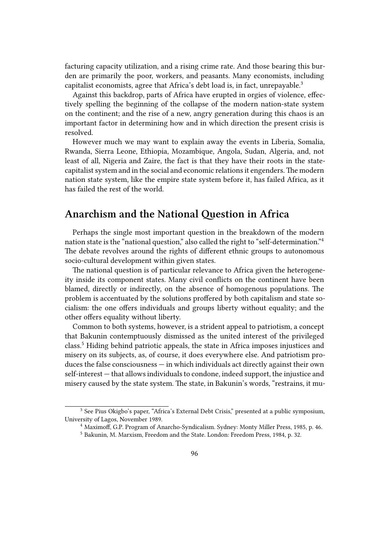facturing capacity utilization, and a rising crime rate. And those bearing this burden are primarily the poor, workers, and peasants. Many economists, including capitalist economists, agree that Africa's debt load is, in fact, unrepayable.<sup>3</sup>

Against this backdrop, parts of Africa have erupted in orgies of violence, effectively spelling the beginning of the collapse of the modern nation-state system on the continent; and the rise of a new, angry generation during this chaos is an important factor in determining how and in which direction the present crisis is resolved.

However much we may want to explain away the events in Liberia, Somalia, Rwanda, Sierra Leone, Ethiopia, Mozambique, Angola, Sudan, Algeria, and, not least of all, Nigeria and Zaire, the fact is that they have their roots in the statecapitalist system and in the social and economic relations it engenders.The modern nation state system, like the empire state system before it, has failed Africa, as it has failed the rest of the world.

### **Anarchism and the National Question in Africa**

Perhaps the single most important question in the breakdown of the modern nation state is the "national question," also called the right to "self-determination."<sup>4</sup> The debate revolves around the rights of different ethnic groups to autonomous socio-cultural development within given states.

The national question is of particular relevance to Africa given the heterogeneity inside its component states. Many civil conflicts on the continent have been blamed, directly or indirectly, on the absence of homogenous populations. The problem is accentuated by the solutions proffered by both capitalism and state socialism: the one offers individuals and groups liberty without equality; and the other offers equality without liberty.

Common to both systems, however, is a strident appeal to patriotism, a concept that Bakunin contemptuously dismissed as the united interest of the privileged class.<sup>5</sup> Hiding behind patriotic appeals, the state in Africa imposes injustices and misery on its subjects, as, of course, it does everywhere else. And patriotism produces the false consciousness — in which individuals act directly against their own self-interest — that allows individuals to condone, indeed support, the injustice and misery caused by the state system. The state, in Bakunin's words, "restrains, it mu-

<sup>&</sup>lt;sup>3</sup> See Pius Okigbo's paper, "Africa's External Debt Crisis," presented at a public symposium, University of Lagos, November 1989.

<sup>4</sup> Maximoff, G.P. Program of Anarcho-Syndicalism. Sydney: Monty Miller Press, 1985, p. 46. <sup>5</sup> Bakunin, M. Marxism, Freedom and the State. London: Freedom Press, 1984, p. 32.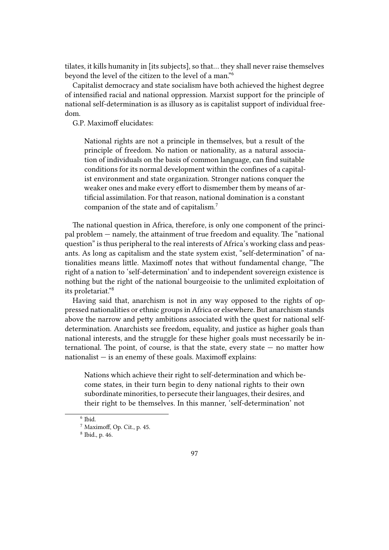tilates, it kills humanity in [its subjects], so that… they shall never raise themselves beyond the level of the citizen to the level of a man."<sup>6</sup>

Capitalist democracy and state socialism have both achieved the highest degree of intensified racial and national oppression. Marxist support for the principle of national self-determination is as illusory as is capitalist support of individual freedom.

G.P. Maximoff elucidates:

National rights are not a principle in themselves, but a result of the principle of freedom. No nation or nationality, as a natural association of individuals on the basis of common language, can find suitable conditions for its normal development within the confines of a capitalist environment and state organization. Stronger nations conquer the weaker ones and make every effort to dismember them by means of artificial assimilation. For that reason, national domination is a constant companion of the state and of capitalism.<sup>7</sup>

The national question in Africa, therefore, is only one component of the principal problem — namely, the attainment of true freedom and equality. The "national question" is thus peripheral to the real interests of Africa's working class and peasants. As long as capitalism and the state system exist, "self-determination" of nationalities means little. Maximoff notes that without fundamental change, "The right of a nation to 'self-determination' and to independent sovereign existence is nothing but the right of the national bourgeoisie to the unlimited exploitation of its proletariat."<sup>8</sup>

Having said that, anarchism is not in any way opposed to the rights of oppressed nationalities or ethnic groups in Africa or elsewhere. But anarchism stands above the narrow and petty ambitions associated with the quest for national selfdetermination. Anarchists see freedom, equality, and justice as higher goals than national interests, and the struggle for these higher goals must necessarily be international. The point, of course, is that the state, every state  $-$  no matter how nationalist — is an enemy of these goals. Maximoff explains:

Nations which achieve their right to self-determination and which become states, in their turn begin to deny national rights to their own subordinate minorities, to persecute their languages, their desires, and their right to be themselves. In this manner, 'self-determination' not

<sup>6</sup> Ibid.

 $7$  Maximoff, Op. Cit., p. 45.

<sup>8</sup> Ibid., p. 46.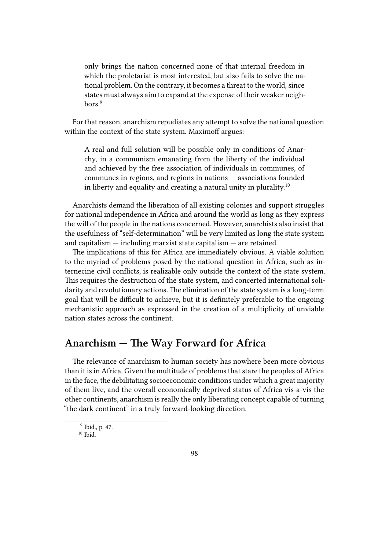only brings the nation concerned none of that internal freedom in which the proletariat is most interested, but also fails to solve the national problem. On the contrary, it becomes a threat to the world, since states must always aim to expand at the expense of their weaker neighbors.<sup>9</sup>

For that reason, anarchism repudiates any attempt to solve the national question within the context of the state system. Maximoff argues:

A real and full solution will be possible only in conditions of Anarchy, in a communism emanating from the liberty of the individual and achieved by the free association of individuals in communes, of communes in regions, and regions in nations — associations founded in liberty and equality and creating a natural unity in plurality.<sup>10</sup>

Anarchists demand the liberation of all existing colonies and support struggles for national independence in Africa and around the world as long as they express the will of the people in the nations concerned. However, anarchists also insist that the usefulness of "self-determination" will be very limited as long the state system and capitalism  $-$  including marxist state capitalism  $-$  are retained.

The implications of this for Africa are immediately obvious. A viable solution to the myriad of problems posed by the national question in Africa, such as internecine civil conflicts, is realizable only outside the context of the state system. This requires the destruction of the state system, and concerted international solidarity and revolutionary actions. The elimination of the state system is a long-term goal that will be difficult to achieve, but it is definitely preferable to the ongoing mechanistic approach as expressed in the creation of a multiplicity of unviable nation states across the continent.

#### **Anarchism — The Way Forward for Africa**

The relevance of anarchism to human society has nowhere been more obvious than it is in Africa. Given the multitude of problems that stare the peoples of Africa in the face, the debilitating socioeconomic conditions under which a great majority of them live, and the overall economically deprived status of Africa vis-a-vis the other continents, anarchism is really the only liberating concept capable of turning "the dark continent" in a truly forward-looking direction.

<sup>9</sup> Ibid., p. 47.

 $10$  Ibid.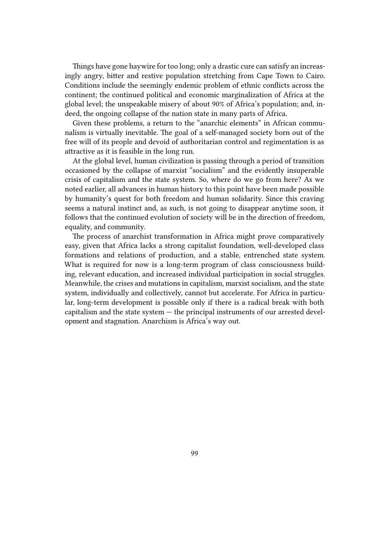Things have gone haywire for too long; only a drastic cure can satisfy an increasingly angry, bitter and restive population stretching from Cape Town to Cairo. Conditions include the seemingly endemic problem of ethnic conflicts across the continent; the continued political and economic marginalization of Africa at the global level; the unspeakable misery of about 90% of Africa's population; and, indeed, the ongoing collapse of the nation state in many parts of Africa.

Given these problems, a return to the "anarchic elements" in African communalism is virtually inevitable. The goal of a self-managed society born out of the free will of its people and devoid of authoritarian control and regimentation is as attractive as it is feasible in the long run.

At the global level, human civilization is passing through a period of transition occasioned by the collapse of marxist "socialism" and the evidently insuperable crisis of capitalism and the state system. So, where do we go from here? As we noted earlier, all advances in human history to this point have been made possible by humanity's quest for both freedom and human solidarity. Since this craving seems a natural instinct and, as such, is not going to disappear anytime soon, it follows that the continued evolution of society will be in the direction of freedom, equality, and community.

The process of anarchist transformation in Africa might prove comparatively easy, given that Africa lacks a strong capitalist foundation, well-developed class formations and relations of production, and a stable, entrenched state system. What is required for now is a long-term program of class consciousness building, relevant education, and increased individual participation in social struggles. Meanwhile, the crises and mutations in capitalism, marxist socialism, and the state system, individually and collectively, cannot but accelerate. For Africa in particular, long-term development is possible only if there is a radical break with both capitalism and the state system — the principal instruments of our arrested development and stagnation. Anarchism is Africa's way out.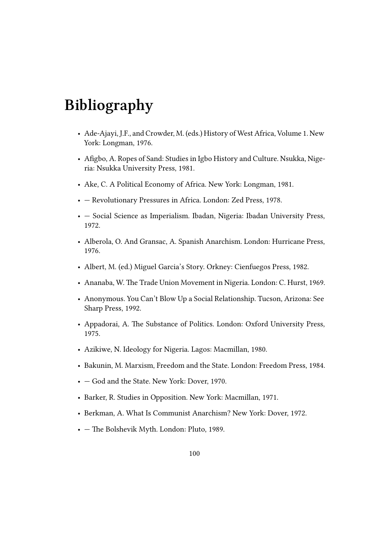# **Bibliography**

- Ade-Ajayi, J.F., and Crowder, M. (eds.) History of West Africa, Volume 1. New York: Longman, 1976.
- Afigbo, A. Ropes of Sand: Studies in Igbo History and Culture. Nsukka, Nigeria: Nsukka University Press, 1981.
- Ake, C. A Political Economy of Africa. New York: Longman, 1981.
- — Revolutionary Pressures in Africa. London: Zed Press, 1978.
- — Social Science as Imperialism. Ibadan, Nigeria: Ibadan University Press, 1972.
- Alberola, O. And Gransac, A. Spanish Anarchism. London: Hurricane Press, 1976.
- Albert, M. (ed.) Miguel Garcia's Story. Orkney: Cienfuegos Press, 1982.
- Ananaba, W. The Trade Union Movement in Nigeria. London: C. Hurst, 1969.
- Anonymous. You Can't Blow Up a Social Relationship. Tucson, Arizona: See Sharp Press, 1992.
- Appadorai, A. The Substance of Politics. London: Oxford University Press, 1975.
- Azikiwe, N. Ideology for Nigeria. Lagos: Macmillan, 1980.
- Bakunin, M. Marxism, Freedom and the State. London: Freedom Press, 1984.
- — God and the State. New York: Dover, 1970.
- Barker, R. Studies in Opposition. New York: Macmillan, 1971.
- Berkman, A. What Is Communist Anarchism? New York: Dover, 1972.
- — The Bolshevik Myth. London: Pluto, 1989.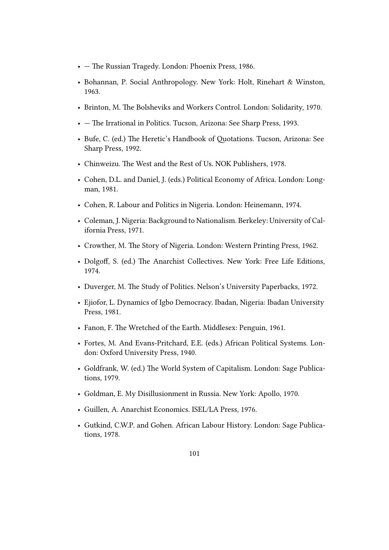- — The Russian Tragedy. London: Phoenix Press, 1986.
- Bohannan, P. Social Anthropology. New York: Holt, Rinehart & Winston, 1963.
- Brinton, M. The Bolsheviks and Workers Control. London: Solidarity, 1970.
- — The Irrational in Politics. Tucson, Arizona: See Sharp Press, 1993.
- Bufe, C. (ed.) The Heretic's Handbook of Quotations. Tucson, Arizona: See Sharp Press, 1992.
- Chinweizu. The West and the Rest of Us. NOK Publishers, 1978.
- Cohen, D.L. and Daniel, J. (eds.) Political Economy of Africa. London: Longman, 1981.
- Cohen, R. Labour and Politics in Nigeria. London: Heinemann, 1974.
- Coleman, J. Nigeria: Background to Nationalism. Berkeley: University of California Press, 1971.
- Crowther, M. The Story of Nigeria. London: Western Printing Press, 1962.
- Dolgoff, S. (ed.) The Anarchist Collectives. New York: Free Life Editions, 1974.
- Duverger, M. The Study of Politics. Nelson's University Paperbacks, 1972.
- Ejiofor, L. Dynamics of Igbo Democracy. Ibadan, Nigeria: Ibadan University Press, 1981.
- Fanon, F. The Wretched of the Earth. Middlesex: Penguin, 1961.
- Fortes, M. And Evans-Pritchard, E.E. (eds.) African Political Systems. London: Oxford University Press, 1940.
- Goldfrank, W. (ed.) The World System of Capitalism. London: Sage Publications, 1979.
- Goldman, E. My Disillusionment in Russia. New York: Apollo, 1970.
- Guillen, A. Anarchist Economics. ISEL/LA Press, 1976.
- Gutkind, C.W.P. and Gohen. African Labour History. London: Sage Publications, 1978.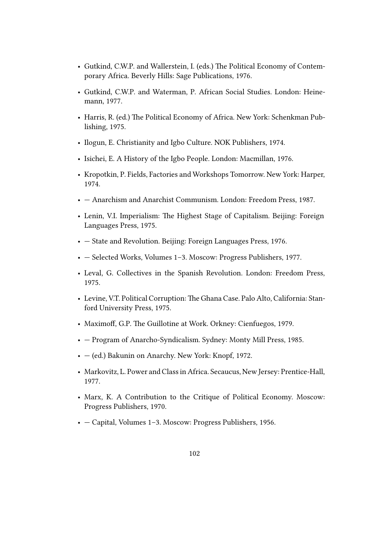- Gutkind, C.W.P. and Wallerstein, I. (eds.) The Political Economy of Contemporary Africa. Beverly Hills: Sage Publications, 1976.
- Gutkind, C.W.P. and Waterman, P. African Social Studies. London: Heinemann, 1977.
- Harris, R. (ed.) The Political Economy of Africa. New York: Schenkman Publishing, 1975.
- Ilogun, E. Christianity and Igbo Culture. NOK Publishers, 1974.
- Isichei, E. A History of the Igbo People. London: Macmillan, 1976.
- Kropotkin, P. Fields, Factories and Workshops Tomorrow. New York: Harper, 1974.
- — Anarchism and Anarchist Communism. London: Freedom Press, 1987.
- Lenin, V.I. Imperialism: The Highest Stage of Capitalism. Beijing: Foreign Languages Press, 1975.
- — State and Revolution. Beijing: Foreign Languages Press, 1976.
- — Selected Works, Volumes 1–3. Moscow: Progress Publishers, 1977.
- Leval, G. Collectives in the Spanish Revolution. London: Freedom Press, 1975.
- Levine, V.T. Political Corruption: The Ghana Case. Palo Alto, California: Stanford University Press, 1975.
- Maximoff, G.P. The Guillotine at Work. Orkney: Cienfuegos, 1979.
- — Program of Anarcho-Syndicalism. Sydney: Monty Mill Press, 1985.
- — (ed.) Bakunin on Anarchy. New York: Knopf, 1972.
- Markovitz, L. Power and Class in Africa. Secaucus, New Jersey: Prentice-Hall, 1977.
- Marx, K. A Contribution to the Critique of Political Economy. Moscow: Progress Publishers, 1970.
- — Capital, Volumes 1–3. Moscow: Progress Publishers, 1956.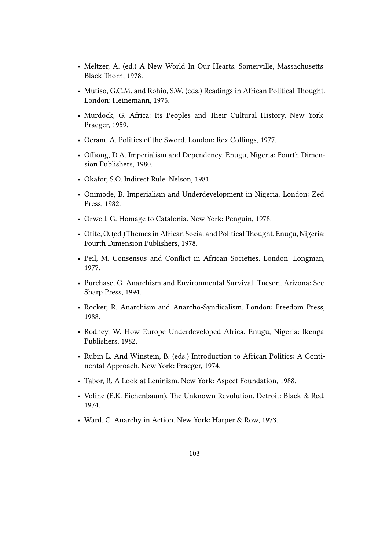- Meltzer, A. (ed.) A New World In Our Hearts. Somerville, Massachusetts: Black Thorn, 1978.
- Mutiso, G.C.M. and Rohio, S.W. (eds.) Readings in African Political Thought. London: Heinemann, 1975.
- Murdock, G. Africa: Its Peoples and Their Cultural History. New York: Praeger, 1959.
- Ocram, A. Politics of the Sword. London: Rex Collings, 1977.
- Offiong, D.A. Imperialism and Dependency. Enugu, Nigeria: Fourth Dimension Publishers, 1980.
- Okafor, S.O. Indirect Rule. Nelson, 1981.
- Onimode, B. Imperialism and Underdevelopment in Nigeria. London: Zed Press, 1982.
- Orwell, G. Homage to Catalonia. New York: Penguin, 1978.
- Otite, O. (ed.) Themes in African Social and Political Thought. Enugu, Nigeria: Fourth Dimension Publishers, 1978.
- Peil, M. Consensus and Conflict in African Societies. London: Longman, 1977.
- Purchase, G. Anarchism and Environmental Survival. Tucson, Arizona: See Sharp Press, 1994.
- Rocker, R. Anarchism and Anarcho-Syndicalism. London: Freedom Press, 1988.
- Rodney, W. How Europe Underdeveloped Africa. Enugu, Nigeria: Ikenga Publishers, 1982.
- Rubin L. And Winstein, B. (eds.) Introduction to African Politics: A Continental Approach. New York: Praeger, 1974.
- Tabor, R. A Look at Leninism. New York: Aspect Foundation, 1988.
- Voline (E.K. Eichenbaum). The Unknown Revolution. Detroit: Black & Red, 1974.
- Ward, C. Anarchy in Action. New York: Harper & Row, 1973.